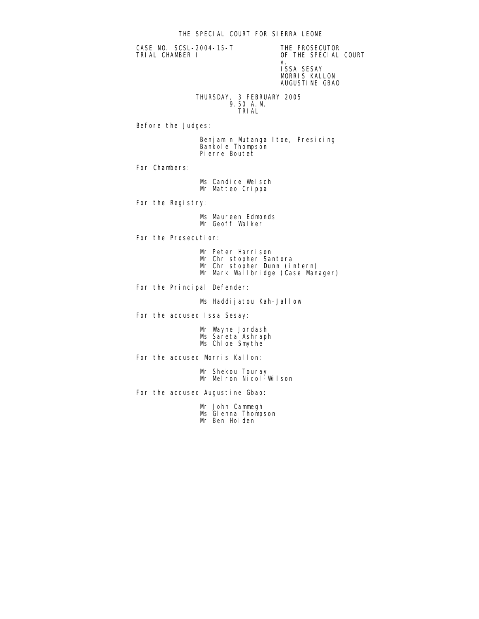CASE NO. SCSL-2004-15-T THE PROSECUTOR<br>TRIAL CHAMBER I THE SPECIAL

OF THE SPECIAL COURT v. ISSA SESAY MORRIS KALLON AUGUSTINE GBAO

 THURSDAY, 3 FEBRUARY 2005 9.50 A.M. TRIAL

Before the Judges:

 Benjamin Mutanga Itoe, Presiding Bankole Thompson Pierre Boutet

For Chambers:

Ms Candice Welsch Mr Matteo Crippa

For the Registry:

 Ms Maureen Edmonds Mr Geoff Walker

For the Prosecution:

- Mr Peter Harrison
- Mr Christopher Santora
- Mr Christopher Dunn (intern)
- Mr Mark Wallbridge (Case Manager)

For the Principal Defender:

Ms Haddijatou Kah-Jallow

For the accused Issa Sesay:

 Mr Wayne Jordash Ms Sareta Ashraph Ms Chloe Smythe

For the accused Morris Kallon:

 Mr Shekou Touray Mr Melron Nicol-Wilson

For the accused Augustine Gbao:

 Mr John Cammegh Ms Glenna Thompson Mr Ben Holden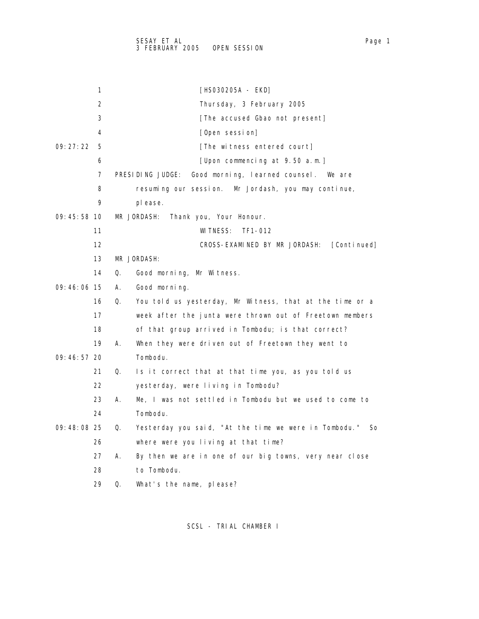|               | 1  | [HSO3O2O5A - EKD]                                                 |
|---------------|----|-------------------------------------------------------------------|
|               | 2  | Thursday, 3 February 2005                                         |
|               | 3  | [The accused Gbao not present]                                    |
|               | 4  | [Open session]                                                    |
| 09:27:22      | 5  | [The witness entered court]                                       |
|               | 6  | [Upon commencing at 9.50 a.m.]                                    |
|               | 7  | PRESIDING JUDGE:<br>Good morning, learned counsel. We are         |
|               | 8  | resuming our session. Mr Jordash, you may continue,               |
|               | 9  | pl ease.                                                          |
| $09:45:58$ 10 |    | MR JORDASH:<br>Thank you, Your Honour.                            |
|               | 11 | WI TNESS:<br>TF1-012                                              |
|               | 12 | CROSS-EXAMINED BY MR JORDASH:<br>[Continued]                      |
|               | 13 | MR JORDASH:                                                       |
|               | 14 | Q.<br>Good morning, Mr Witness.                                   |
| 09:46:06 15   |    | А.<br>Good morning.                                               |
|               | 16 | Q.<br>You told us yesterday, Mr Witness, that at the time or a    |
|               | 17 | week after the junta were thrown out of Freetown members          |
|               | 18 | of that group arrived in Tombodu; is that correct?                |
|               | 19 | А.<br>When they were driven out of Freetown they went to          |
| 09:46:57 20   |    | Tombodu.                                                          |
|               | 21 | Is it correct that at that time you, as you told us<br>Q.         |
|               | 22 | yesterday, were living in Tombodu?                                |
|               | 23 | Me, I was not settled in Tombodu but we used to come to<br>А.     |
|               | 24 | Tombodu.                                                          |
| 09:48:08 25   |    | Yesterday you said, "At the time we were in Tombodu."<br>Q.<br>So |
|               | 26 | where were you living at that time?                               |
|               | 27 | А.<br>By then we are in one of our big towns, very near close     |
|               | 28 | to Tombodu.                                                       |
|               | 29 | What's the name, please?<br>Q.                                    |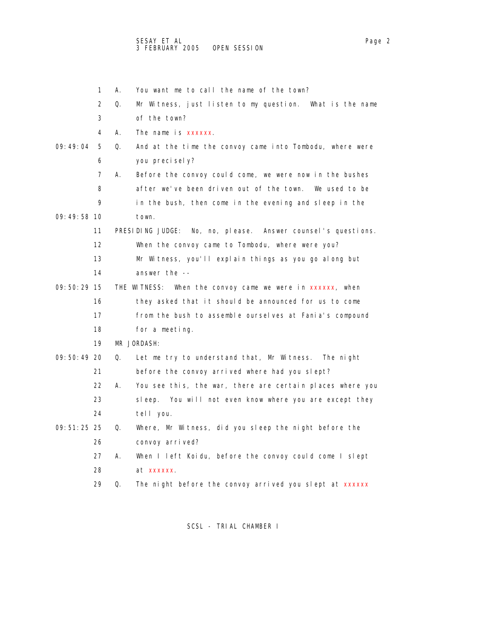- 1 A. You want me to call the name of the town? 2 Q. Mr Witness, just listen to my question. What is the name 3 of the town? 4 A. The name is xxxxxx. 09:49:04 5 Q. And at the time the convoy came into Tombodu, where were 6 you precisely? 7 A. Before the convoy could come, we were now in the bushes 8 after we've been driven out of the town. We used to be 9 in the bush, then come in the evening and sleep in the 09:49:58 10 town. 11 PRESIDING JUDGE: No, no, please. Answer counsel's questions. 12 When the convoy came to Tombodu, where were you? 13 Mr Witness, you'll explain things as you go along but 14 answer the -- 09:50:29 15 THE WITNESS: When the convoy came we were in xxxxxx, when 16 they asked that it should be announced for us to come 17 from the bush to assemble ourselves at Fania's compound 18 for a meeting. 19 MR JORDASH: 09:50:49 20 Q. Let me try to understand that, Mr Witness. The night 21 before the convoy arrived where had you slept? 22 A. You see this, the war, there are certain places where you 23 sleep. You will not even know where you are except they 24 tell you.
- 09:51:25 25 Q. Where, Mr Witness, did you sleep the night before the 26 convoy arrived?
	- 27 A. When I left Koidu, before the convoy could come I slept 28 at xxxxxx.
	- 29 Q. The night before the convoy arrived you slept at xxxxxx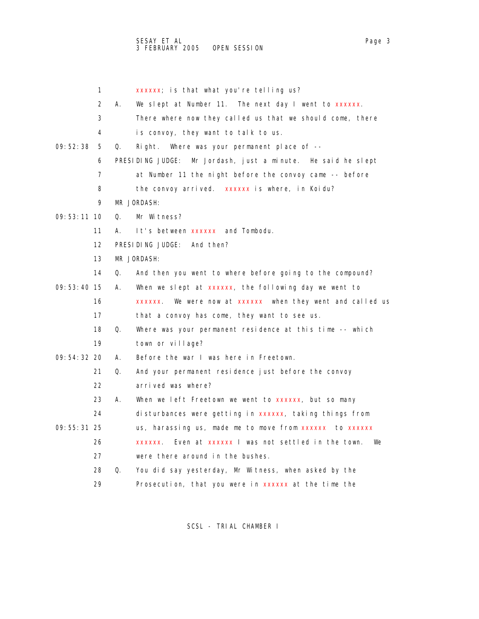1 xxxxxx; is that what you're telling us? 2 A. We slept at Number 11. The next day I went to xxxxxx. 3 There where now they called us that we should come, there 4 is convoy, they want to talk to us. 09:52:38 5 Q. Right. Where was your permanent place of -- 6 PRESIDING JUDGE: Mr Jordash, just a minute. He said he slept 7 at Number 11 the night before the convoy came -- before 8 the convoy arrived. xxxxxx is where, in Koidu? 9 MR JORDASH: 09:53:11 10 Q. Mr Witness? 11 A. It's between xxxxxx and Tombodu. 12 PRESIDING JUDGE: And then? 13 MR JORDASH: 14 Q. And then you went to where before going to the compound? 09:53:40 15 A. When we slept at xxxxxx, the following day we went to 16 xxxxxx. We were now at xxxxxx when they went and called us 17 that a convoy has come, they want to see us. 18 Q. Where was your permanent residence at this time -- which 19 town or village? 09:54:32 20 A. Before the war I was here in Freetown. 21 Q. And your permanent residence just before the convoy 22 arrived was where? 23 A. When we left Freetown we went to xxxxxx, but so many 24 disturbances were getting in xxxxxx, taking things from 09:55:31 25 us, harassing us, made me to move from xxxxxx to xxxxxx 26 xxxxxx. Even at xxxxxx I was not settled in the town. We 27 were there around in the bushes. 28 Q. You did say yesterday, Mr Witness, when asked by the 29 Prosecution, that you were in xxxxxx at the time the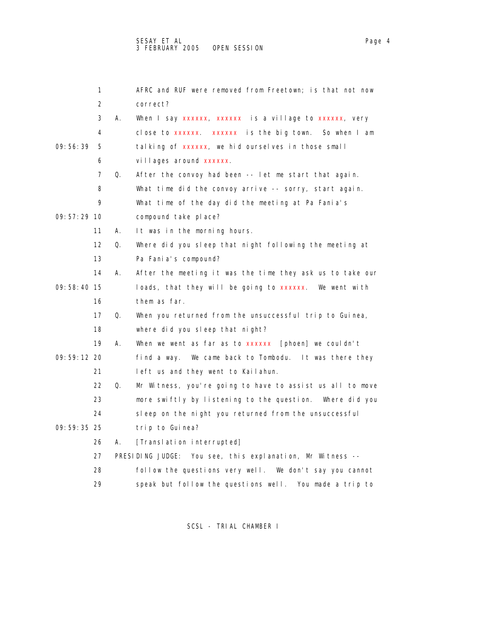1 AFRC and RUF were removed from Freetown; is that not now 2 correct? 3 A. When I say xxxxxx, xxxxxx is a village to xxxxxx, very 4 close to xxxxxx. xxxxxx is the big town. So when I am 09:56:39 5 talking of xxxxxx, we hid ourselves in those small 6 villages around xxxxxx. 7 Q. After the convoy had been -- let me start that again. 8 What time did the convoy arrive -- sorry, start again. 9 What time of the day did the meeting at Pa Fania's 09:57:29 10 compound take place? 11 A. It was in the morning hours. 12 Q. Where did you sleep that night following the meeting at 13 Pa Fania's compound? 14 A. After the meeting it was the time they ask us to take our 09:58:40 15 loads, that they will be going to xxxxxx. We went with 16 them as far. 17 Q. When you returned from the unsuccessful trip to Guinea, 18 where did you sleep that night? 19 A. When we went as far as to xxxxxx [phoen] we couldn't 09:59:12 20 find a way. We came back to Tombodu. It was there they 21 left us and they went to Kailahun. 22 Q. Mr Witness, you're going to have to assist us all to move 23 more swiftly by listening to the question. Where did you 24 sleep on the night you returned from the unsuccessful 09:59:35 25 trip to Guinea? 26 A. [Translation interrupted] 27 PRESIDING JUDGE: You see, this explanation, Mr Witness -- 28 follow the questions very well. We don't say you cannot 29 speak but follow the questions well. You made a trip to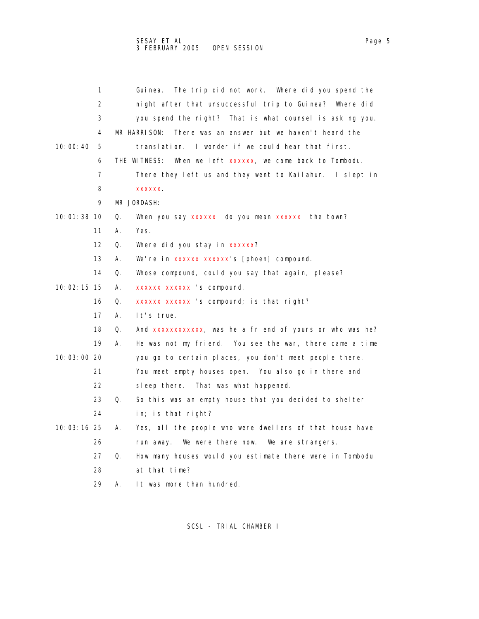1 Guinea. The trip did not work. Where did you spend the 2 night after that unsuccessful trip to Guinea? Where did 3 you spend the night? That is what counsel is asking you. 4 MR HARRISON: There was an answer but we haven't heard the 10:00:40 5 translation. I wonder if we could hear that first. 6 THE WITNESS: When we left xxxxxx, we came back to Tombodu. 7 There they left us and they went to Kailahun. I slept in 8 xxxxxx. 9 MR JORDASH: 10:01:38 10 Q. When you say xxxxxx do you mean xxxxxx the town? 11 A. Yes. 12 Q. Where did you stay in xxxxxx? 13 A. We're in xxxxxx xxxxxx's [phoen] compound. 14 Q. Whose compound, could you say that again, please? 10:02:15 15 A. xxxxxx xxxxxx 's compound. 16 Q. xxxxxx xxxxxx 's compound; is that right? 17 A. It's true. 18 Q. And xxxxxxxxxxxx, was he a friend of yours or who was he? 19 A. He was not my friend. You see the war, there came a time 10:03:00 20 you go to certain places, you don't meet people there. 21 You meet empty houses open. You also go in there and 22 sleep there. That was what happened. 23 Q. So this was an empty house that you decided to shelter 24 in; is that right? 10:03:16 25 A. Yes, all the people who were dwellers of that house have 26 run away. We were there now. We are strangers. 27 Q. How many houses would you estimate there were in Tombodu 28 at that time? 29 A. It was more than hundred.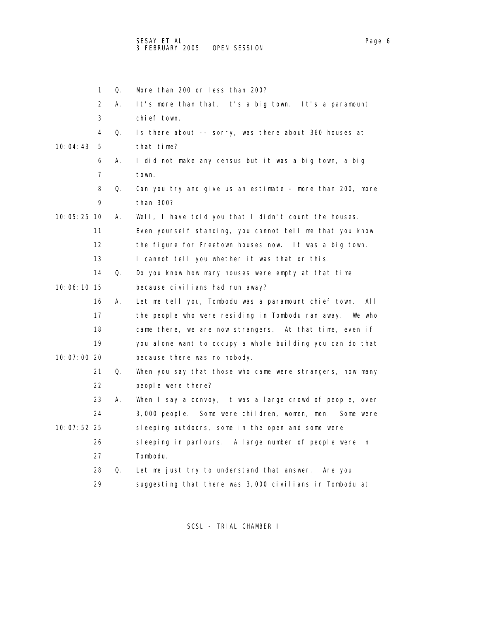|             | 1  | Q. | More than 200 or less than 200?                              |
|-------------|----|----|--------------------------------------------------------------|
|             | 2  | А. | It's more than that, it's a big town. It's a paramount       |
|             | 3  |    | chief town.                                                  |
|             | 4  | Q. | Is there about -- sorry, was there about 360 houses at       |
| 10:04:43    | 5  |    | that time?                                                   |
|             | 6  | Α. | I did not make any census but it was a big town, a big       |
|             | 7  |    | town.                                                        |
|             | 8  | Q. | Can you try and give us an estimate - more than 200, more    |
|             | 9  |    | than 300?                                                    |
| 10:05:25 10 |    | А. | Well, I have told you that I didn't count the houses.        |
|             | 11 |    | Even yourself standing, you cannot tell me that you know     |
|             | 12 |    | the figure for Freetown houses now. It was a big town.       |
|             | 13 |    | I cannot tell you whether it was that or this.               |
|             | 14 | Q. | Do you know how many houses were empty at that time          |
| 10:06:10 15 |    |    | because civilians had run away?                              |
|             | 16 | А. | Let me tell you, Tombodu was a paramount chief town.<br>AI I |
|             | 17 |    | the people who were residing in Tombodu ran away.<br>We who  |
|             | 18 |    | came there, we are now strangers. At that time, even if      |
|             | 19 |    | you alone want to occupy a whole building you can do that    |
| 10:07:00 20 |    |    | because there was no nobody.                                 |
|             | 21 | Q. | When you say that those who came were strangers, how many    |
|             | 22 |    | people were there?                                           |
|             | 23 | А. | When I say a convoy, it was a large crowd of people, over    |
|             | 24 |    | 3,000 people. Some were children, women, men. Some were      |
| 10:07:52 25 |    |    | sleeping outdoors, some in the open and some were            |
|             | 26 |    | sleeping in parlours. A large number of people were in       |
|             | 27 |    | Tombodu.                                                     |
|             | 28 | Q. | Let me just try to understand that answer. Are you           |
|             | 29 |    | suggesting that there was 3,000 civilians in Tombodu at      |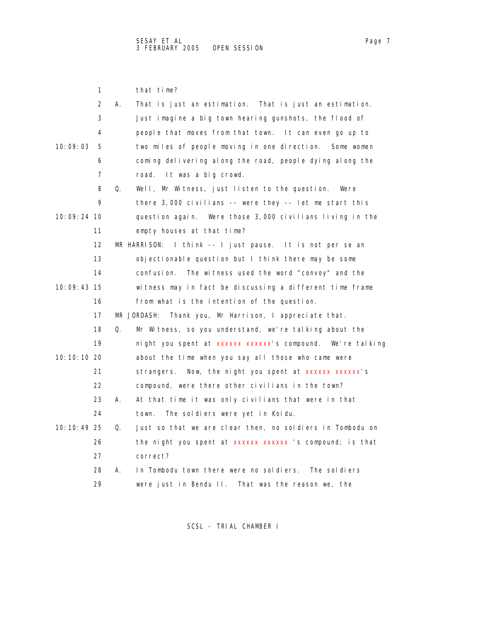|               | 1                 |              | that time?                                                 |
|---------------|-------------------|--------------|------------------------------------------------------------|
|               | 2                 | А.           | That is just an estimation. That is just an estimation.    |
|               | 3                 |              | Just imagine a big town hearing gunshots, the flood of     |
|               | 4                 |              | people that moves from that town. It can even go up to     |
| 10:09:03      | 5                 |              | two miles of people moving in one direction.<br>Some women |
|               | 6                 |              | coming delivering along the road, people dying along the   |
|               | 7                 |              | road.<br>It was a big crowd.                               |
|               | 8                 | Q.           | Well, Mr Witness, just listen to the question.<br>Were     |
|               | 9                 |              | there $3,000$ civilians -- were they -- let me start this  |
| $10:09:24$ 10 |                   |              | question again. Were those 3,000 civilians living in the   |
|               | 11                |              | empty houses at that time?                                 |
|               | $12 \overline{ }$ | MR HARRISON: | I think -- I just pause. It is not per se an               |
|               | 13                |              | objectionable question but I think there may be some       |
|               | 14                |              | confusi on.<br>The witness used the word "convoy" and the  |
| 10:09:43 15   |                   |              | witness may in fact be discussing a different time frame   |
|               | 16                |              | from what is the intention of the question.                |
|               | 17                | MR JORDASH:  | Thank you, Mr Harrison, I appreciate that.                 |
|               | 18                | Q.           | Mr Witness, so you understand, we're talking about the     |
|               | 19                |              | night you spent at xxxxxx xxxxxx's compound. We're talking |
| 10:10:10 20   |                   |              | about the time when you say all those who came were        |
|               | 21                |              | Now, the night you spent at xxxxxx xxxxxx's<br>strangers.  |
|               | 22                |              | compound, were there other civilians in the town?          |
|               | 23                | А.           | At that time it was only civilians that were in that       |
|               | 24                |              | The soldiers were yet in Koidu.<br>town.                   |
| 10:10:49 25   |                   | Q.           | Just so that we are clear then, no soldiers in Tombodu on  |
|               | 26                |              | the night you spent at xxxxxx xxxxxx 's compound; is that  |
|               | 27                |              | correct?                                                   |
|               | 28                | А.           | In Tombodu town there were no soldiers.<br>The soldiers    |
|               | 29                |              | were just in Bendu II. That was the reason we, the         |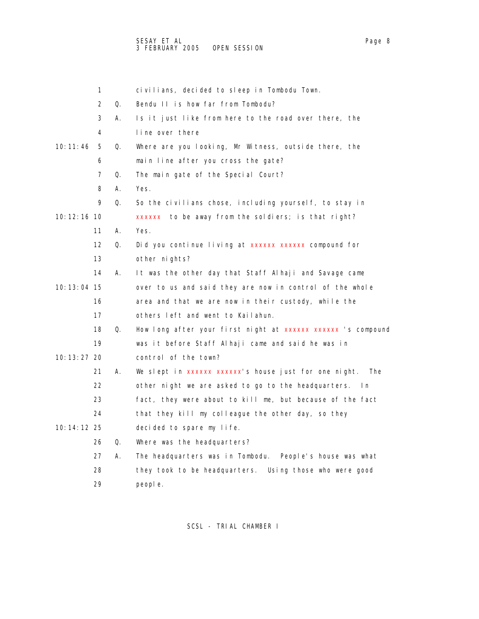|               | 1                 |    | civilians, decided to sleep in Tombodu Town.                        |
|---------------|-------------------|----|---------------------------------------------------------------------|
|               | $\overline{2}$    | Q. | Bendu II is how far from Tombodu?                                   |
|               | 3                 | А. | Is it just like from here to the road over there, the               |
|               | 4                 |    | line over there                                                     |
| 10:11:46      | 5                 | Q. | Where are you looking, Mr Witness, outside there, the               |
|               | 6                 |    | main line after you cross the gate?                                 |
|               | 7                 | Q. | The main gate of the Special Court?                                 |
|               | 8                 | А. | Yes.                                                                |
|               | 9                 | Q. | So the civilians chose, including yourself, to stay in              |
| 10: 12: 16 10 |                   |    | xxxxxx to be away from the soldiers; is that right?                 |
|               | 11                | А. | Yes.                                                                |
|               | $12 \overline{ }$ | Q. | Did you continue living at xxxxxx xxxxxx compound for               |
|               | 13                |    | other nights?                                                       |
|               | 14                | А. | It was the other day that Staff Alhaji and Savage came              |
| 10: 13: 04 15 |                   |    | over to us and said they are now in control of the whole            |
|               | 16                |    | area and that we are now in their custody, while the                |
|               | 17                |    | others left and went to Kailahun.                                   |
|               | 18                | Q. | How long after your first night at xxxxxx xxxxxx 's compound        |
|               | 19                |    | was it before Staff Alhaji came and said he was in                  |
| 10: 13: 27 20 |                   |    | control of the town?                                                |
|               | 21                | А. | We slept in xxxxxx xxxxxx s house just for one night.<br><b>The</b> |
|               | 22                |    | other night we are asked to go to the headquarters.<br>ln           |
|               | 23                |    | fact, they were about to kill me, but because of the fact           |
|               | 24                |    | that they kill my colleague the other day, so they                  |
| 10: 14: 12 25 |                   |    | decided to spare my life.                                           |
|               | 26                | Q. | Where was the headquarters?                                         |
|               | 27                | А. | The headquarters was in Tombodu.<br>People's house was what         |
|               | 28                |    | they took to be headquarters.<br>Using those who were good          |
|               | 29                |    | people.                                                             |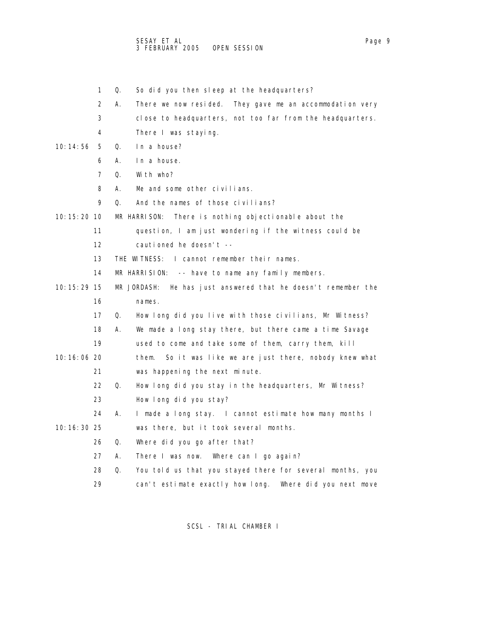- 1 Q. So did you then sleep at the headquarters?
- 2 A. There we now resided. They gave me an accommodation very
- 3 close to headquarters, not too far from the headquarters.
- 4 There I was staying.
- 10:14:56 5 Q. In a house?
	- 6 A. In a house.
	- 7 Q. With who?
	- 8 A. Me and some other civilians.
	- 9 Q. And the names of those civilians?
- 10:15:20 10 MR HARRISON: There is nothing objectionable about the
	- 11 question, I am just wondering if the witness could be
	- 12 cautioned he doesn't --
	- 13 THE WITNESS: I cannot remember their names.
	- 14 MR HARRISION: -- have to name any family members.
- 10:15:29 15 MR JORDASH: He has just answered that he doesn't remember the 16 names.
	- 17 Q. How long did you live with those civilians, Mr Witness?
	- 18 A. We made a long stay there, but there came a time Savage
	- 19 used to come and take some of them, carry them, kill
- 10:16:06 20 them. So it was like we are just there, nobody knew what 21 was happening the next minute.
	- 22 Q. How long did you stay in the headquarters, Mr Witness?
	- 23 How long did you stay?
- 24 A. I made a long stay. I cannot estimate how many months I 10:16:30 25 was there, but it took several months.
	- 26 Q. Where did you go after that?
	- 27 A. There I was now. Where can I go again?
	- 28 Q. You told us that you stayed there for several months, you
	- 29 can't estimate exactly how long. Where did you next move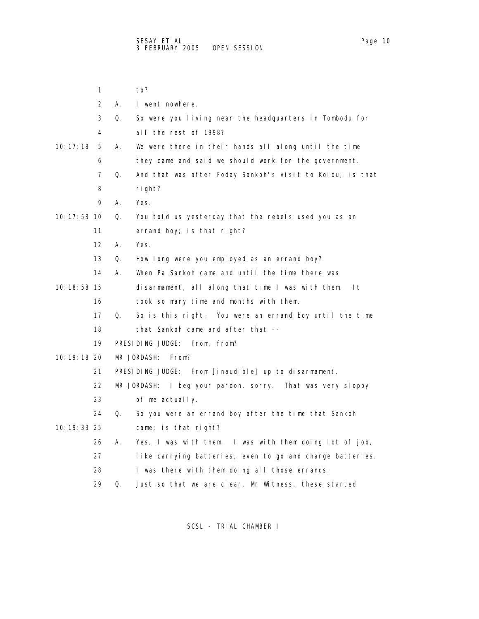|               | 1                 |    | to?                                                        |
|---------------|-------------------|----|------------------------------------------------------------|
|               | $\overline{2}$    | А. | I went nowhere.                                            |
|               | 3                 | Q. | So were you living near the headquarters in Tombodu for    |
|               | 4                 |    | all the rest of 1998?                                      |
| 10: 17: 18    | 5                 | А. | We were there in their hands all along until the time      |
|               | 6                 |    | they came and said we should work for the government.      |
|               | 7                 | Q. | And that was after Foday Sankoh's visit to Koidu; is that  |
|               | 8                 |    | ri ght?                                                    |
|               | 9                 | А. | Yes.                                                       |
| 10: 17: 53 10 |                   | Q. | You told us yesterday that the rebels used you as an       |
|               | 11                |    | errand boy; is that right?                                 |
|               | $12 \overline{ }$ | А. | Yes.                                                       |
|               | 13                | Q. | How long were you employed as an errand boy?               |
|               | 14                | А. | When Pa Sankoh came and until the time there was           |
| 10: 18: 58 15 |                   |    | disarmament, all along that time I was with them.<br>I t   |
|               | 16                |    | took so many time and months with them.                    |
|               | 17                | Q. | So is this right: You were an errand boy until the time    |
|               | 18                |    | that Sankoh came and after that --                         |
|               | 19                |    | PRESIDING JUDGE: From, from?                               |
| 10: 19: 18 20 |                   |    | MR JORDASH:<br>From?                                       |
|               | 21                |    | PRESIDING JUDGE: From [inaudible] up to disarmament.       |
|               | 22                |    | MR JORDASH: I beg your pardon, sorry. That was very sloppy |
|               | 23                |    | of me actually.                                            |
|               | 24                | Q. | So you were an errand boy after the time that Sankoh       |
| 10: 19: 33 25 |                   |    | came; is that right?                                       |
|               | 26                | Α. | Yes, I was with them. I was with them doing lot of job,    |
|               | 27                |    | like carrying batteries, even to go and charge batteries.  |
|               | 28                |    | I was there with them doing all those errands.             |
|               | 29                | Q. | Just so that we are clear, Mr Witness, these started       |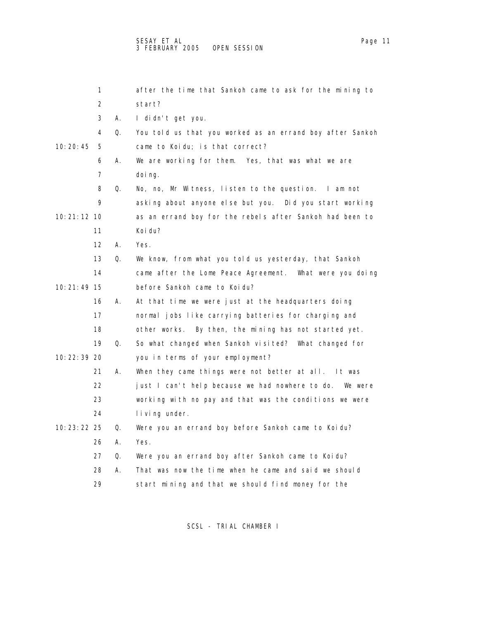1 after the time that Sankoh came to ask for the mining to 2 start? 3 A. I didn't get you. 4 Q. You told us that you worked as an errand boy after Sankoh 10:20:45 5 came to Koidu; is that correct? 6 A. We are working for them. Yes, that was what we are 7 doing. 8 Q. No, no, Mr Witness, listen to the question. I am not 9 asking about anyone else but you. Did you start working 10:21:12 10 as an errand boy for the rebels after Sankoh had been to 11 Koidu? 12 A. Yes. 13 Q. We know, from what you told us yesterday, that Sankoh 14 came after the Lome Peace Agreement. What were you doing 10:21:49 15 before Sankoh came to Koidu? 16 A. At that time we were just at the headquarters doing 17 normal jobs like carrying batteries for charging and 18 other works. By then, the mining has not started yet. 19 Q. So what changed when Sankoh visited? What changed for 10:22:39 20 you in terms of your employment? 21 A. When they came things were not better at all. It was 22 just I can't help because we had nowhere to do. We were 23 working with no pay and that was the conditions we were 24 living under. 10:23:22 25 Q. Were you an errand boy before Sankoh came to Koidu? 26 A. Yes. 27 Q. Were you an errand boy after Sankoh came to Koidu? 28 A. That was now the time when he came and said we should

SCSL - TRIAL CHAMBER I

29 start mining and that we should find money for the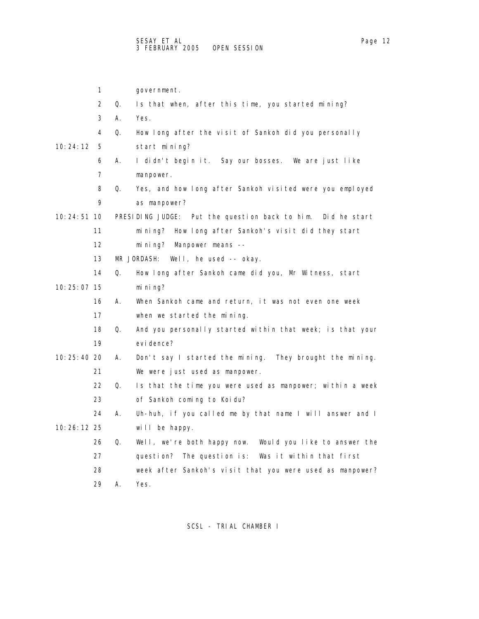1 government. 2 Q. Is that when, after this time, you started mining? 3 A. Yes. 4 Q. How long after the visit of Sankoh did you personally 10:24:12 5 start mining? 6 A. I didn't begin it. Say our bosses. We are just like 7 manpower. 8 Q. Yes, and how long after Sankoh visited were you employed 9 as manpower? 10:24:51 10 PRESIDING JUDGE: Put the question back to him. Did he start 11 mining? How long after Sankoh's visit did they start 12 mining? Manpower means -- 13 MR JORDASH: Well, he used -- okay. 14 Q. How long after Sankoh came did you, Mr Witness, start 10:25:07 15 mining? 16 A. When Sankoh came and return, it was not even one week 17 when we started the mining. 18 Q. And you personally started within that week; is that your 19 evidence? 10:25:40 20 A. Don't say I started the mining. They brought the mining. 21 We were just used as manpower. 22 Q. Is that the time you were used as manpower; within a week 23 of Sankoh coming to Koidu? 24 A. Uh-huh, if you called me by that name I will answer and I 10:26:12 25 will be happy. 26 Q. Well, we're both happy now. Would you like to answer the 27 question? The question is: Was it within that first 28 week after Sankoh's visit that you were used as manpower? 29 A. Yes.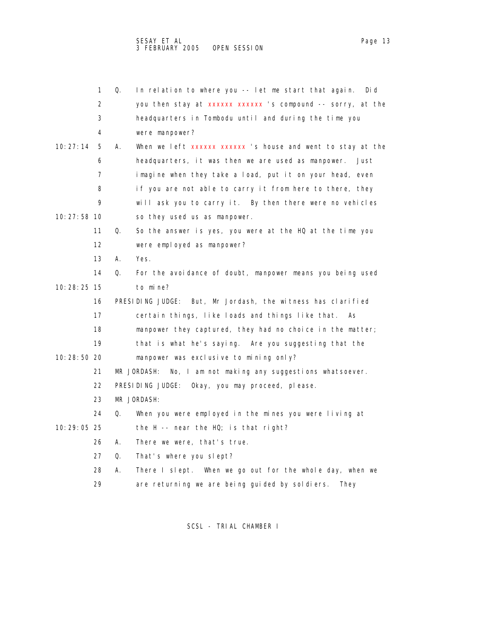|               | 1  | Q. | In relation to where you -- let me start that again.<br>Di d   |
|---------------|----|----|----------------------------------------------------------------|
|               | 2  |    | you then stay at xxxxxx xxxxxx 's compound -- sorry, at the    |
|               | 3  |    | headquarters in Tombodu until and during the time you          |
|               | 4  |    | were manpower?                                                 |
| 10: 27: 14    | 5  | А. | When we left xxxxxx xxxxxx 's house and went to stay at the    |
|               | 6  |    | headquarters, it was then we are used as manpower.<br>Just     |
|               | 7  |    | imagine when they take a load, put it on your head, even       |
|               | 8  |    | if you are not able to carry it from here to there, they       |
|               | 9  |    | will ask you to carry it. By then there were no vehicles       |
| 10: 27: 58 10 |    |    | so they used us as manpower.                                   |
|               | 11 | Q. | So the answer is yes, you were at the HQ at the time you       |
|               | 12 |    | were employed as manpower?                                     |
|               | 13 | А. | Yes.                                                           |
|               | 14 | Q. | For the avoidance of doubt, manpower means you being used      |
| 10: 28: 25 15 |    |    | to mine?                                                       |
|               | 16 |    | PRESIDING JUDGE: But, Mr Jordash, the witness has clarified    |
|               | 17 |    | certain things, like loads and things like that.<br>As         |
|               | 18 |    | manpower they captured, they had no choice in the matter;      |
|               | 19 |    | that is what he's saying. Are you suggesting that the          |
| 10:28:50 20   |    |    | manpower was exclusive to mining only?                         |
|               | 21 |    | No, I am not making any suggestions whatsoever.<br>MR JORDASH: |
|               | 22 |    | PRESIDING JUDGE:<br>Okay, you may proceed, please.             |
|               | 23 |    | MR JORDASH:                                                    |
|               | 24 | Q. | When you were employed in the mines you were living at         |
| 10: 29: 05 25 |    |    | the H -- near the HQ; is that right?                           |
|               | 26 | А. | There we were, that's true.                                    |
|               | 27 | Q. | That's where you slept?                                        |
|               | 28 | А. | There I slept. When we go out for the whole day, when we       |
|               | 29 |    | are returning we are being guided by soldiers.<br>They         |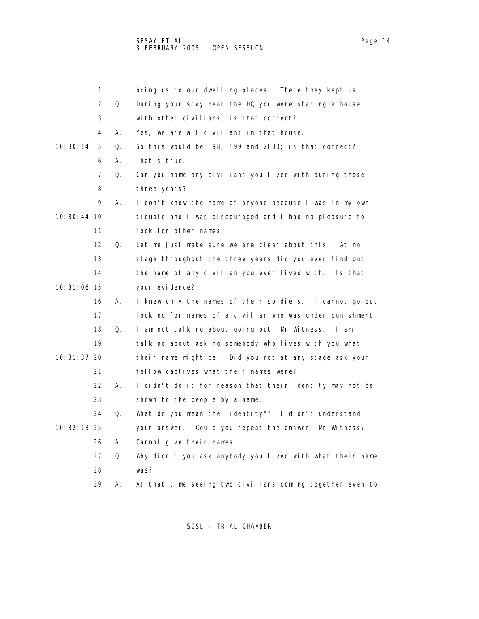|               | 1  |    | bring us to our dwelling places. There they kept us.      |
|---------------|----|----|-----------------------------------------------------------|
|               | 2  | Q. | During your stay near the HQ you were sharing a house     |
|               | 3  |    | with other civilians; is that correct?                    |
|               | 4  | А. | Yes, we are all civilians in that house.                  |
| 10: 30: 14    | 5  | Q. | So this would be '98, '99 and 2000; is that correct?      |
|               | 6  | А. | That's true.                                              |
|               | 7  | Q. | Can you name any civilians you lived with during those    |
|               | 8  |    | three years?                                              |
|               | 9  | Α. | I don't know the name of anyone because I was in my own   |
| 10: 30: 44 10 |    |    | trouble and I was discouraged and I had no pleasure to    |
|               | 11 |    | look for other names.                                     |
|               | 12 | Q. | Let me just make sure we are clear about this.<br>At no   |
|               | 13 |    | stage throughout the three years did you ever find out    |
|               | 14 |    | the name of any civilian you ever lived with.<br>Is that  |
| 10: 31: 06 15 |    |    | your evi dence?                                           |
|               | 16 | А. | I knew only the names of their soldiers. I cannot go out  |
|               | 17 |    | looking for names of a civilian who was under punishment. |
|               | 18 | Q. | I am not talking about going out, Mr Witness. I am        |
|               | 19 |    | talking about asking somebody who lives with you what     |
| 10: 31: 37 20 |    |    | their name might be. Did you not at any stage ask your    |
|               | 21 |    | fellow captives what their names were?                    |
|               | 22 | А. | I didn't do it for reason that their identity may not be  |
|               | 23 |    | shown to the people by a name.                            |
|               | 24 | Q. | What do you mean the "identity"? I didn't understand      |
| 10: 32: 13 25 |    |    | your answer. Could you repeat the answer, Mr Witness?     |
|               | 26 | А. | Cannot give their names.                                  |
|               | 27 | Q. | Why didn't you ask anybody you lived with what their name |
|               | 28 |    | was?                                                      |
|               | 29 | А. | At that time seeing two civilians coming together even to |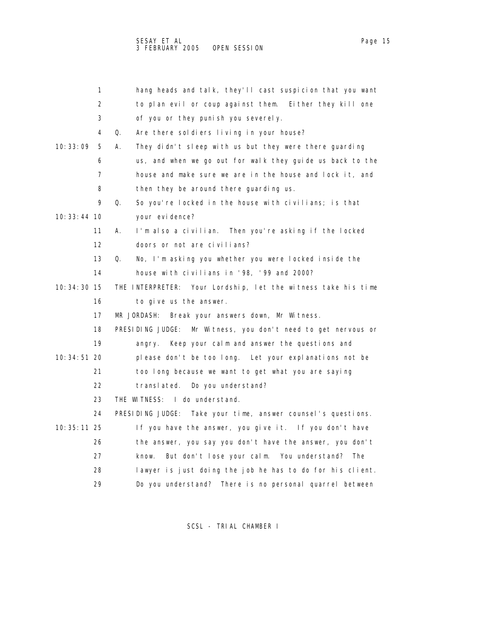|               | 1  | hang heads and talk, they'll cast suspicion that you want        |
|---------------|----|------------------------------------------------------------------|
|               | 2  | to plan evil or coup against them. Either they kill one          |
|               | 3  | of you or they punish you severely.                              |
|               | 4  | Q.<br>Are there soldiers living in your house?                   |
| 10: 33: 09    | 5  | А.<br>They didn't sleep with us but they were there guarding     |
|               | 6  | us, and when we go out for walk they guide us back to the        |
|               | 7  | house and make sure we are in the house and lock it, and         |
|               | 8  | then they be around there guarding us.                           |
|               | 9  | So you're locked in the house with civilians; is that<br>Q.      |
| 10: 33: 44 10 |    | your evi dence?                                                  |
|               | 11 | I'm also a civilian. Then you're asking if the locked<br>А.      |
|               | 12 | doors or not are civilians?                                      |
|               | 13 | No, I'm asking you whether you were locked inside the<br>Q.      |
|               | 14 | house with civilians in '98, '99 and 2000?                       |
| 10: 34: 30 15 |    | THE INTERPRETER: Your Lordship, let the witness take his time    |
|               | 16 | to give us the answer.                                           |
|               | 17 | MR JORDASH:<br>Break your answers down, Mr Witness.              |
|               | 18 | PRESIDING JUDGE:<br>Mr Witness, you don't need to get nervous or |
|               | 19 | Keep your calm and answer the questions and<br>angry.            |
| 10: 34: 51 20 |    | please don't be too long. Let your explanations not be           |
|               | 21 | too long because we want to get what you are saying              |
|               | 22 | Do you understand?<br>translated.                                |
|               | 23 | THE WITNESS: I do understand.                                    |
|               | 24 | PRESIDING JUDGE: Take your time, answer counsel's questions.     |
| 10: 35: 11 25 |    | If you have the answer, you give it. If you don't have           |
|               | 26 | the answer, you say you don't have the answer, you don't         |
|               | 27 | But don't lose your calm. You understand?<br>know.<br>The        |
|               | 28 | lawyer is just doing the job he has to do for his client.        |
|               | 29 | Do you understand? There is no personal quarrel between          |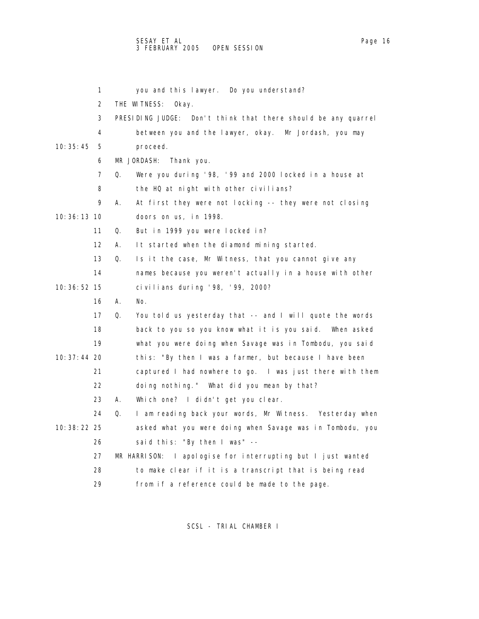1 you and this lawyer. Do you understand? 2 THE WITNESS: Okay. 3 PRESIDING JUDGE: Don't think that there should be any quarrel 4 between you and the lawyer, okay. Mr Jordash, you may 10:35:45 5 proceed. 6 MR JORDASH: Thank you. 7 Q. Were you during '98, '99 and 2000 locked in a house at 8 the HQ at night with other civilians? 9 A. At first they were not locking -- they were not closing 10:36:13 10 doors on us, in 1998. 11 Q. But in 1999 you were locked in? 12 A. It started when the diamond mining started. 13 Q. Is it the case, Mr Witness, that you cannot give any 14 names because you weren't actually in a house with other 10:36:52 15 civilians during '98, '99, 2000? 16 A. No. 17 Q. You told us yesterday that -- and I will quote the words 18 back to you so you know what it is you said. When asked 19 what you were doing when Savage was in Tombodu, you said 10:37:44 20 this: "By then I was a farmer, but because I have been 21 captured I had nowhere to go. I was just there with them 22 doing nothing." What did you mean by that? 23 A. Which one? I didn't get you clear. 24 Q. I am reading back your words, Mr Witness. Yesterday when 10:38:22 25 asked what you were doing when Savage was in Tombodu, you 26 said this: "By then I was" -- 27 MR HARRISON: I apologise for interrupting but I just wanted 28 to make clear if it is a transcript that is being read 29 from if a reference could be made to the page.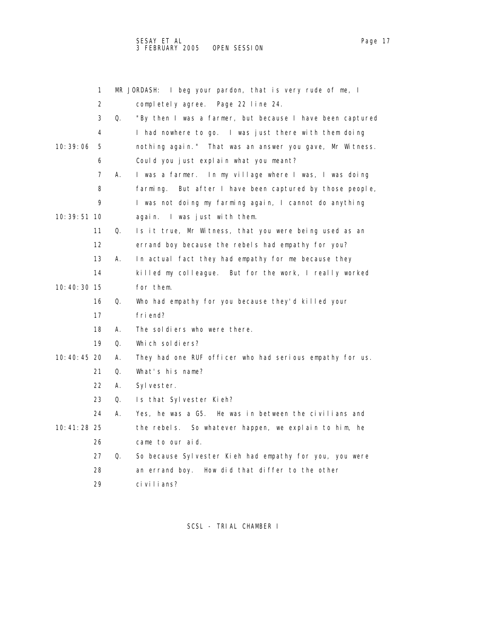|               | 1  |    | MR JORDASH: I beg your pardon, that is very rude of me, I   |
|---------------|----|----|-------------------------------------------------------------|
|               | 2  |    | completely agree. Page 22 line 24.                          |
|               | 3  | Q. | "By then I was a farmer, but because I have been captured   |
|               | 4  |    | I had nowhere to go. I was just there with them doing       |
| 10: 39: 06    | 5  |    | nothing again." That was an answer you gave, Mr Witness.    |
|               | 6  |    | Could you just explain what you meant?                      |
|               | 7  | А. | I was a farmer. In my village where I was, I was doing      |
|               | 8  |    | But after I have been captured by those people,<br>farming. |
|               | 9  |    | I was not doing my farming again, I cannot do anything      |
| 10: 39: 51 10 |    |    | again. I was just with them.                                |
|               | 11 | Q. | Is it true, Mr Witness, that you were being used as an      |
|               | 12 |    | errand boy because the rebels had empathy for you?          |
|               | 13 | А. | In actual fact they had empathy for me because they         |
|               | 14 |    | killed my colleague. But for the work, I really worked      |
| 10:40:30 15   |    |    | for them.                                                   |
|               | 16 | Q. | Who had empathy for you because they'd killed your          |
|               | 17 |    | friend?                                                     |
|               | 18 | А. | The soldiers who were there.                                |
|               | 19 | Q. | Which soldiers?                                             |
| 10:40:45 20   |    | А. | They had one RUF officer who had serious empathy for us.    |
|               | 21 | Q. | What's his name?                                            |
|               | 22 | А. | Sylvester.                                                  |
|               | 23 | Q. | Is that Sylvester Kieh?                                     |
|               | 24 | А. | Yes, he was a G5. He was in between the civilians and       |
| 10:41:28 25   |    |    | the rebels. So whatever happen, we explain to him, he       |
|               | 26 |    | came to our aid.                                            |
|               | 27 | Q. | So because Sylvester Kieh had empathy for you, you were     |
|               | 28 |    | an errand boy.<br>How did that differ to the other          |
|               | 29 |    | ci vi I i ans?                                              |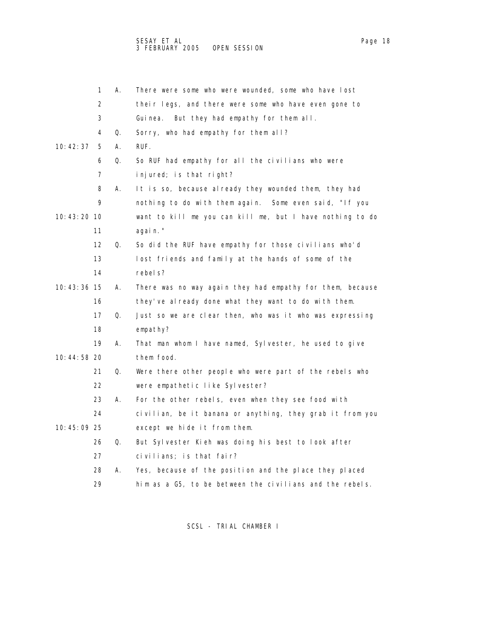SESAY ET AL Page 18 and the set of the set of the set of the set of the set of the set of the set of the set o 3 FEBRUARY 2005 OPEN SESSION

|               | 1                 | А. | There were some who were wounded, some who have lost      |
|---------------|-------------------|----|-----------------------------------------------------------|
|               | 2                 |    | their legs, and there were some who have even gone to     |
|               | 3                 |    | But they had empathy for them all.<br>Gui nea.            |
|               | 4                 | Q. | Sorry, who had empathy for them all?                      |
| 10: 42: 37    | 5                 | А. | RUF.                                                      |
|               | 6                 | Q. | So RUF had empathy for all the civilians who were         |
|               | 7                 |    | injured; is that right?                                   |
|               | 8                 | А. | It is so, because al ready they wounded them, they had    |
|               | 9                 |    | nothing to do with them again. Some even said, "If you    |
| 10: 43: 20 10 |                   |    | want to kill me you can kill me, but I have nothing to do |
|               | 11                |    | agai n. "                                                 |
|               | $12 \overline{ }$ | Q. | So did the RUF have empathy for those civilians who'd     |
|               | 13                |    | lost friends and family at the hands of some of the       |
|               | 14                |    | rebel s?                                                  |
| 10:43:36 15   |                   | А. | There was no way again they had empathy for them, because |
|               | 16                |    | they've already done what they want to do with them.      |
|               | 17                | Q. | Just so we are clear then, who was it who was expressing  |
|               | 18                |    | empathy?                                                  |
|               | 19                | А. | That man whom I have named, Sylvester, he used to give    |
| 10:44:58 20   |                   |    | them food.                                                |
|               | 21                | Q. | Were there other people who were part of the rebels who   |
|               | 22                |    | were empathetic like Sylvester?                           |
|               | 23                | А. | For the other rebels, even when they see food with        |
|               | 24                |    | civilian, be it banana or anything, they grab it from you |
| 10:45:09 25   |                   |    | except we hide it from them.                              |
|               | 26                | Q. | But Sylvester Kieh was doing his best to look after       |
|               | 27                |    | civilians; is that fair?                                  |
|               | 28                | А. | Yes, because of the position and the place they placed    |
|               |                   |    |                                                           |

29 him as a G5, to be between the civilians and the rebels.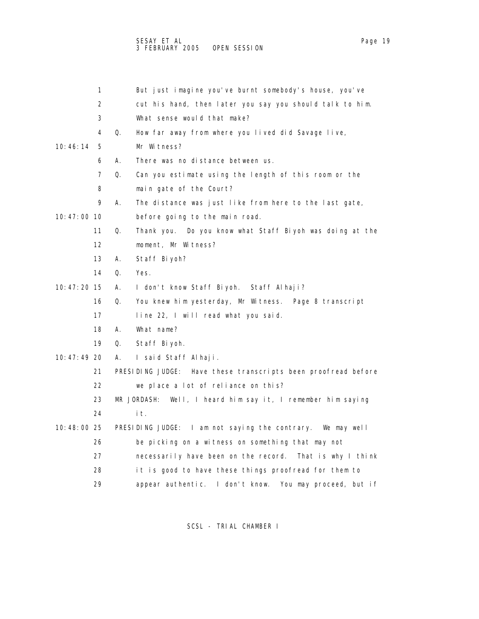1 But just imagine you've burnt somebody's house, you've 2 cut his hand, then later you say you should talk to him. 3 What sense would that make? 4 Q. How far away from where you lived did Savage live, 10:46:14 5 Mr Witness? 6 A. There was no distance between us. 7 Q. Can you estimate using the length of this room or the 8 main gate of the Court? 9 A. The distance was just like from here to the last gate, 10:47:00 10 before going to the main road. 11 Q. Thank you. Do you know what Staff Biyoh was doing at the 12 moment, Mr Witness? 13 A. Staff Biyoh? 14 Q. Yes. 10:47:20 15 A. I don't know Staff Biyoh. Staff Alhaji? 16 Q. You knew him yesterday, Mr Witness. Page 8 transcript 17 line 22, I will read what you said. 18 A. What name? 19 Q. Staff Biyoh. 10:47:49 20 A. I said Staff Alhaji. 21 PRESIDING JUDGE: Have these transcripts been proofread before 22 we place a lot of reliance on this? 23 MR JORDASH: Well, I heard him say it, I remember him saying 24 it. 10:48:00 25 PRESIDING JUDGE: I am not saying the contrary. We may well 26 be picking on a witness on something that may not 27 necessarily have been on the record. That is why I think 28 it is good to have these things proofread for them to 29 appear authentic. I don't know. You may proceed, but if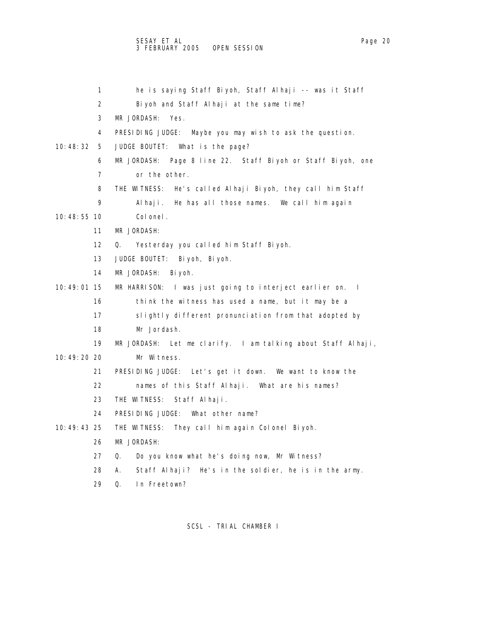## SESAY ET AL Page 20 3 FEBRUARY 2005 OPEN SESSION

 1 he is saying Staff Biyoh, Staff Alhaji -- was it Staff 2 Biyoh and Staff Alhaji at the same time? 4 PRESIDING JUDGE: Maybe you may wish to ask the question. 10:48:32 5 JUDGE BOUTET: What is the page? 6 MR JORDASH: Page 8 line 22. Staff Biyoh or Staff Biyoh, one

8 THE WITNESS: He's called Alhaji Biyoh, they call him Staff

9 Alhaji. He has all those names. We call him again

10:48:55 10 Colonel.

- 11 MR JORDASH:
- 12 Q. Yesterday you called him Staff Biyoh.
- 13 JUDGE BOUTET: Biyoh, Biyoh.
- 14 MR JORDASH: Biyoh.

3 MR JORDASH: Yes.

7 or the other.

10:49:01 15 MR HARRISON: I was just going to interject earlier on. I

- 16 think the witness has used a name, but it may be a
- 17 slightly different pronunciation from that adopted by
- 18 Mr Jordash.

19 MR JORDASH: Let me clarify. I am talking about Staff Alhaji,

- 10:49:20 20 Mr Witness.
	- 21 PRESIDING JUDGE: Let's get it down. We want to know the
	- 22 names of this Staff Alhaji. What are his names?
	- 23 THE WITNESS: Staff Alhaji.
	- 24 PRESIDING JUDGE: What other name?
- 10:49:43 25 THE WITNESS: They call him again Colonel Biyoh.
	- 26 MR JORDASH:
	- 27 Q. Do you know what he's doing now, Mr Witness?
	- 28 A. Staff Alhaji? He's in the soldier, he is in the army.
	- 29 Q. In Freetown?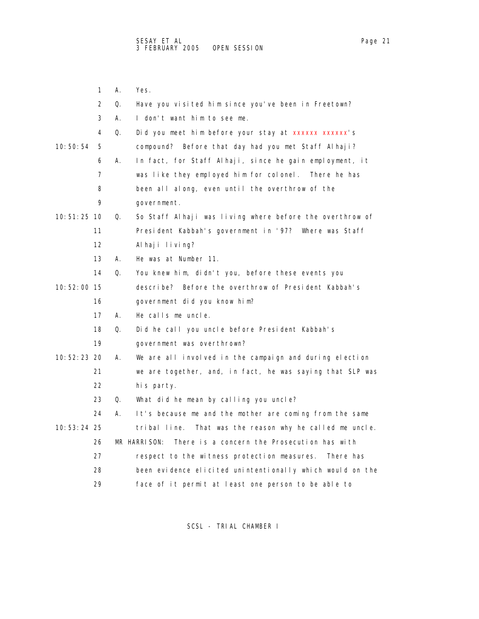|               | 1  | Α. | Yes.                                                        |
|---------------|----|----|-------------------------------------------------------------|
|               | 2  | 0. | Have you visited him since you've been in Freetown?         |
|               | 3  | А. | I don't want him to see me.                                 |
|               | 4  | Q. | Did you meet him before your stay at xxxxxx xxxxxx's        |
| 10: 50: 54    | 5  |    | compound? Before that day had you met Staff Alhaji?         |
|               | 6  | А. | In fact, for Staff Alhaji, since he gain employment, it     |
|               | 7  |    | was like they employed him for colonel. There he has        |
|               | 8  |    | been all along, even until the overthrow of the             |
|               | 9  |    | government.                                                 |
| 10: 51: 25 10 |    | Q. | So Staff Alhaji was living where before the overthrow of    |
|               | 11 |    | President Kabbah's government in '97? Where was Staff       |
|               | 12 |    | Al haji living?                                             |
|               | 13 | А. | He was at Number 11.                                        |
|               | 14 | Q. | You knew him, didn't you, before these events you           |
| 10:52:00 15   |    |    | describe? Before the overthrow of President Kabbah's        |
|               | 16 |    | government did you know him?                                |
|               | 17 | А. | He calls me uncle.                                          |
|               | 18 | Q. | Did he call you uncle before President Kabbah's             |
|               | 19 |    | government was overthrown?                                  |
| 10:52:23 20   |    | А. | We are all involved in the campaign and during election     |
|               | 21 |    | we are together, and, in fact, he was saying that SLP was   |
|               | 22 |    | his party.                                                  |
|               | 23 | Q. | What did he mean by calling you uncle?                      |
|               | 24 | А. | It's because me and the mother are coming from the same     |
| 10: 53: 24 25 |    |    | That was the reason why he called me uncle.<br>tribal line. |
|               | 26 |    | MR HARRISON:<br>There is a concern the Prosecution has with |
|               | 27 |    | respect to the witness protection measures. There has       |
|               | 28 |    | been evidence elicited unintentionally which would on the   |
|               | 29 |    | face of it permit at least one person to be able to         |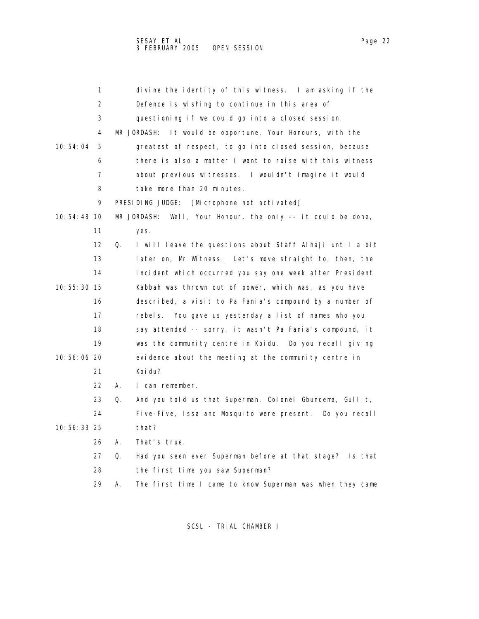|               | 1                 |    | divine the identity of this witness. I am asking if the         |
|---------------|-------------------|----|-----------------------------------------------------------------|
|               | 2                 |    | Defence is wishing to continue in this area of                  |
|               | 3                 |    | questioning if we could go into a closed session.               |
|               | 4                 |    | It would be opportune, Your Honours, with the<br>MR JORDASH:    |
| 10: 54: 04    | 5                 |    | greatest of respect, to go into closed session, because         |
|               | 6                 |    | there is also a matter I want to raise with this witness        |
|               | 7                 |    | about previous witnesses. I wouldn't imagine it would           |
|               | 8                 |    | take more than 20 minutes.                                      |
|               | 9                 |    | PRESIDING JUDGE:<br>[Microphone not activated]                  |
| 10: 54: 48 10 |                   |    | Well, Your Honour, the only -- it could be done,<br>MR JORDASH: |
|               | 11                |    | yes.                                                            |
|               | $12 \overline{ }$ | Q. | I will leave the questions about Staff Alhaji until a bit       |
|               | 13                |    | later on, Mr Witness.<br>Let's move straight to, then, the      |
|               | 14                |    | incident which occurred you say one week after President        |
| 10:55:30 15   |                   |    | Kabbah was thrown out of power, which was, as you have          |
|               | 16                |    | described, a visit to Pa Fania's compound by a number of        |
|               | 17                |    | rebels. You gave us yesterday a list of names who you           |
|               | 18                |    | say attended -- sorry, it wasn't Pa Fania's compound, it        |
|               | 19                |    | was the community centre in Koidu. Do you recall giving         |
| 10:56:06 20   |                   |    | evidence about the meeting at the community centre in           |
|               | 21                |    | Koi du?                                                         |
|               | 22                | А. | I can remember.                                                 |
|               | 23                | Q. | And you told us that Superman, Colonel Gbundema, Gullit,        |
|               | 24                |    | Five-Five, Issa and Mosquito were present.<br>Do you recall     |
| 10:56:33 25   |                   |    | that?                                                           |
|               | 26                | А. | That's true.                                                    |
|               | 27                | Q. | Had you seen ever Superman before at that stage? Is that        |
|               | 28                |    | the first time you saw Superman?                                |
|               | 29                | Α. | The first time I came to know Superman was when they came       |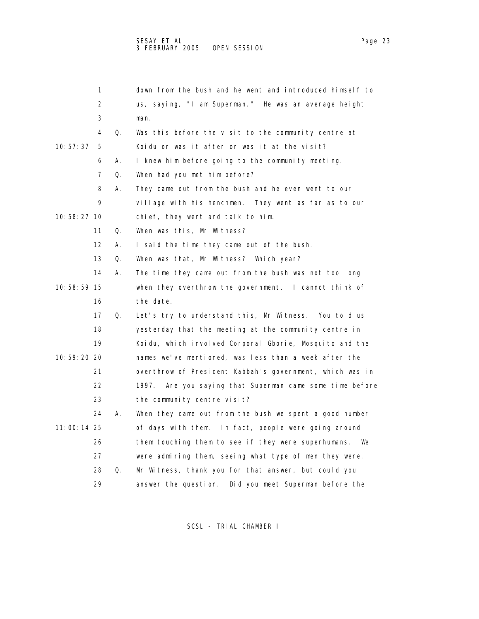|             | 1                 |    | down from the bush and he went and introduced himself to    |
|-------------|-------------------|----|-------------------------------------------------------------|
|             | 2                 |    | us, saying, "I am Superman." He was an average height       |
|             | 3                 |    | man.                                                        |
|             | 4                 | Q. | Was this before the visit to the community centre at        |
| 10:57:37    | 5                 |    | Koidu or was it after or was it at the visit?               |
|             | 6                 | А. | I knew him before going to the community meeting.           |
|             | 7                 | Q. | When had you met him before?                                |
|             | 8                 | А. | They came out from the bush and he even went to our         |
|             | 9                 |    | village with his henchmen. They went as far as to our       |
| 10:58:27 10 |                   |    | chief, they went and talk to him.                           |
|             | 11                | Q. | When was this, Mr Witness?                                  |
|             | $12 \overline{ }$ | А. | I said the time they came out of the bush.                  |
|             | 13                | Q. | When was that, Mr Witness? Which year?                      |
|             | 14                | А. | The time they came out from the bush was not too long       |
| 10:58:59 15 |                   |    | when they overthrow the government. I cannot think of       |
|             | 16                |    | the date.                                                   |
|             | 17                | Q. | Let's try to understand this, Mr Witness. You told us       |
|             | 18                |    | yesterday that the meeting at the community centre in       |
|             | 19                |    | Koidu, which involved Corporal Gborie, Mosquito and the     |
| 10:59:20 20 |                   |    | names we've mentioned, was less than a week after the       |
|             | 21                |    | overthrow of President Kabbah's government, which was in    |
|             | 22                |    | 1997.<br>Are you saying that Superman came some time before |
|             | 23                |    | the community centre visit?                                 |
|             | 24                | А. | When they came out from the bush we spent a good number     |
| 11:00:14 25 |                   |    | of days with them. In fact, people were going around        |
|             | 26                |    | them touching them to see if they were superhumans.<br>We   |
|             | 27                |    | were admiring them, seeing what type of men they were.      |
|             | 28                | Q. | Mr Witness, thank you for that answer, but could you        |
|             | 29                |    | Did you meet Superman before the<br>answer the question.    |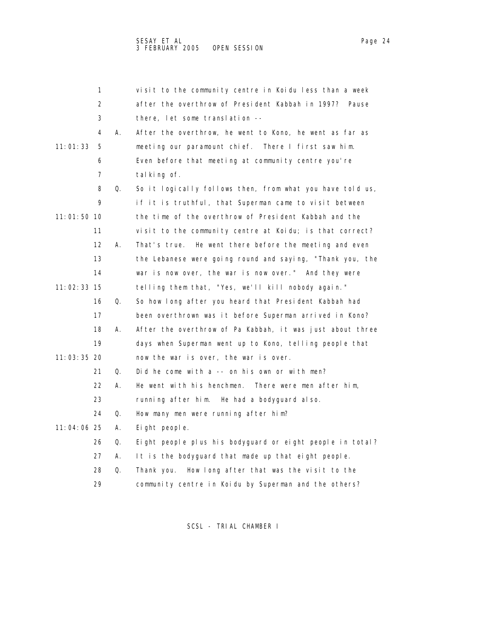1 visit to the community centre in Koidu less than a week 2 after the overthrow of President Kabbah in 1997? Pause 3 there, let some translation -- 4 A. After the overthrow, he went to Kono, he went as far as 11:01:33 5 meeting our paramount chief. There I first saw him. 6 Even before that meeting at community centre you're 7 talking of. 8 Q. So it logically follows then, from what you have told us, 9 if it is truthful, that Superman came to visit between 11:01:50 10 the time of the overthrow of President Kabbah and the 11 visit to the community centre at Koidu; is that correct? 12 A. That's true. He went there before the meeting and even 13 the Lebanese were going round and saying, "Thank you, the 14 war is now over, the war is now over." And they were 11:02:33 15 telling them that, "Yes, we'll kill nobody again." 16 Q. So how long after you heard that President Kabbah had 17 been overthrown was it before Superman arrived in Kono? 18 A. After the overthrow of Pa Kabbah, it was just about three 19 days when Superman went up to Kono, telling people that 11:03:35 20 now the war is over, the war is over. 21 Q. Did he come with a -- on his own or with men? 22 A. He went with his henchmen. There were men after him, 23 running after him. He had a bodyguard also. 24 Q. How many men were running after him? 11:04:06 25 A. Eight people.

26 Q. Eight people plus his bodyguard or eight people in total?

27 A. It is the bodyguard that made up that eight people.

28 Q. Thank you. How long after that was the visit to the

29 community centre in Koidu by Superman and the others?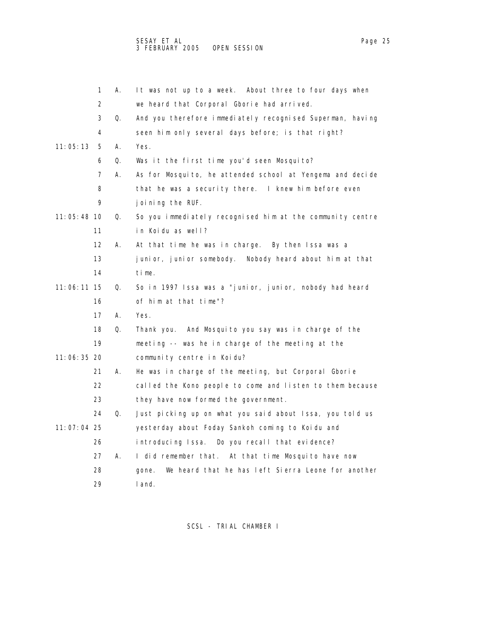|               | 1                 | А. | It was not up to a week. About three to four days when      |
|---------------|-------------------|----|-------------------------------------------------------------|
|               | 2                 |    | we heard that Corporal Gborie had arrived.                  |
|               | 3                 | Q. | And you therefore immediately recognised Superman, having   |
|               | 4                 |    | seen him only several days before; is that right?           |
| 11:05:13      | 5                 | А. | Yes.                                                        |
|               | 6                 | Q. | Was it the first time you'd seen Mosquito?                  |
|               | 7                 | А. | As for Mosquito, he attended school at Yengema and decide   |
|               | 8                 |    | that he was a security there. I knew him before even        |
|               | 9                 |    | joining the RUF.                                            |
| 11:05:48 10   |                   | Q. | So you immediately recognised him at the community centre   |
|               | 11                |    | in Koidu as well?                                           |
|               | $12 \overline{ }$ | А. | At that time he was in charge. By then Issa was a           |
|               | 13                |    | junior, junior somebody.<br>Nobody heard about him at that  |
|               | 14                |    | time.                                                       |
| $11:06:11$ 15 |                   | Q. | So in 1997 Issa was a "junior, junior, nobody had heard     |
|               | 16                |    | of him at that time"?                                       |
|               | 17                | А. | Yes.                                                        |
|               | 18                | Q. | Thank you. And Mosquito you say was in charge of the        |
|               | 19                |    | meeting -- was he in charge of the meeting at the           |
| 11:06:35 20   |                   |    | community centre in Koidu?                                  |
|               | 21                | А. | He was in charge of the meeting, but Corporal Gborie        |
|               | 22                |    | called the Kono people to come and listen to them because   |
|               | 23                |    | they have now formed the government.                        |
|               | 24                | Q. | Just picking up on what you said about Issa, you told us    |
| 11:07:04 25   |                   |    | yesterday about Foday Sankoh coming to Koidu and            |
|               | 26                |    | introducing Issa. Do you recall that evidence?              |
|               | 27                | А. | I did remember that.<br>At that time Mosquito have now      |
|               | 28                |    | We heard that he has left Sierra Leone for another<br>gone. |
|               | 29                |    | I and.                                                      |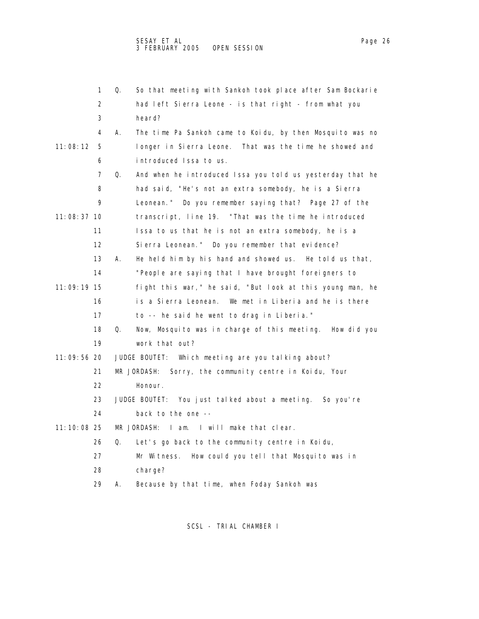|             | 1  | Q. | So that meeting with Sankoh took place after Sam Bockarie  |
|-------------|----|----|------------------------------------------------------------|
|             | 2  |    | had left Sierra Leone - is that right - from what you      |
|             | 3  |    | heard?                                                     |
|             | 4  | А. | The time Pa Sankoh came to Koidu, by then Mosquito was no  |
| 11: 08: 12  | 5  |    | longer in Sierra Leone. That was the time he showed and    |
|             | 6  |    | introduced Issa to us.                                     |
|             | 7  | Q. | And when he introduced Issa you told us yesterday that he  |
|             | 8  |    | had said, "He's not an extra somebody, he is a Sierra      |
|             | 9  |    | Leonean." Do you remember saying that? Page 27 of the      |
| 11:08:37 10 |    |    | transcript, line 19. "That was the time he introduced      |
|             | 11 |    | Issa to us that he is not an extra somebody, he is a       |
|             | 12 |    | Sierra Leonean." Do you remember that evidence?            |
|             | 13 | А. | He held him by his hand and showed us. He told us that,    |
|             | 14 |    | "People are saying that I have brought foreigners to       |
| 11:09:19 15 |    |    | fight this war, " he said, "But look at this young man, he |
|             | 16 |    | is a Sierra Leonean. We met in Liberia and he is there     |
|             | 17 |    | to -- he said he went to drag in Liberia."                 |
|             | 18 | Q. | Now, Mosquito was in charge of this meeting. How did you   |
|             | 19 |    | work that out?                                             |
| 11:09:56 20 |    |    | JUDGE BOUTET: Which meeting are you talking about?         |
|             | 21 |    | MR JORDASH:<br>Sorry, the community centre in Koidu, Your  |
|             | 22 |    | Honour.                                                    |
|             | 23 |    | JUDGE BOUTET: You just talked about a meeting. So you're   |
|             | 24 |    | back to the one --                                         |
| 11:10:08 25 |    |    | MR JORDASH: I am. I will make that clear.                  |
|             | 26 | Q. | Let's go back to the community centre in Koidu,            |
|             | 27 |    | Mr Witness. How could you tell that Mosquito was in        |
|             | 28 |    | charge?                                                    |
|             | 29 | А. | Because by that time, when Foday Sankoh was                |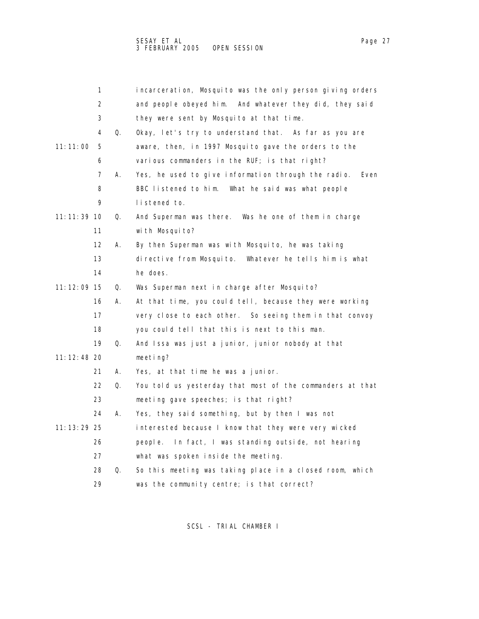| 1             |    | incarceration, Mosquito was the only person giving orders   |
|---------------|----|-------------------------------------------------------------|
| 2             |    | and people obeyed him. And whatever they did, they said     |
| 3             |    | they were sent by Mosquito at that time.                    |
| 4             | Q. | Okay, let's try to understand that. As far as you are       |
| 11:11:00<br>5 |    | aware, then, in 1997 Mosquito gave the orders to the        |
| 6             |    | various commanders in the RUF; is that right?               |
| 7             | А. | Yes, he used to give information through the radio.<br>Even |
| 8             |    | BBC listened to him. What he said was what people           |
| 9             |    | listened to.                                                |
| 11: 11: 39 10 | Q. | And Superman was there. Was he one of them in charge        |
| 11            |    | with Mosquito?                                              |
| 12            | А. | By then Superman was with Mosquito, he was taking           |
| 13            |    | directive from Mosquito.<br>Whatever he tells him is what   |
| 14            |    | he does.                                                    |
| 11: 12: 09 15 | Q. | Was Superman next in charge after Mosquito?                 |
| 16            | А. | At that time, you could tell, because they were working     |
| 17            |    | very close to each other. So seeing them in that convoy     |
| 18            |    | you could tell that this is next to this man.               |
| 19            | Q. | And Issa was just a junior, junior nobody at that           |
| 11: 12: 48 20 |    | meeting?                                                    |
| 21            | А. | Yes, at that time he was a junior.                          |
| 22            | Q. | You told us yesterday that most of the commanders at that   |
| 23            |    | meeting gave speeches; is that right?                       |
| 24            | А. | Yes, they said something, but by then I was not             |
| 11: 13: 29 25 |    | interested because I know that they were very wicked        |
| 26            |    | In fact, I was standing outside, not hearing<br>people.     |
| 27            |    | what was spoken inside the meeting.                         |
| 28            | Q. | So this meeting was taking place in a closed room, which    |
| 29            |    | was the community centre; is that correct?                  |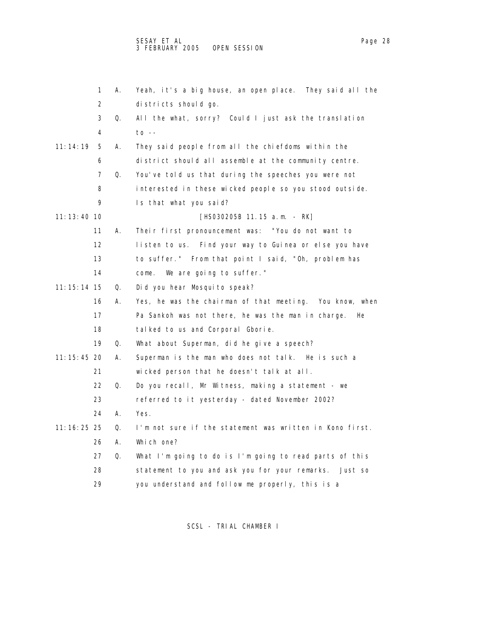|               | 1                 | А. | Yeah, it's a big house, an open place. They said all the |
|---------------|-------------------|----|----------------------------------------------------------|
|               | 2                 |    | districts should go.                                     |
|               | 3                 | Q. | All the what, sorry? Could I just ask the translation    |
|               | 4                 |    | $\overline{10}$ --                                       |
| 11:14:19      | 5                 | А. | They said people from all the chiefdoms within the       |
|               | 6                 |    | district should all assemble at the community centre.    |
|               | 7                 | Q. | You've told us that during the speeches you were not     |
|               | 8                 |    | interested in these wicked people so you stood outside.  |
|               | 9                 |    | Is that what you said?                                   |
| 11:13:40 10   |                   |    | [HS030205B 11.15 a.m. - RK]                              |
|               | 11                | А. | Their first pronouncement was: "You do not want to       |
|               | $12 \overline{ }$ |    | listen to us. Find your way to Guinea or else you have   |
|               | 13                |    | to suffer." From that point I said, "Oh, problem has     |
|               | 14                |    | We are going to suffer."<br>come.                        |
| 11: 15: 14 15 |                   | Q. | Did you hear Mosquito speak?                             |
|               | 16                | А. | Yes, he was the chairman of that meeting. You know, when |
|               | 17                |    | Pa Sankoh was not there, he was the man in charge.<br>He |
|               | 18                |    | talked to us and Corporal Gborie.                        |
|               | 19                | Q. | What about Superman, did he give a speech?               |
| 11: 15: 45 20 |                   | А. | Superman is the man who does not talk. He is such a      |
|               | 21                |    | wicked person that he doesn't talk at all.               |
|               | 22                | Q. | Do you recall, Mr Witness, making a statement - we       |
|               | 23                |    | referred to it yesterday - dated November 2002?          |
|               | 24                | А. | Yes.                                                     |
| 11: 16: 25 25 |                   | Q. | I'm not sure if the statement was written in Kono first. |
|               | 26                | Α. | Which one?                                               |
|               | 27                | Q. | What I'm going to do is I'm going to read parts of this  |
|               | 28                |    | statement to you and ask you for your remarks. Just so   |
|               | 29                |    | you understand and follow me properly, this is a         |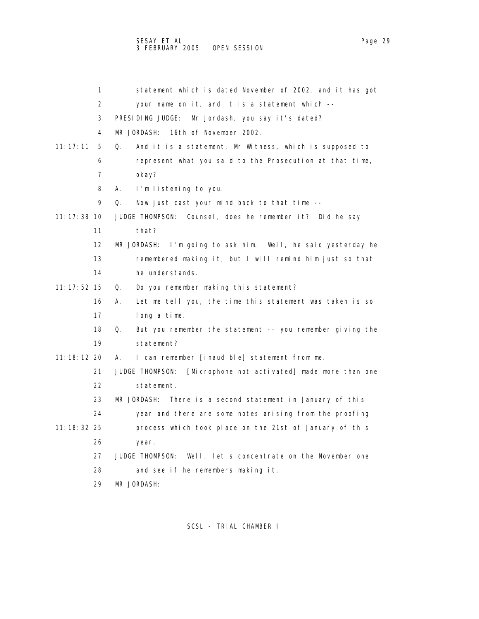1 statement which is dated November of 2002, and it has got 2 your name on it, and it is a statement which -- 3 PRESIDING JUDGE: Mr Jordash, you say it's dated? 4 MR JORDASH: 16th of November 2002. 11:17:11 5 Q. And it is a statement, Mr Witness, which is supposed to 6 represent what you said to the Prosecution at that time, 7 okay? 8 A. I'm listening to you. 9 Q. Now just cast your mind back to that time -- 11:17:38 10 JUDGE THOMPSON: Counsel, does he remember it? Did he say 11 that? 12 MR JORDASH: I'm going to ask him. Well, he said yesterday he 13 remembered making it, but I will remind him just so that 14 he understands. 11:17:52 15 Q. Do you remember making this statement? 16 A. Let me tell you, the time this statement was taken is so 17 long a time. 18 Q. But you remember the statement -- you remember giving the 19 statement? 11:18:12 20 A. I can remember [inaudible] statement from me. 21 JUDGE THOMPSON: [Microphone not activated] made more than one 22 statement. 23 MR JORDASH: There is a second statement in January of this 24 year and there are some notes arising from the proofing 11:18:32 25 process which took place on the 21st of January of this 26 year. 27 JUDGE THOMPSON: Well, let's concentrate on the November one 28 and see if he remembers making it.

29 MR JORDASH: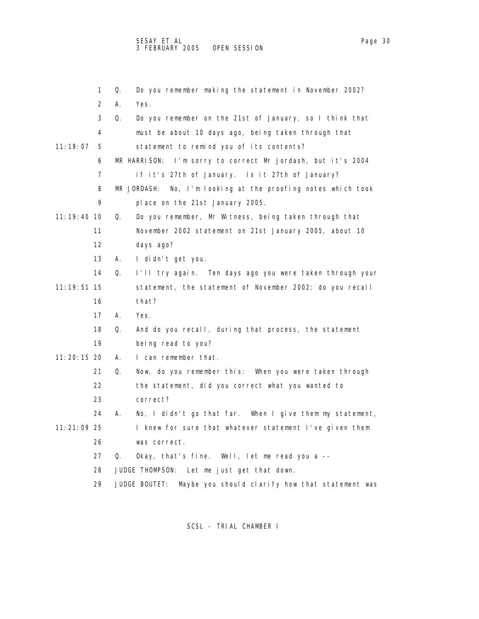|               | 1  | Do you remember making the statement in November 2002?<br>Q.     |
|---------------|----|------------------------------------------------------------------|
|               | 2  | А.<br>Yes.                                                       |
|               | 3  | Q.<br>Do you remember on the 21st of January, so I think that    |
|               | 4  | must be about 10 days ago, being taken through that              |
| 11: 19: 07    | 5  | statement to remind you of its contents?                         |
|               | 6  | MR HARRISON:<br>I'm sorry to correct Mr Jordash, but it's 2004   |
|               | 7  | if it's 27th of January. Is it 27th of January?                  |
|               | 8  | No, I'm looking at the proofing notes which took<br>MR JORDASH:  |
|               | 9  | place on the 21st January 2005.                                  |
| 11:19:40 10   |    | Q.<br>Do you remember, Mr Witness, being taken through that      |
|               | 11 | November 2002 statement on 21st January 2005, about 10           |
|               | 12 | days ago?                                                        |
|               | 13 | А.<br>I didn't get you.                                          |
|               | 14 | Q.<br>I'll try again. Ten days ago you were taken through your   |
| 11: 19: 51 15 |    | statement, the statement of November 2002; do you recall         |
|               | 16 | that?                                                            |
|               | 17 | А.<br>Yes.                                                       |
|               | 18 | And do you recall, during that process, the statement<br>Q.      |
|               | 19 | being read to you?                                               |
| 11: 20: 15 20 |    | I can remember that.<br>А.                                       |
|               | 21 | Now, do you remember this: When you were taken through<br>Q.     |
|               | 22 | the statement, did you correct what you wanted to                |
|               | 23 | correct?                                                         |
|               | 24 | No, I didn't go that far. When I give them my statement,<br>А.   |
| 11:21:09 25   |    | I knew for sure that whatever statement I've given them          |
|               | 26 | was correct.                                                     |
|               | 27 | Okay, that's fine. Well, let me read you a --<br>Q.              |
|               | 28 | JUDGE THOMPSON: Let me just get that down.                       |
|               | 29 | JUDGE BOUTET:<br>Maybe you should clarify how that statement was |
|               |    |                                                                  |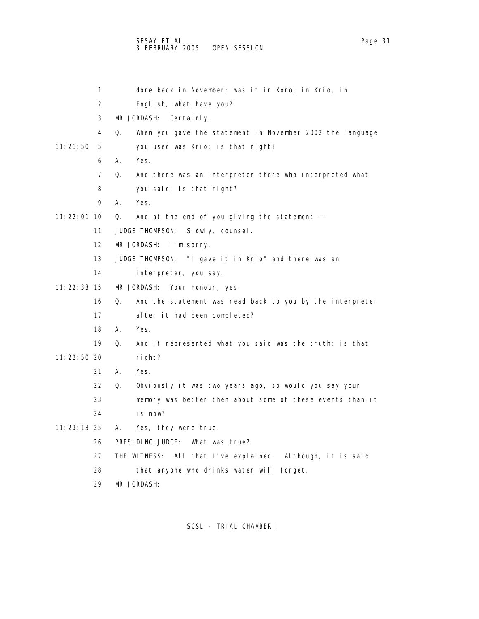|               | 1                       | done back in November; was it in Kono, in Krio, in              |
|---------------|-------------------------|-----------------------------------------------------------------|
|               | 2                       | English, what have you?                                         |
|               | 3                       | MR JORDASH: Certainly.                                          |
|               | $\overline{\mathbf{4}}$ | Q.<br>When you gave the statement in November 2002 the language |
| 11:21:50      | 5                       | you used was Krio; is that right?                               |
|               | 6                       | Yes.<br>А.                                                      |
|               | 7                       | Q.<br>And there was an interpreter there who interpreted what   |
|               | 8                       | you said; is that right?                                        |
|               | 9                       | Α.<br>Yes.                                                      |
| 11: 22: 01 10 |                         | And at the end of you giving the statement --<br>Q.             |
|               | 11                      | JUDGE THOMPSON:<br>Slowly, counsel.                             |
|               | 12                      | MR JORDASH:<br>I'm sorry.                                       |
|               | 13                      | JUDGE THOMPSON: "I gave it in Krio" and there was an            |
|               | 14                      | interpreter, you say.                                           |
| 11: 22: 33 15 |                         | MR JORDASH:<br>Your Honour, yes.                                |
|               | 16                      | 0.<br>And the statement was read back to you by the interpreter |
|               | 17                      | after it had been completed?                                    |
|               | 18                      | Yes.<br>А.                                                      |
|               | 19                      | And it represented what you said was the truth; is that<br>Q.   |
| 11:22:50 20   |                         | right?                                                          |
|               | 21                      | А.<br>Yes.                                                      |
|               | 22                      | Q.<br>Obviously it was two years ago, so would you say your     |
|               | 23                      | memory was better then about some of these events than it       |
|               | 24                      | is now?                                                         |
| $11:23:13$ 25 |                         | Yes, they were true.<br>А.                                      |
|               | 26                      | PRESIDING JUDGE:<br>What was true?                              |
|               | 27                      | THE WITNESS: All that I've explained. Although, it is said      |
|               | 28                      | that anyone who drinks water will forget.                       |
|               | 29                      | MR JORDASH:                                                     |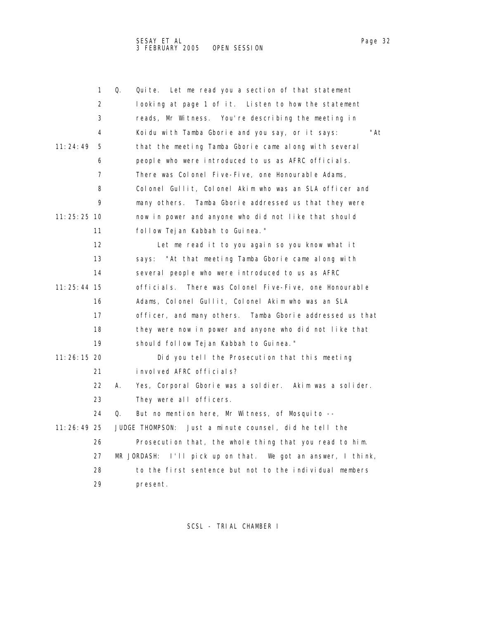SESAY ET AL Page 32 Page 32 Page 32 3 FEBRUARY 2005 OPEN SESSION

| aг<br>۱۴ |  |
|----------|--|
|          |  |

|               | 1  | Q. | Quite. Let me read you a section of that statement           |
|---------------|----|----|--------------------------------------------------------------|
|               | 2  |    | looking at page 1 of it. Listen to how the statement         |
|               | 3  |    | reads, Mr Witness. You're describing the meeting in          |
|               | 4  |    | "At<br>Koidu with Tamba Gborie and you say, or it says:      |
| 11:24:49      | 5  |    | that the meeting Tamba Gborie came along with several        |
|               | 6  |    | people who were introduced to us as AFRC officials.          |
|               | 7  |    | There was Colonel Five-Five, one Honourable Adams,           |
|               | 8  |    | Colonel Gullit, Colonel Akim who was an SLA officer and      |
|               | 9  |    | Tamba Gborie addressed us that they were<br>many others.     |
| $11:25:25$ 10 |    |    | now in power and anyone who did not like that should         |
|               | 11 |    | follow Tejan Kabbah to Guinea."                              |
|               | 12 |    | Let me read it to you again so you know what it              |
|               | 13 |    | "At that meeting Tamba Gborie came along with<br>says:       |
|               | 14 |    | several people who were introduced to us as AFRC             |
| 11: 25: 44 15 |    |    | There was Colonel Five-Five, one Honourable<br>officials.    |
|               | 16 |    | Adams, Colonel Gullit, Colonel Akim who was an SLA           |
|               | 17 |    | officer, and many others. Tamba Gborie addressed us that     |
|               | 18 |    | they were now in power and anyone who did not like that      |
|               | 19 |    | should follow Tejan Kabbah to Guinea."                       |
| 11: 26: 15 20 |    |    | Did you tell the Prosecution that this meeting               |
|               | 21 |    | involved AFRC officials?                                     |
|               | 22 | А. | Yes, Corporal Gborie was a soldier. Akim was a solider.      |
|               | 23 |    | They were all officers.                                      |
|               | 24 | Q. | But no mention here, Mr Witness, of Mosquito --              |
| 11:26:49 25   |    |    | Just a minute counsel, did he tell the<br>JUDGE THOMPSON:    |
|               | 26 |    | Prosecution that, the whole thing that you read to him.      |
|               | 27 |    | MR JORDASH: I'll pick up on that. We got an answer, I think, |
|               | 28 |    | to the first sentence but not to the individual members      |
|               | 29 |    | present.                                                     |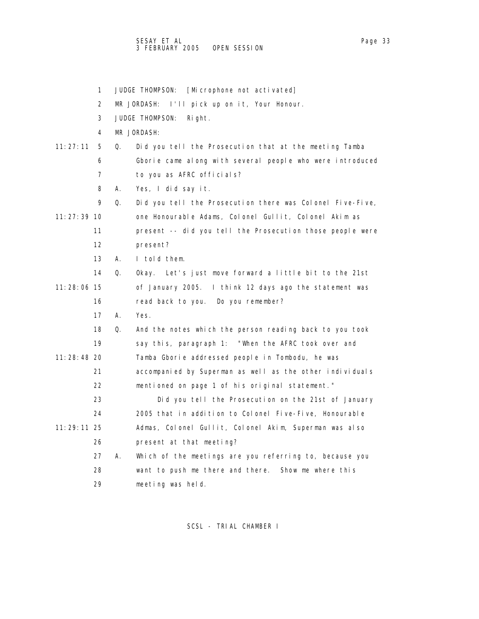|               | 1  |    | JUDGE THOMPSON:<br>[Microphone not activated]             |
|---------------|----|----|-----------------------------------------------------------|
|               | 2  |    | I'll pick up on it, Your Honour.<br>MR JORDASH:           |
|               | 3  |    | JUDGE THOMPSON:<br>Right.                                 |
|               | 4  |    | MR JORDASH:                                               |
| 11:27:11      | 5  | Q. | Did you tell the Prosecution that at the meeting Tamba    |
|               | 6  |    | Gborie came along with several people who were introduced |
|               | 7  |    | to you as AFRC officials?                                 |
|               | 8  | А. | Yes, I did say it.                                        |
|               | 9  | Q. | Did you tell the Prosecution there was Colonel Five-Five, |
| 11: 27: 39 10 |    |    | one Honourable Adams, Colonel Gullit, Colonel Akim as     |
|               | 11 |    | present -- did you tell the Prosecution those people were |
|               | 12 |    | present?                                                  |
|               | 13 | А. | I told them.                                              |
|               | 14 | 0. | Okay. Let's just move forward a little bit to the 21st    |
| 11:28:06 15   |    |    | of January 2005. I think 12 days ago the statement was    |
|               | 16 |    | read back to you. Do you remember?                        |
|               | 17 | А. | Yes.                                                      |
|               | 18 | Q. | And the notes which the person reading back to you took   |
|               | 19 |    | say this, paragraph 1: "When the AFRC took over and       |
| 11:28:48 20   |    |    | Tamba Gborie addressed people in Tombodu, he was          |
|               | 21 |    | accompanied by Superman as well as the other individuals  |
|               | 22 |    | mentioned on page 1 of his original statement."           |
|               | 23 |    | Did you tell the Prosecution on the 21st of January       |
|               | 24 |    | 2005 that in addition to Colonel Five-Five, Honourable    |
| 11: 29: 11 25 |    |    | Admas, Colonel Gullit, Colonel Akim, Superman was also    |
|               | 26 |    | present at that meeting?                                  |
|               | 27 | А. | Which of the meetings are you referring to, because you   |
|               | 28 |    | want to push me there and there.<br>Show me where this    |
|               | 29 |    | meeting was held.                                         |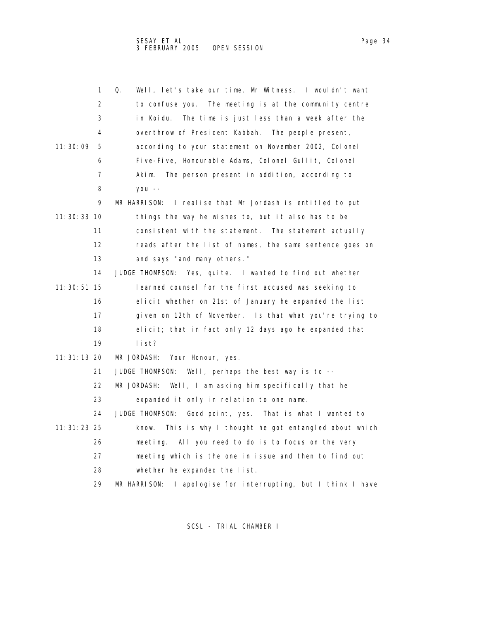|               | 1  | Q.<br>Well, let's take our time, Mr Witness. I wouldn't want     |
|---------------|----|------------------------------------------------------------------|
|               | 2  | to confuse you. The meeting is at the community centre           |
|               | 3  | in Koidu.<br>The time is just less than a week after the         |
|               | 4  | overthrow of President Kabbah. The people present,               |
| 11:30:09      | 5  | according to your statement on November 2002, Colonel            |
|               | 6  | Five-Five, Honourable Adams, Colonel Gullit, Colonel             |
|               | 7  | The person present in addition, according to<br>Akim.            |
|               | 8  | $you --$                                                         |
|               | 9  | I realise that Mr Jordash is entitled to put<br>MR HARRISON:     |
| 11: 30: 33 10 |    | things the way he wishes to, but it also has to be               |
|               | 11 | consistent with the statement. The statement actually            |
|               | 12 | reads after the list of names, the same sentence goes on         |
|               | 13 | and says "and many others."                                      |
|               | 14 | JUDGE THOMPSON: Yes, quite. I wanted to find out whether         |
| 11: 30: 51 15 |    | learned counsel for the first accused was seeking to             |
|               | 16 | elicit whether on 21st of January he expanded the list           |
|               | 17 | given on 12th of November. Is that what you're trying to         |
|               | 18 | elicit; that in fact only 12 days ago he expanded that           |
|               | 19 | list?                                                            |
| 11: 31: 13 20 |    | MR JORDASH:<br>Your Honour, yes.                                 |
|               | 21 | JUDGE THOMPSON:<br>Well, perhaps the best way is to $-$          |
|               | 22 | MR JORDASH:<br>Well, I am asking him specifically that he        |
|               | 23 | expanded it only in relation to one name.                        |
|               | 24 | JUDGE THOMPSON:<br>Good point, yes. That is what I wanted to     |
| 11: 31: 23 25 |    | This is why I thought he got entangled about which<br>know.      |
|               | 26 | meeting. All you need to do is to focus on the very              |
|               | 27 | meeting which is the one in issue and then to find out           |
|               | 28 | whether he expanded the list.                                    |
|               | 29 | MR HARRISON:<br>I apologise for interrupting, but I think I have |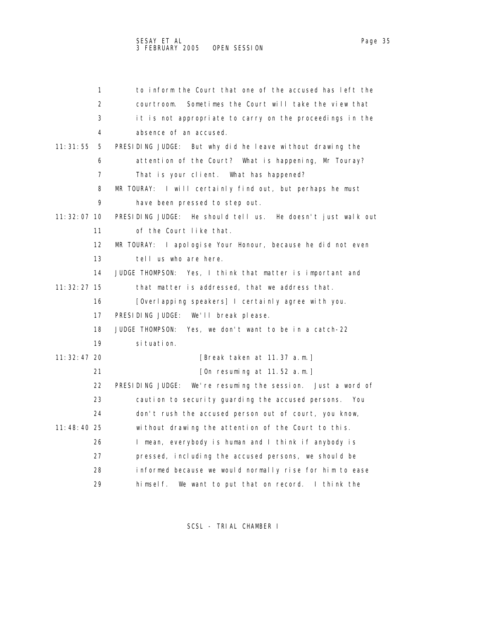| 1                 | to inform the Court that one of the accused has left the       |
|-------------------|----------------------------------------------------------------|
| 2                 | Sometimes the Court will take the view that<br>courtroom.      |
| 3                 | it is not appropriate to carry on the proceedings in the       |
| 4                 | absence of an accused.                                         |
| 11:31:55<br>5     | PRESIDING JUDGE: But why did he leave without drawing the      |
| 6                 | attention of the Court? What is happening, Mr Touray?          |
| 7                 | That is your client. What has happened?                        |
| 8                 | MR TOURAY: I will certainly find out, but perhaps he must      |
| 9                 | have been pressed to step out.                                 |
| 11: 32: 07 10     | PRESIDING JUDGE: He should tell us. He doesn't just walk out   |
| 11                | of the Court like that.                                        |
| $12 \overline{ }$ | MR TOURAY: I apologise Your Honour, because he did not even    |
| 13                | tell us who are here.                                          |
| 14                | JUDGE THOMPSON: Yes, I think that matter is important and      |
| 11: 32: 27 15     | that matter is addressed, that we address that.                |
| 16                | [Overlapping speakers] I certainly agree with you.             |
| 17                | PRESIDING JUDGE:<br>We'll break please.                        |
| 18                | JUDGE THOMPSON:<br>Yes, we don't want to be in a catch-22      |
| 19                | si tuati on.                                                   |
| 11: 32: 47 20     | [Break taken at 11.37 a.m.]                                    |
| 21                | [On resuming at 11.52 a.m.]                                    |
| 22                | PRESIDING JUDGE:<br>We're resuming the session. Just a word of |
| 23                | caution to security guarding the accused persons.<br>You       |
| 24                | don't rush the accused person out of court, you know,          |
| 11:48:40 25       | without drawing the attention of the Court to this.            |
| 26                | I mean, everybody is human and I think if anybody is           |
| 27                | pressed, including the accused persons, we should be           |
| 28                | informed because we would normally rise for him to ease        |
| 29                | We want to put that on record. I think the<br>himself.         |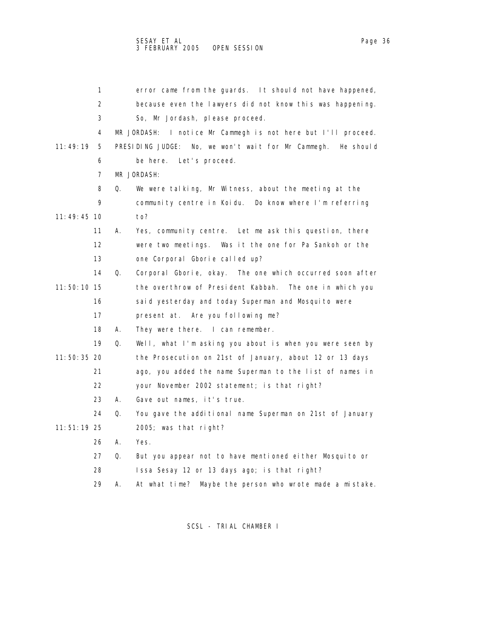|               | 1  | error came from the guards. It should not have happened,         |
|---------------|----|------------------------------------------------------------------|
|               | 2  | because even the lawyers did not know this was happening.        |
|               | 3  | So, Mr Jordash, please proceed.                                  |
|               | 4  | I notice Mr Cammegh is not here but I'll proceed.<br>MR JORDASH: |
| 11:49:19      | 5  | PRESIDING JUDGE: No, we won't wait for Mr Cammegh. He should     |
|               | 6  | be here. Let's proceed.                                          |
|               | 7  | MR JORDASH:                                                      |
|               | 8  | We were talking, Mr Witness, about the meeting at the<br>Q.      |
|               | 9  | community centre in Koidu. Do know where I'm referring           |
| $11:49:45$ 10 |    | to?                                                              |
|               | 11 | Yes, community centre. Let me ask this question, there<br>А.     |
|               | 12 | were two meetings. Was it the one for Pa Sankoh or the           |
|               | 13 | one Corporal Gborie called up?                                   |
|               | 14 | Corporal Gborie, okay. The one which occurred soon after<br>Q.   |
| 11:50:10 15   |    | the overthrow of President Kabbah. The one in which you          |
|               | 16 | said yesterday and today Superman and Mosquito were              |
|               | 17 | present at. Are you following me?                                |
|               | 18 | They were there. I can remember.<br>А.                           |
|               | 19 | Well, what I'm asking you about is when you were seen by<br>Q.   |
| 11:50:35 20   |    | the Prosecution on 21st of January, about 12 or 13 days          |
|               | 21 | ago, you added the name Superman to the list of names in         |
|               | 22 | your November 2002 statement; is that right?                     |
|               | 23 | Gave out names, it's true.<br>А.                                 |
|               | 24 | Q.<br>You gave the additional name Superman on 21st of January   |
| 11:51:19 25   |    | 2005; was that right?                                            |
|               | 26 | А.<br>Yes.                                                       |
|               | 27 | Q.<br>But you appear not to have mentioned either Mosquito or    |
|               | 28 | Issa Sesay 12 or 13 days ago; is that right?                     |
|               |    |                                                                  |

29 A. At what time? Maybe the person who wrote made a mistake.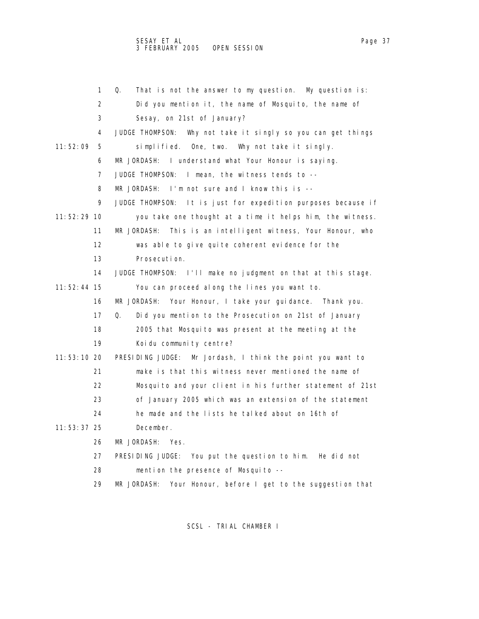1 Q. That is not the answer to my question. My question is: 2 Did you mention it, the name of Mosquito, the name of 3 Sesay, on 21st of January? 4 JUDGE THOMPSON: Why not take it singly so you can get things 11:52:09 5 simplified. One, two. Why not take it singly. 6 MR JORDASH: I understand what Your Honour is saying. 7 JUDGE THOMPSON: I mean, the witness tends to -- 8 MR JORDASH: I'm not sure and I know this is -- 9 JUDGE THOMPSON: It is just for expedition purposes because if 11:52:29 10 you take one thought at a time it helps him, the witness. 11 MR JORDASH: This is an intelligent witness, Your Honour, who 12 was able to give quite coherent evidence for the 13 Prosecution. 14 JUDGE THOMPSON: I'll make no judgment on that at this stage. 11:52:44 15 You can proceed along the lines you want to. 16 MR JORDASH: Your Honour, I take your guidance. Thank you. 17 Q. Did you mention to the Prosecution on 21st of January 18 2005 that Mosquito was present at the meeting at the 19 Koidu community centre? 11:53:10 20 PRESIDING JUDGE: Mr Jordash, I think the point you want to 21 make is that this witness never mentioned the name of 22 Mosquito and your client in his further statement of 21st 23 of January 2005 which was an extension of the statement 24 he made and the lists he talked about on 16th of 11:53:37 25 December. 26 MR JORDASH: Yes. 27 PRESIDING JUDGE: You put the question to him. He did not 28 mention the presence of Mosquito -- 29 MR JORDASH: Your Honour, before I get to the suggestion that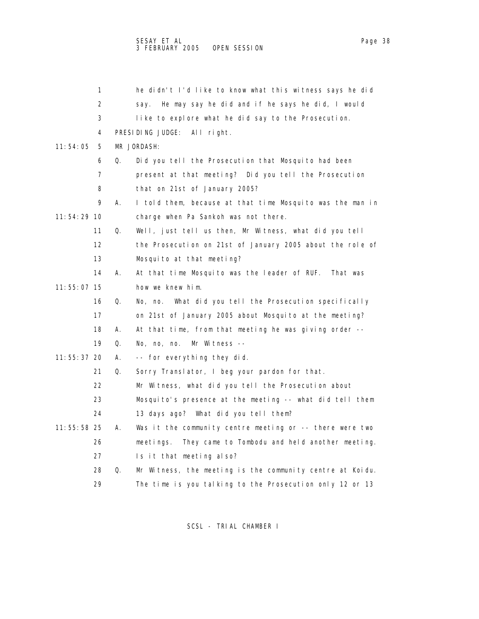|             | 1                 |    | he didn't I'd like to know what this witness says he did    |
|-------------|-------------------|----|-------------------------------------------------------------|
|             | 2                 |    | He may say he did and if he says he did, I would<br>say.    |
|             | 3                 |    | like to explore what he did say to the Prosecution.         |
|             | 4                 |    | PRESIDING JUDGE: All right.                                 |
| 11: 54: 05  | 5                 |    | MR JORDASH:                                                 |
|             | 6                 | Q. | Did you tell the Prosecution that Mosquito had been         |
|             | 7                 |    | present at that meeting? Did you tell the Prosecution       |
|             | 8                 |    | that on 21st of January 2005?                               |
|             | 9                 | А. | I told them, because at that time Mosquito was the man in   |
| 11:54:29 10 |                   |    | charge when Pa Sankoh was not there.                        |
|             | 11                | Q. | Well, just tell us then, Mr Witness, what did you tell      |
|             | $12 \overline{ }$ |    | the Prosecution on 21st of January 2005 about the role of   |
|             | 13                |    | Mosquito at that meeting?                                   |
|             | 14                | А. | At that time Mosquito was the leader of RUF. That was       |
| 11:55:07 15 |                   |    | how we knew him.                                            |
|             | 16                | Q. | No, no.<br>What did you tell the Prosecution specifically   |
|             | 17                |    | on 21st of January 2005 about Mosquito at the meeting?      |
|             | 18                | А. | At that time, from that meeting he was giving order --      |
|             | 19                | Q. | No, no, no.<br>Mr Witness --                                |
| 11:55:37 20 |                   | А. | -- for everything they did.                                 |
|             | 21                | Q. | Sorry Translator, I beg your pardon for that.               |
|             | 22                |    | Mr Witness, what did you tell the Prosecution about         |
|             | 23                |    | Mosquito's presence at the meeting -- what did tell them    |
|             | 24                |    | 13 days ago? What did you tell them?                        |
| 11:55:58 25 |                   | А. | Was it the community centre meeting or -- there were two    |
|             | 26                |    | They came to Tombodu and held another meeting.<br>meetings. |
|             | 27                |    | Is it that meeting also?                                    |
|             | 28                | Q. | Mr Witness, the meeting is the community centre at Koidu.   |
|             | 29                |    | The time is you talking to the Prosecution only 12 or 13    |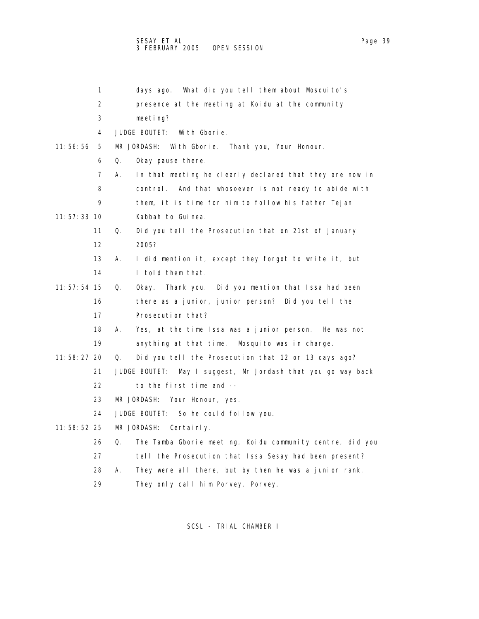## SESAY ET AL Page 39 (1999) A SESAY ET ALL PAGE 2014 A LITE OF A LITE OF A LITE OF A LITE OF A LITE OF A LITE O 3 FEBRUARY 2005 OPEN SESSION

|               | 1  | What did you tell them about Mosquito's<br>days ago.            |
|---------------|----|-----------------------------------------------------------------|
|               | 2  | presence at the meeting at Koidu at the community               |
|               | 3  | meeting?                                                        |
|               | 4  | JUDGE BOUTET:<br>With Gborie.                                   |
| 11:56:56      | 5  | MR JORDASH:<br>With Gborie. Thank you, Your Honour.             |
|               | 6  | Okay pause there.<br>Q.                                         |
|               | 7  | In that meeting he clearly declared that they are now in<br>А.  |
|               | 8  | control. And that whosoever is not ready to abide with          |
|               | 9  | them, it is time for him to follow his father Tejan             |
| $11:57:33$ 10 |    | Kabbah to Guinea.                                               |
|               | 11 | Did you tell the Prosecution that on 21st of January<br>Q.      |
|               | 12 | 2005?                                                           |
|               | 13 | I did mention it, except they forgot to write it, but<br>А.     |
|               | 14 | I told them that.                                               |
| 11:57:54 15   |    | Q.<br>Thank you. Did you mention that Issa had been<br>0kay.    |
|               | 16 | there as a junior, junior person? Did you tell the              |
|               | 17 | Prosecution that?                                               |
|               | 18 | Yes, at the time Issa was a junior person. He was not<br>А.     |
|               | 19 | anything at that time.<br>Mosquito was in charge.               |
| 11:58:27 20   |    | Did you tell the Prosecution that 12 or 13 days ago?<br>Q.      |
|               | 21 | JUDGE BOUTET:<br>May I suggest, Mr Jordash that you go way back |
|               | 22 | to the first time and --                                        |
|               | 23 | MR JORDASH:<br>Your Honour, yes.                                |
|               | 24 | JUDGE BOUTET: So he could follow you.                           |
| 11:58:52 25   |    | MR JORDASH:<br>Certainly.                                       |
|               | 26 | The Tamba Gborie meeting, Koidu community centre, did you<br>Q. |
|               | 27 | tell the Prosecution that Issa Sesay had been present?          |
|               | 28 | They were all there, but by then he was a junior rank.<br>А.    |
|               |    |                                                                 |

29 They only call him Porvey, Porvey.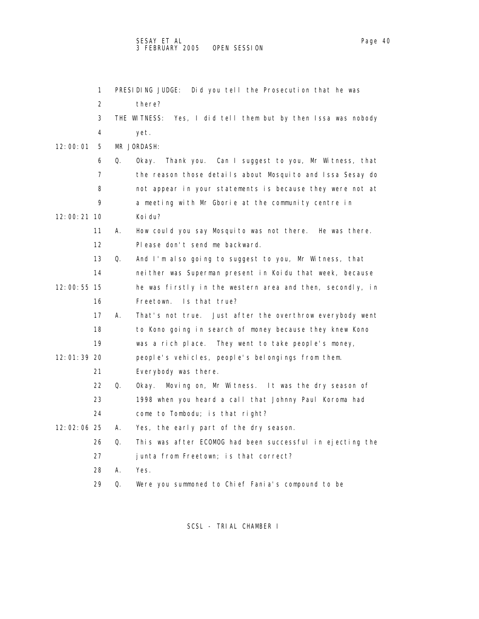|             | 1  |    | PRESIDING JUDGE: Did you tell the Prosecution that he was        |
|-------------|----|----|------------------------------------------------------------------|
|             | 2  |    | there?                                                           |
|             | 3  |    | THE WITNESS:<br>Yes, I did tell them but by then Issa was nobody |
|             | 4  |    | yet.                                                             |
| 12:00:01    | 5  |    | MR JORDASH:                                                      |
|             | 6  | Q. | Thank you. Can I suggest to you, Mr Witness, that<br>0kay.       |
|             | 7  |    | the reason those details about Mosquito and Issa Sesay do        |
|             | 8  |    | not appear in your statements is because they were not at        |
|             | 9  |    | a meeting with Mr Gborie at the community centre in              |
| 12:00:21 10 |    |    | Koi du?                                                          |
|             | 11 | А. | How could you say Mosquito was not there. He was there.          |
|             | 12 |    | Please don't send me backward.                                   |
|             | 13 | Q. | And I'm also going to suggest to you, Mr Witness, that           |
|             | 14 |    | nei ther was Superman present in Koidu that week, because        |
| 12:00:55 15 |    |    | he was firstly in the western area and then, secondly, in        |
|             | 16 |    | Freetown.<br>Is that true?                                       |
|             | 17 | А. | That's not true. Just after the overthrow everybody went         |
|             | 18 |    | to Kono going in search of money because they knew Kono          |
|             | 19 |    | was a rich place. They went to take people's money,              |
| 12:01:39 20 |    |    | people's vehicles, people's belongings from them.                |
|             | 21 |    | Everybody was there.                                             |
|             | 22 | Q. | Moving on, Mr Witness. It was the dry season of<br>Okay.         |
|             | 23 |    | 1998 when you heard a call that Johnny Paul Koroma had           |
|             | 24 |    | come to Tombodu; is that right?                                  |
| 12:02:06 25 |    | А. | Yes, the early part of the dry season.                           |
|             | 26 | Q. | This was after ECOMOG had been successful in ejecting the        |
|             | 27 |    | junta from Freetown; is that correct?                            |
|             | 28 | А. | Yes.                                                             |
|             | 29 | Q. | Were you summoned to Chief Fania's compound to be                |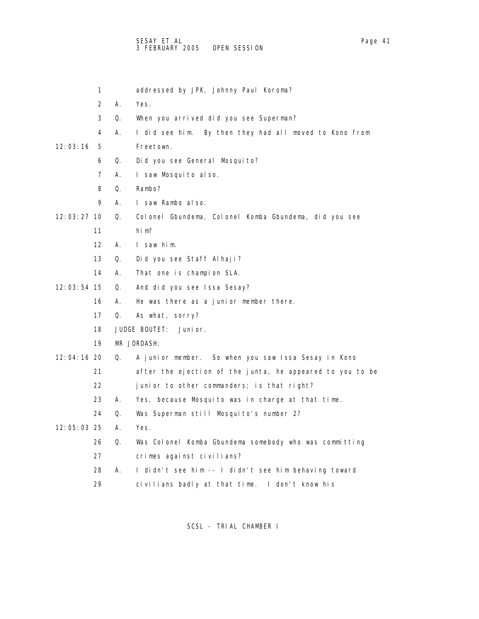- 2 A. Yes. 3 Q. When you arrived did you see Superman? 6 Q. Did you see General Mosquito? 7 A. I saw Mosquito also. 8 Q. Rambo? 9 A. I saw Rambo also. 11 him? 12 A. I saw him. 13 Q. Did you see Staff Alhaji? 14 A. That one is champion SLA. 12:03:54 15 Q. And did you see Issa Sesay? 16 A. He was there as a junior member there. 17 Q. As what, sorry? 18 JUDGE BOUTET: Junior. 19 MR JORDASH: 22 junior to other commanders; is that right? 23 A. Yes, because Mosquito was in charge at that time. 24 Q. Was Superman still Mosquito's number 2?
	- 28 A. I didn't see him -- I didn't see him behaving toward
	-

- 1 addressed by JPK, Johnny Paul Koroma?
- 
- 4 A. I did see him. By then they had all moved to Kono from

## 12:03:16 5 Freetown.

12:03:27 10 Q. Colonel Gbundema, Colonel Komba Gbundema, did you see

12:04:16 20 Q. A junior member. So when you saw Issa Sesay in Kono

21 after the ejection of the junta, he appeared to you to be

- 12:05:03 25 A. Yes.
	- - 26 Q. Was Colonel Komba Gbundema somebody who was committing
		- 27 crimes against civilians?
		-
		- 29 civilians badly at that time. I don't know his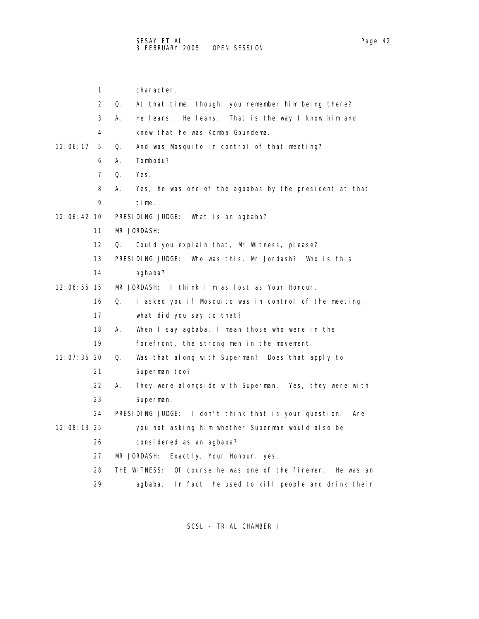1 character. 2 Q. At that time, though, you remember him being there? 3 A. He leans. He leans. That is the way I know him and I 4 knew that he was Komba Gbundema. 12:06:17 5 Q. And was Mosquito in control of that meeting? 6 A. Tombodu? 7 Q. Yes. 8 A. Yes, he was one of the agbabas by the president at that 9 time. 12:06:42 10 PRESIDING JUDGE: What is an agbaba? 11 MR JORDASH: 12 Q. Could you explain that, Mr Witness, please? 13 PRESIDING JUDGE: Who was this, Mr Jordash? Who is this 14 agbaba? 12:06:55 15 MR JORDASH: I think I'm as lost as Your Honour. 16 Q. I asked you if Mosquito was in control of the meeting, 17 what did you say to that? 18 A. When I say agbaba, I mean those who were in the 19 forefront, the strong men in the movement. 12:07:35 20 Q. Was that along with Superman? Does that apply to 21 Superman too? 22 A. They were alongside with Superman. Yes, they were with 23 Superman. 24 PRESIDING JUDGE: I don't think that is your question. Are 12:08:13 25 you not asking him whether Superman would also be 26 considered as an agbaba? 27 MR JORDASH: Exactly, Your Honour, yes. 28 THE WITNESS: Of course he was one of the firemen. He was an 29 agbaba. In fact, he used to kill people and drink their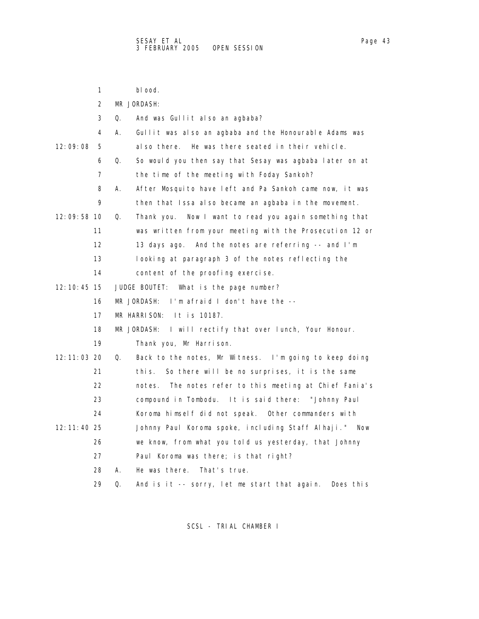1 blood. 2 MR JORDASH: 3 Q. And was Gullit also an agbaba? 4 A. Gullit was also an agbaba and the Honourable Adams was 12:09:08 5 also there. He was there seated in their vehicle. 6 Q. So would you then say that Sesay was agbaba later on at 7 the time of the meeting with Foday Sankoh? 8 A. After Mosquito have left and Pa Sankoh came now, it was 9 then that Issa also became an agbaba in the movement. 12:09:58 10 Q. Thank you. Now I want to read you again something that 11 was written from your meeting with the Prosecution 12 or 12 13 days ago. And the notes are referring -- and I'm 13 looking at paragraph 3 of the notes reflecting the 14 content of the proofing exercise. 12:10:45 15 JUDGE BOUTET: What is the page number? 16 MR JORDASH: I'm afraid I don't have the -- 17 MR HARRISON: It is 10187. 18 MR JORDASH: I will rectify that over lunch, Your Honour. 19 Thank you, Mr Harrison. 12:11:03 20 Q. Back to the notes, Mr Witness. I'm going to keep doing 21 this. So there will be no surprises, it is the same 22 notes. The notes refer to this meeting at Chief Fania's 23 compound in Tombodu. It is said there: "Johnny Paul 24 Koroma himself did not speak. Other commanders with 12:11:40 25 Johnny Paul Koroma spoke, including Staff Alhaji." Now 26 we know, from what you told us yesterday, that Johnny 27 Paul Koroma was there; is that right? 28 A. He was there. That's true. 29 Q. And is it -- sorry, let me start that again. Does this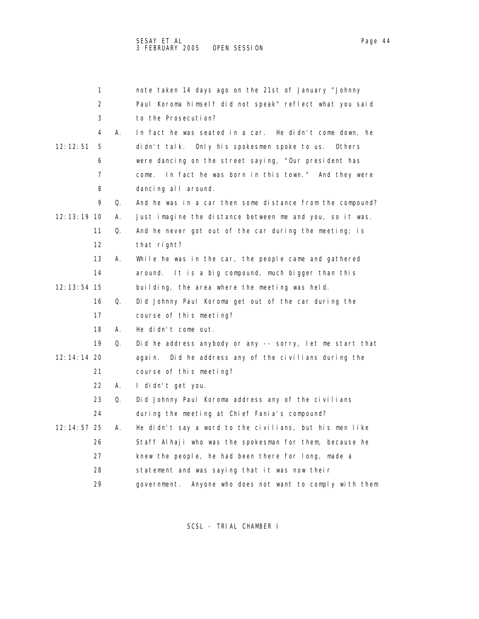|               | 1                 |    | note taken 14 days ago on the 21st of January "Johnny       |
|---------------|-------------------|----|-------------------------------------------------------------|
|               | 2                 |    | Paul Koroma himself did not speak" reflect what you said    |
|               | 3                 |    | to the Prosecution?                                         |
|               | 4                 | А. | In fact he was seated in a car. He didn't come down, he     |
| 12: 12: 51    | 5                 |    | didn't talk. Only his spokesmen spoke to us. Others         |
|               | 6                 |    | were dancing on the street saying, "Our president has       |
|               | 7                 |    | In fact he was born in this town." And they were<br>come.   |
|               | 8                 |    | dancing all around.                                         |
|               | 9                 | Q. | And he was in a car then some distance from the compound?   |
| 12: 13: 19 10 |                   | А. | Just imagine the distance between me and you, so it was.    |
|               | 11                | Q. | And he never got out of the car during the meeting; is      |
|               | $12 \overline{ }$ |    | that right?                                                 |
|               | 13                | А. | While he was in the car, the people came and gathered       |
|               | 14                |    | It is a big compound, much bigger than this<br>around.      |
| 12: 13: 54 15 |                   |    | building, the area where the meeting was held.              |
|               | 16                | Q. | Did Johnny Paul Koroma get out of the car during the        |
|               | 17                |    | course of this meeting?                                     |
|               | 18                | А. | He didn't come out.                                         |
|               | 19                | Q. | Did he address anybody or any -- sorry, let me start that   |
| 12: 14: 14 20 |                   |    | Did he address any of the civilians during the<br>aqai n.   |
|               | 21                |    | course of this meeting?                                     |
|               | 22                | А. | I didn't get you.                                           |
|               | 23                | Q. | Did Johnny Paul Koroma address any of the civilians         |
|               | 24                |    | during the meeting at Chief Fania's compound?               |
| 12: 14: 57 25 |                   | А. | He didn't say a word to the civilians, but his men like     |
|               | 26                |    | Staff Alhaji who was the spokesman for them, because he     |
|               | 27                |    | knew the people, he had been there for long, made a         |
|               | 28                |    | statement and was saying that it was now their              |
|               | 29                |    | Anyone who does not want to comply with them<br>government. |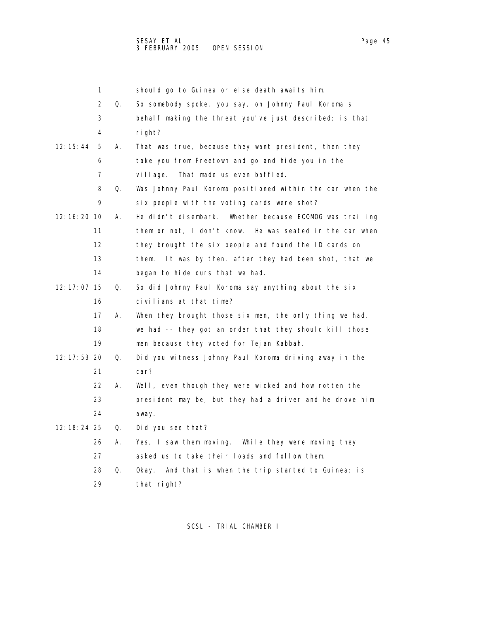|               | 1                 |    | should go to Guinea or else death awaits him.              |
|---------------|-------------------|----|------------------------------------------------------------|
|               | 2                 | Q. | So somebody spoke, you say, on Johnny Paul Koroma's        |
|               | 3                 |    | behalf making the threat you've just described; is that    |
|               | 4                 |    | right?                                                     |
| 12:15:44      | 5                 | А. | That was true, because they want president, then they      |
|               | 6                 |    | take you from Freetown and go and hide you in the          |
|               | 7                 |    | That made us even baffled.<br>village.                     |
|               | 8                 | Q. | Was Johnny Paul Koroma positioned within the car when the  |
|               | 9                 |    | six people with the voting cards were shot?                |
| 12: 16: 20 10 |                   | А. | He didn't disembark. Whether because ECOMOG was trailing   |
|               | 11                |    | them or not, I don't know. He was seated in the car when   |
|               | $12 \overline{ }$ |    | they brought the six people and found the ID cards on      |
|               | 13                |    | It was by then, after they had been shot, that we<br>them. |
|               | 14                |    | began to hide ours that we had.                            |
| 12: 17: 07 15 |                   | Q. | So did Johnny Paul Koroma say anything about the six       |
|               | 16                |    | civilians at that time?                                    |
|               | 17                | А. | When they brought those six men, the only thing we had,    |
|               | 18                |    | we had -- they got an order that they should kill those    |
|               | 19                |    | men because they voted for Tej an Kabbah.                  |
| 12: 17: 53 20 |                   | Q. | Did you witness Johnny Paul Koroma driving away in the     |
|               | 21                |    | car?                                                       |
|               | 22                | А. | Well, even though they were wicked and how rotten the      |
|               | 23                |    | president may be, but they had a driver and he drove him   |
|               | 24                |    | away.                                                      |
| 12: 18: 24 25 |                   | Q. | Did you see that?                                          |
|               | 26                | А. | Yes, I saw them moving. While they were moving they        |
|               | 27                |    | asked us to take their loads and follow them.              |
|               | 28                | Q. | And that is when the trip started to Guinea; is<br>0kay.   |
|               | 29                |    | that right?                                                |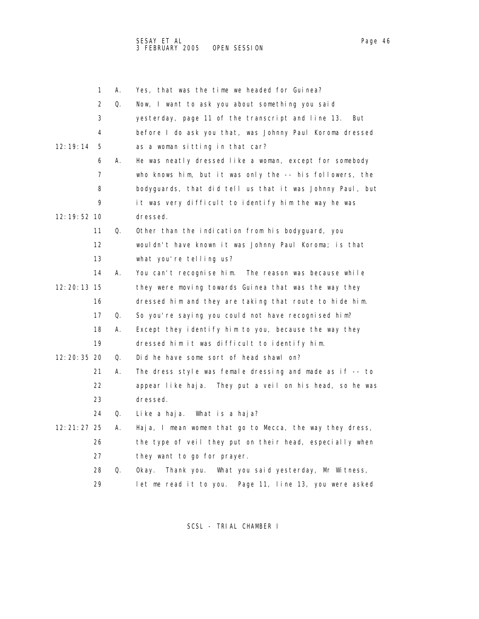|               | 1                 | Α. | Yes, that was the time we headed for Guinea?               |
|---------------|-------------------|----|------------------------------------------------------------|
|               | 2                 | Q. | Now, I want to ask you about something you said            |
|               | 3                 |    | yesterday, page 11 of the transcript and line 13.<br>But   |
|               | 4                 |    | before I do ask you that, was Johnny Paul Koroma dressed   |
| 12:19:14      | 5                 |    | as a woman sitting in that car?                            |
|               | 6                 | А. | He was neatly dressed like a woman, except for somebody    |
|               | 7                 |    | who knows him, but it was only the -- his followers, the   |
|               | 8                 |    | bodyguards, that did tell us that it was Johnny Paul, but  |
|               | 9                 |    | it was very difficult to identify him the way he was       |
| 12: 19: 52 10 |                   |    | dressed.                                                   |
|               | 11                | Q. | Other than the indication from his bodyguard, you          |
|               | $12 \overline{ }$ |    | wouldn't have known it was Johnny Paul Koroma; is that     |
|               | 13                |    | what you're telling us?                                    |
|               | 14                | А. | You can't recognise him. The reason was because while      |
| 12: 20: 13 15 |                   |    | they were moving towards Guinea that was the way they      |
|               | 16                |    | dressed him and they are taking that route to hide him.    |
|               | 17                | Q. | So you're saying you could not have recognised him?        |
|               | 18                | А. | Except they identify him to you, because the way they      |
|               | 19                |    | dressed him it was difficult to identify him.              |
| 12: 20: 35 20 |                   | Q. | Did he have some sort of head shawl on?                    |
|               | 21                | А. | The dress style was female dressing and made as if -- to   |
|               | 22                |    | appear like haja. They put a veil on his head, so he was   |
|               | 23                |    | dressed.                                                   |
|               | 24                | Q. | Like a haja. What is a haja?                               |
| 12: 21: 27 25 |                   | А. | Haja, I mean women that go to Mecca, the way they dress,   |
|               | 26                |    | the type of veil they put on their head, especially when   |
|               | 27                |    | they want to go for prayer.                                |
|               | 28                | Q. | Thank you. What you said yesterday, Mr Witness,<br>0kay.   |
|               | 29                |    | Page 11, line 13, you were asked<br>let me read it to you. |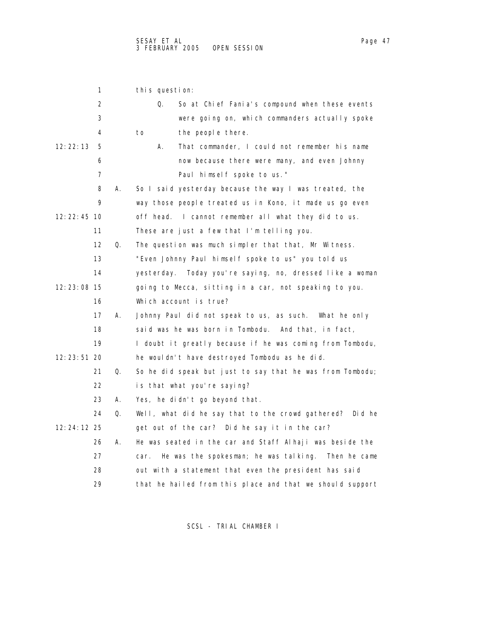| 1                 | this question: |                                                           |
|-------------------|----------------|-----------------------------------------------------------|
| 2                 | Q.             | So at Chief Fania's compound when these events            |
| 3                 |                | were going on, which commanders actually spoke            |
| 4                 | to             | the people there.                                         |
| 12: 22: 13<br>5   | Α.             | That commander, I could not remember his name             |
| 6                 |                | now because there were many, and even Johnny              |
| 7                 |                | Paul himself spoke to us."                                |
| 8                 | А.             | So I said yesterday because the way I was treated, the    |
| 9                 |                | way those people treated us in Kono, it made us go even   |
| 12: 22: 45 10     |                | off head. I cannot remember all what they did to us.      |
| 11                |                | These are just a few that I'm telling you.                |
| $12 \overline{ }$ | Q.             | The question was much simpler that that, Mr Witness.      |
| 13                |                | "Even Johnny Paul himself spoke to us" you told us        |
| 14                |                | yesterday. Today you're saying, no, dressed like a woman  |
| 12: 23: 08 15     |                | going to Mecca, sitting in a car, not speaking to you.    |
| 16                |                | Which account is true?                                    |
| 17                | А.             | Johnny Paul did not speak to us, as such. What he only    |
| 18                |                | said was he was born in Tombodu. And that, in fact,       |
| 19                |                | I doubt it greatly because if he was coming from Tombodu, |
| 12: 23: 51 20     |                | he wouldn't have destroyed Tombodu as he did.             |
| 21                | Q.             | So he did speak but just to say that he was from Tombodu; |
| 22                |                | is that what you're saying?                               |
| 23                | А.             | Yes, he didn't go beyond that.                            |
| 24                | Q.             | Well, what did he say that to the crowd gathered? Did he  |
| 12:24:12 25       |                | get out of the car? Did he say it in the car?             |
| 26                | А.             | He was seated in the car and Staff Alhaji was beside the  |
| 27                | car.           | He was the spokesman; he was talking.<br>Then he came     |
| 28                |                | out with a statement that even the president has said     |
| 29                |                | that he hailed from this place and that we should support |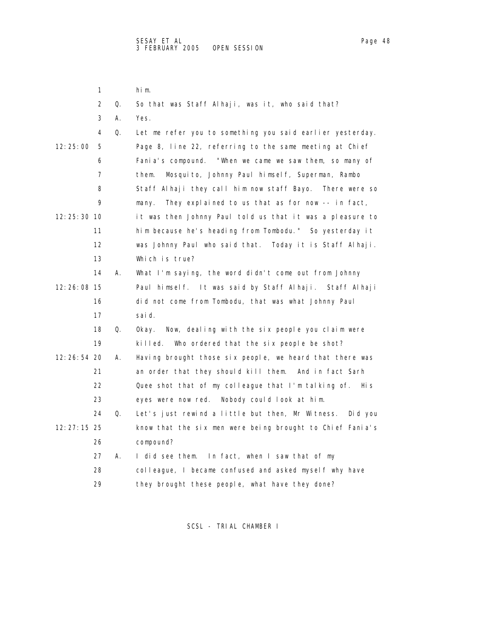1 him.

|               | 2  | Q. | So that was Staff Alhaji, was it, who said that?            |
|---------------|----|----|-------------------------------------------------------------|
|               | 3  | А. | Yes.                                                        |
|               | 4  | Q. | Let me refer you to something you said earlier yesterday.   |
| 12:25:00      | 5  |    | Page 8, line 22, referring to the same meeting at Chief     |
|               | 6  |    | Fania's compound. "When we came we saw them, so many of     |
|               | 7  |    | Mosquito, Johnny Paul himself, Superman, Rambo<br>them.     |
|               | 8  |    | Staff Alhaji they call him now staff Bayo. There were so    |
|               | 9  |    | They explained to us that as for now -- in fact,<br>many.   |
| 12: 25: 30 10 |    |    | it was then Johnny Paul told us that it was a pleasure to   |
|               | 11 |    | him because he's heading from Tombodu." So yesterday it     |
|               | 12 |    | was Johnny Paul who said that. Today it is Staff Alhaji.    |
|               | 13 |    | Which is true?                                              |
|               | 14 | А. | What I'm saying, the word didn't come out from Johnny       |
| 12:26:08 15   |    |    | Paul himself. It was said by Staff Alhaji. Staff Alhaji     |
|               | 16 |    | did not come from Tombodu, that was what Johnny Paul        |
|               | 17 |    | sai d.                                                      |
|               | 18 | Q. | Now, dealing with the six people you claim were<br>0kay.    |
|               | 19 |    | killed.<br>Who ordered that the six people be shot?         |
| 12: 26: 54 20 |    | А. | Having brought those six people, we heard that there was    |
|               | 21 |    | an order that they should kill them. And in fact Sarh       |
|               | 22 |    | Quee shot that of my colleague that I'm talking of.<br>Hi s |
|               | 23 |    | eyes were now red. Nobody could look at him.                |
|               | 24 | Q. | Let's just rewind a little but then, Mr Witness.<br>Did you |
| 12: 27: 15 25 |    |    | know that the six men were being brought to Chief Fania's   |
|               | 26 |    | compound?                                                   |
|               | 27 | А. | I did see them. In fact, when I saw that of my              |
|               | 28 |    | colleague, I became confused and asked myself why have      |
|               | 29 |    | they brought these people, what have they done?             |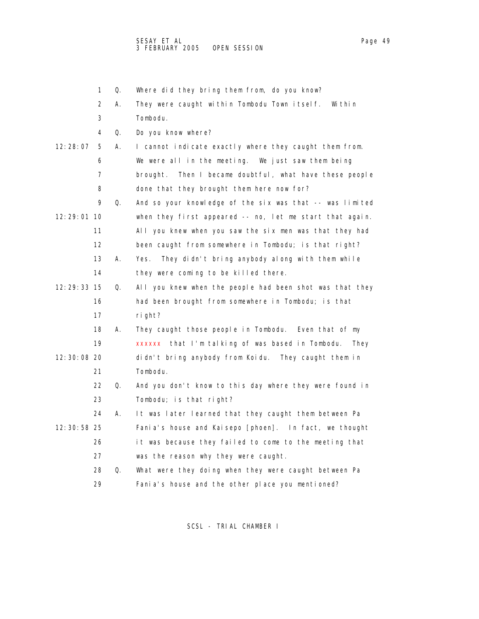1 Q. Where did they bring them from, do you know? 2 A. They were caught within Tombodu Town itself. Within 3 Tombodu. 4 Q. Do you know where? 12:28:07 5 A. I cannot indicate exactly where they caught them from. 6 We were all in the meeting. We just saw them being 7 brought. Then I became doubtful, what have these people 8 done that they brought them here now for? 9 Q. And so your knowledge of the six was that -- was limited 12:29:01 10 when they first appeared -- no, let me start that again. 11 All you knew when you saw the six men was that they had 12 been caught from somewhere in Tombodu; is that right? 13 A. Yes. They didn't bring anybody along with them while 14 they were coming to be killed there. 12:29:33 15 Q. All you knew when the people had been shot was that they 16 had been brought from somewhere in Tombodu; is that 17 right? 18 A. They caught those people in Tombodu. Even that of my 19 xxxxxx that I'm talking of was based in Tombodu. They 12:30:08 20 didn't bring anybody from Koidu. They caught them in 21 Tombodu. 22 Q. And you don't know to this day where they were found in 23 Tombodu; is that right? 24 A. It was later learned that they caught them between Pa 12:30:58 25 Fania's house and Kaisepo [phoen]. In fact, we thought 26 it was because they failed to come to the meeting that 27 was the reason why they were caught. 28 Q. What were they doing when they were caught between Pa 29 Fania's house and the other place you mentioned?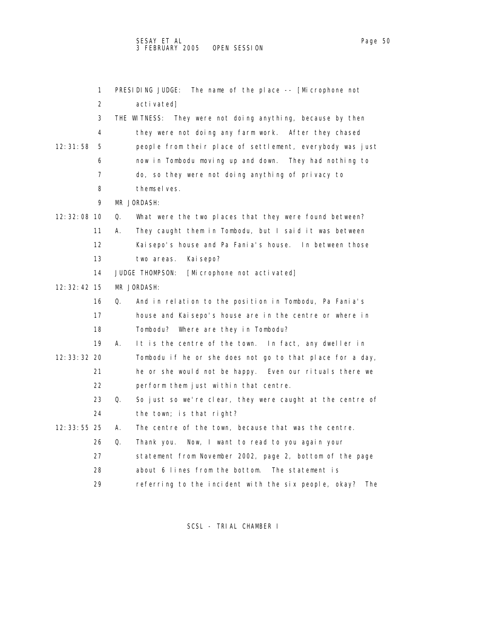1 PRESIDING JUDGE: The name of the place -- [Microphone not 2 activated] 3 THE WITNESS: They were not doing anything, because by then 4 they were not doing any farm work. After they chased 12:31:58 5 people from their place of settlement, everybody was just 6 now in Tombodu moving up and down. They had nothing to 7 do, so they were not doing anything of privacy to 8 themselves. 9 MR JORDASH: 12:32:08 10 Q. What were the two places that they were found between? 11 A. They caught them in Tombodu, but I said it was between 12 Kaisepo's house and Pa Fania's house. In between those 13 two areas. Kaisepo? 14 JUDGE THOMPSON: [Microphone not activated] 12:32:42 15 MR JORDASH: 16 Q. And in relation to the position in Tombodu, Pa Fania's 17 house and Kaisepo's house are in the centre or where in 18 Tombodu? Where are they in Tombodu? 19 A. It is the centre of the town. In fact, any dweller in 12:33:32 20 Tombodu if he or she does not go to that place for a day, 21 he or she would not be happy. Even our rituals there we 22 perform them just within that centre. 23 Q. So just so we're clear, they were caught at the centre of 24 the town; is that right? 12:33:55 25 A. The centre of the town, because that was the centre. 26 Q. Thank you. Now, I want to read to you again your 27 statement from November 2002, page 2, bottom of the page 28 about 6 lines from the bottom. The statement is 29 referring to the incident with the six people, okay? The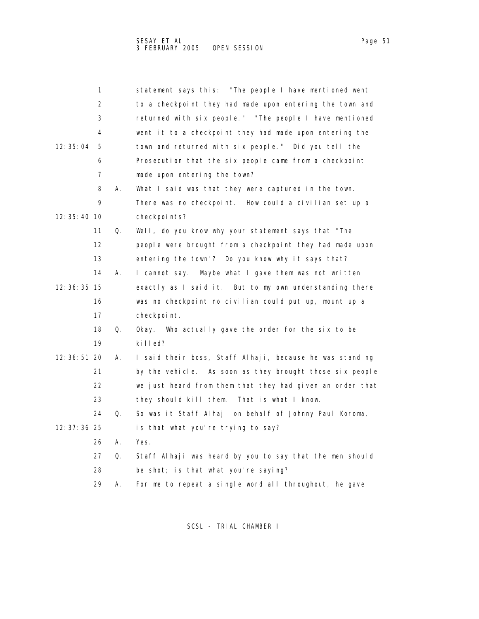| ane |  |
|-----|--|
|     |  |

|               | 1                 |    | statement says this: "The people I have mentioned went    |
|---------------|-------------------|----|-----------------------------------------------------------|
|               | 2                 |    | to a checkpoint they had made upon entering the town and  |
|               | 3                 |    | returned with six people." "The people I have mentioned   |
|               | 4                 |    | went it to a checkpoint they had made upon entering the   |
| 12: 35: 04    | 5                 |    | town and returned with six people." Did you tell the      |
|               | 6                 |    | Prosecution that the six people came from a checkpoint    |
|               | 7                 |    | made upon entering the town?                              |
|               | 8                 | А. | What I said was that they were captured in the town.      |
|               | 9                 |    | There was no checkpoint. How could a civilian set up a    |
| 12: 35: 40 10 |                   |    | checkpoints?                                              |
|               | 11                | Q. | Well, do you know why your statement says that "The       |
|               | $12 \overline{ }$ |    | people were brought from a checkpoint they had made upon  |
|               | 13                |    | entering the town"? Do you know why it says that?         |
|               | 14                | А. | I cannot say. Maybe what I gave them was not written      |
| 12: 36: 35 15 |                   |    | exactly as I said it. But to my own understanding there   |
|               | 16                |    | was no checkpoint no civilian could put up, mount up a    |
|               | 17                |    | checkpoint.                                               |
|               | 18                | Q. | Okay. Who actually gave the order for the six to be       |
|               | 19                |    | killed?                                                   |
| 12: 36: 51 20 |                   | А. | I said their boss, Staff Alhaji, because he was standing  |
|               | 21                |    | by the vehicle. As soon as they brought those six people  |
|               | 22                |    | we just heard from them that they had given an order that |
|               | 23                |    | they should kill them.<br>That is what I know.            |
|               | 24                | Q. | So was it Staff Alhaji on behalf of Johnny Paul Koroma,   |
| 12:37:36 25   |                   |    | is that what you're trying to say?                        |
|               | 26                | А. | Yes.                                                      |
|               | 27                | Q. | Staff Alhaji was heard by you to say that the men should  |
|               | 28                |    | be shot; is that what you're saying?                      |
|               | 29                | Α. | For me to repeat a single word all throughout, he gave    |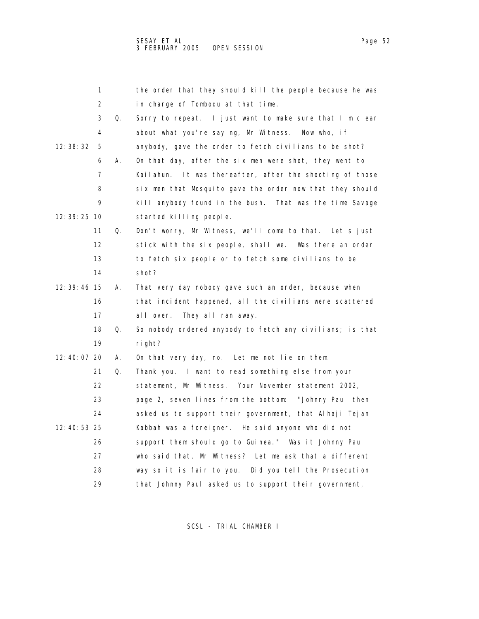|               | 1  |    | the order that they should kill the people because he was |
|---------------|----|----|-----------------------------------------------------------|
|               | 2  |    | in charge of Tombodu at that time.                        |
|               | 3  | Q. | Sorry to repeat. I just want to make sure that I'm clear  |
|               | 4  |    | about what you're saying, Mr Witness.<br>Now who, if      |
| 12: 38: 32    | 5  |    | anybody, gave the order to fetch civilians to be shot?    |
|               | 6  | А. | On that day, after the six men were shot, they went to    |
|               | 7  |    | Kailahun. It was thereafter, after the shooting of those  |
|               | 8  |    | six men that Mosquito gave the order now that they should |
|               | 9  |    | kill anybody found in the bush. That was the time Savage  |
| 12: 39: 25 10 |    |    | started killing people.                                   |
|               | 11 | Q. | Don't worry, Mr Witness, we'll come to that. Let's just   |
|               | 12 |    | stick with the six people, shall we. Was there an order   |
|               | 13 |    | to fetch six people or to fetch some civilians to be      |
|               | 14 |    | shot?                                                     |
| 12:39:46 15   |    | А. | That very day nobody gave such an order, because when     |
|               | 16 |    | that incident happened, all the civilians were scattered  |
|               | 17 |    | They all ran away.<br>all over.                           |
|               | 18 | Q. | So nobody ordered anybody to fetch any civilians; is that |
|               | 19 |    | ri ght?                                                   |
| 12:40:07 20   |    | А. | On that very day, no. Let me not lie on them.             |
|               | 21 | Q. | Thank you. I want to read something else from your        |
|               | 22 |    | statement, Mr Witness. Your November statement 2002,      |
|               | 23 |    | page 2, seven lines from the bottom: "Johnny Paul then    |
|               | 24 |    | asked us to support their government, that Alhaji Tejan   |
| 12: 40: 53 25 |    |    | Kabbah was a foreigner. He said anyone who did not        |
|               | 26 |    | support them should go to Guinea." Was it Johnny Paul     |
|               | 27 |    | who said that, Mr Witness? Let me ask that a different    |
|               | 28 |    | way so it is fair to you. Did you tell the Prosecution    |
|               | 29 |    | that Johnny Paul asked us to support their government,    |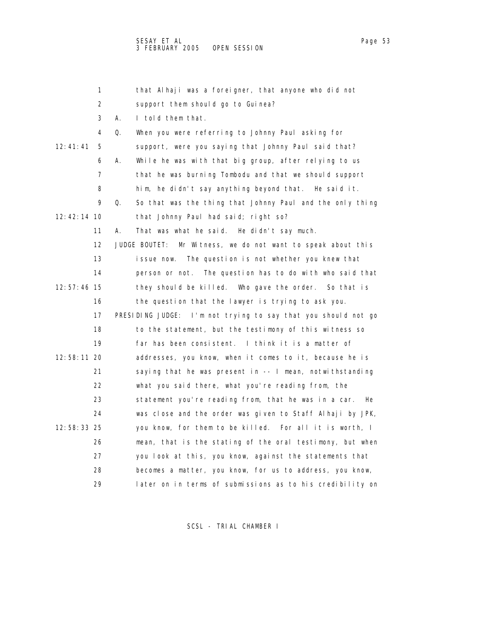|             | 1        | that Alhaji was a foreigner, that anyone who did not            |
|-------------|----------|-----------------------------------------------------------------|
|             | 2        | support them should go to Guinea?                               |
|             | 3<br>А.  | I told them that.                                               |
|             | 4<br>Q.  | When you were referring to Johnny Paul asking for               |
| 12:41:41    | 5        | support, were you saying that Johnny Paul said that?            |
|             | 6<br>А.  | While he was with that big group, after relying to us           |
|             | 7        | that he was burning Tombodu and that we should support          |
|             | 8        | him, he didn't say anything beyond that. He said it.            |
|             | 9<br>Q.  | So that was the thing that Johnny Paul and the only thing       |
| 12:42:14 10 |          | that Johnny Paul had said; right so?                            |
|             | 11<br>А. | That was what he said. He didn't say much.                      |
|             | 12       | JUDGE BOUTET:<br>Mr Witness, we do not want to speak about this |
|             | 13       | The question is not whether you knew that<br>issue now.         |
|             | 14       | person or not. The question has to do with who said that        |
| 12:57:46 15 |          | they should be killed. Who gave the order. So that is           |
|             | 16       | the question that the lawyer is trying to ask you.              |
|             | 17       | PRESIDING JUDGE: I'm not trying to say that you should not go   |
|             | 18       | to the statement, but the testimony of this witness so          |
|             | 19       | far has been consistent. I think it is a matter of              |
| 12:58:11 20 |          | addresses, you know, when it comes to it, because he is         |
|             | 21       | saying that he was present in -- I mean, notwithstanding        |
|             | 22       | what you said there, what you're reading from, the              |
|             | 23       | statement you're reading from, that he was in a car.<br>He      |
|             | 24       | was close and the order was given to Staff Alhaji by JPK,       |
| 12:58:33 25 |          | you know, for them to be killed. For all it is worth, I         |
|             | 26       | mean, that is the stating of the oral testimony, but when       |
|             | 27       | you look at this, you know, against the statements that         |
|             | 28       | becomes a matter, you know, for us to address, you know,        |
|             | 29       | later on in terms of submissions as to his credibility on       |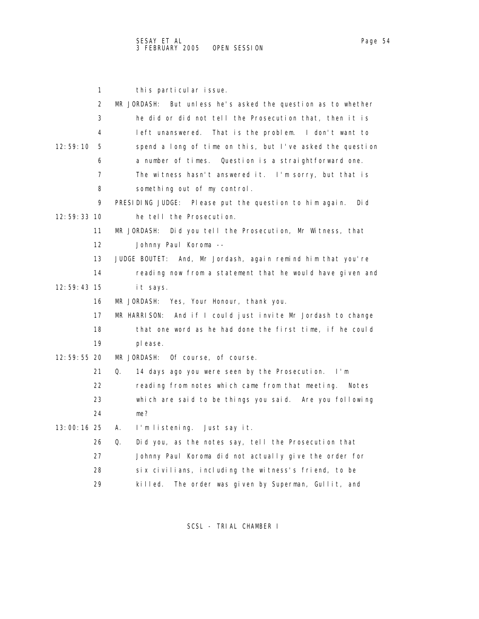|             | 1  | this particular issue.                                          |
|-------------|----|-----------------------------------------------------------------|
|             | 2  | MR JORDASH:<br>But unless he's asked the question as to whether |
|             | 3  | he did or did not tell the Prosecution that, then it is         |
|             | 4  | left unanswered.<br>That is the problem. I don't want to        |
| 12:59:10    | 5  | spend a long of time on this, but I've asked the question       |
|             | 6  | a number of times. Question is a straightforward one.           |
|             | 7  | The witness hasn't answered it. I'm sorry, but that is          |
|             | 8  | something out of my control.                                    |
|             | 9  | PRESIDING JUDGE: Please put the question to him again.<br>Di d  |
| 12:59:33 10 |    | he tell the Prosecution.                                        |
|             | 11 | MR JORDASH:<br>Did you tell the Prosecution, Mr Witness, that   |
|             | 12 | Johnny Paul Koroma --                                           |
|             | 13 | JUDGE BOUTET: And, Mr Jordash, again remind him that you're     |
|             | 14 | reading now from a statement that he would have given and       |
| 12:59:43 15 |    | it says.                                                        |
|             | 16 | MR JORDASH: Yes, Your Honour, thank you.                        |
|             | 17 | And if I could just invite Mr Jordash to change<br>MR HARRISON: |
|             | 18 | that one word as he had done the first time, if he could        |
|             | 19 | pl ease.                                                        |
| 12:59:55 20 |    | MR JORDASH: Of course, of course.                               |
|             | 21 | Q.<br>14 days ago you were seen by the Prosecution. I'm         |
|             | 22 | reading from notes which came from that meeting. Notes          |
|             | 23 | which are said to be things you said. Are you following         |
|             | 24 | me?                                                             |
| 13:00:16 25 |    | I'm listening. Just say it.<br>А.                               |
|             | 26 | Did you, as the notes say, tell the Prosecution that<br>Q.      |
|             | 27 | Johnny Paul Koroma did not actually give the order for          |
|             | 28 | six civilians, including the witness's friend, to be            |
|             | 29 | The order was given by Superman, Gullit, and<br>killed.         |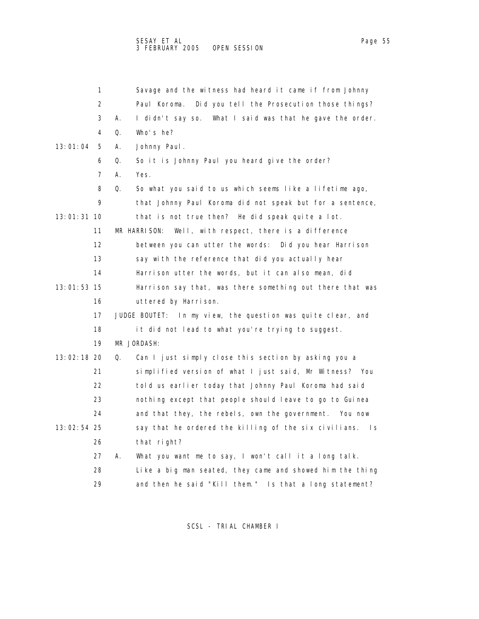1 Savage and the witness had heard it came if from Johnny 2 Paul Koroma. Did you tell the Prosecution those things? 3 A. I didn't say so. What I said was that he gave the order. 4 Q. Who's he? 13:01:04 5 A. Johnny Paul. 6 Q. So it is Johnny Paul you heard give the order? 7 A. Yes. 8 Q. So what you said to us which seems like a lifetime ago, 9 that Johnny Paul Koroma did not speak but for a sentence, 13:01:31 10 that is not true then? He did speak quite a lot. 11 MR HARRISON: Well, with respect, there is a difference 12 between you can utter the words: Did you hear Harrison 13 say with the reference that did you actually hear 14 Harrison utter the words, but it can also mean, did 13:01:53 15 Harrison say that, was there something out there that was 16 uttered by Harrison. 17 JUDGE BOUTET: In my view, the question was quite clear, and 18 it did not lead to what you're trying to suggest. 19 MR JORDASH: 13:02:18 20 Q. Can I just simply close this section by asking you a 21 simplified version of what I just said, Mr Witness? You 22 told us earlier today that Johnny Paul Koroma had said 23 nothing except that people should leave to go to Guinea 24 and that they, the rebels, own the government. You now 13:02:54 25 say that he ordered the killing of the six civilians. Is 26 that right? 27 A. What you want me to say, I won't call it a long talk. 28 Like a big man seated, they came and showed him the thing 29 and then he said "Kill them." Is that a long statement?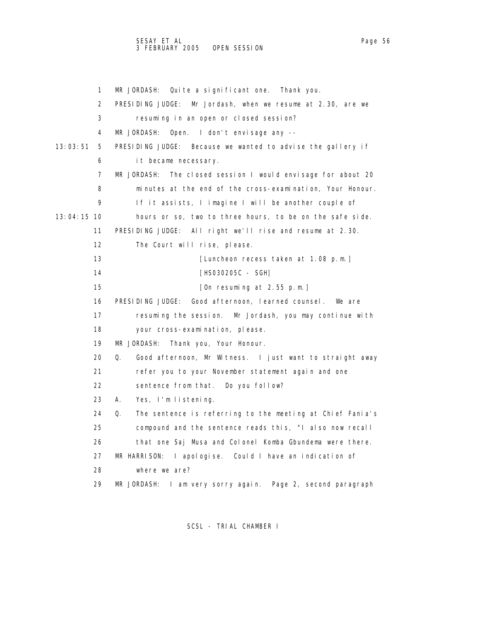## SESAY ET AL Page 56 3 FEBRUARY 2005 OPEN SESSION

1 MR JORDASH: Quite a significant one. Thank you. 2 PRESIDING JUDGE: Mr Jordash, when we resume at 2.30, are we 3 resuming in an open or closed session? 4 MR JORDASH: Open. I don't envisage any -- 13:03:51 5 PRESIDING JUDGE: Because we wanted to advise the gallery if 6 it became necessary. 7 MR JORDASH: The closed session I would envisage for about 20 8 minutes at the end of the cross-examination, Your Honour. 9 If it assists, I imagine I will be another couple of 13:04:15 10 hours or so, two to three hours, to be on the safe side. 11 PRESIDING JUDGE: All right we'll rise and resume at 2.30. 12 The Court will rise, please. 13 **ILuncheon recess taken at 1.08 p.m.**] 14 **[HS030205C** - SGH] 15 [On resuming at 2.55 p.m.] 16 PRESIDING JUDGE: Good afternoon, learned counsel. We are 17 resuming the session. Mr Jordash, you may continue with 18 your cross-examination, please. 19 MR JORDASH: Thank you, Your Honour. 20 Q. Good afternoon, Mr Witness. I just want to straight away 21 refer you to your November statement again and one 22 sentence from that. Do you follow? 23 A. Yes, I'm listening. 24 Q. The sentence is referring to the meeting at Chief Fania's 25 compound and the sentence reads this, "I also now recall 26 that one Saj Musa and Colonel Komba Gbundema were there. 27 MR HARRISON: I apologise. Could I have an indication of 28 where we are? 29 MR JORDASH: I am very sorry again. Page 2, second paragraph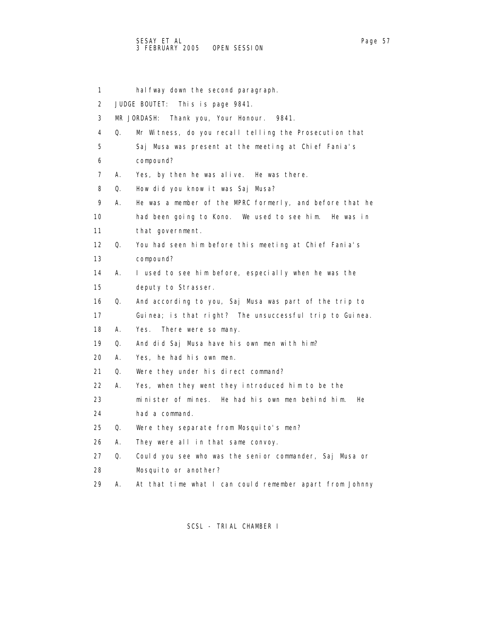1 halfway down the second paragraph. 2 JUDGE BOUTET: This is page 9841. 3 MR JORDASH: Thank you, Your Honour. 9841. 4 Q. Mr Witness, do you recall telling the Prosecution that 5 Saj Musa was present at the meeting at Chief Fania's 6 compound? 7 A. Yes, by then he was alive. He was there. 8 Q. How did you know it was Saj Musa? 9 A. He was a member of the MPRC formerly, and before that he 10 had been going to Kono. We used to see him. He was in 11 that government. 12 Q. You had seen him before this meeting at Chief Fania's 13 compound? 14 A. I used to see him before, especially when he was the 15 deputy to Strasser. 16 Q. And according to you, Saj Musa was part of the trip to 17 Guinea; is that right? The unsuccessful trip to Guinea. 18 A. Yes. There were so many. 19 Q. And did Saj Musa have his own men with him? 20 A. Yes, he had his own men. 21 Q. Were they under his direct command? 22 A. Yes, when they went they introduced him to be the 23 minister of mines. He had his own men behind him. He 24 had a command. 25 Q. Were they separate from Mosquito's men? 26 A. They were all in that same convoy. 27 Q. Could you see who was the senior commander, Saj Musa or 28 Mosquito or another?

29 A. At that time what I can could remember apart from Johnny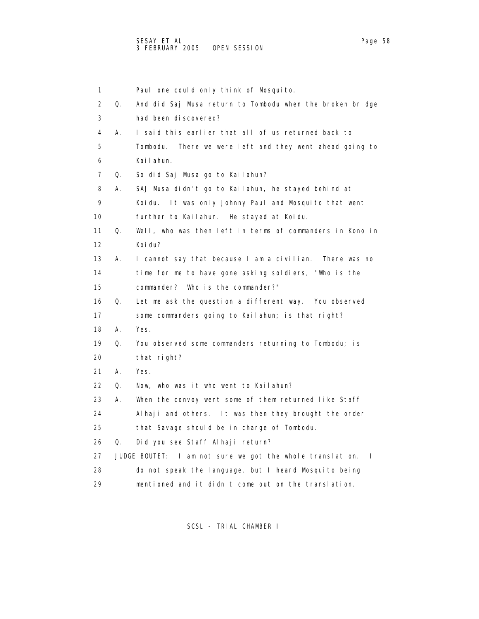1 Paul one could only think of Mosquito. 2 Q. And did Saj Musa return to Tombodu when the broken bridge 3 had been discovered? 4 A. I said this earlier that all of us returned back to 5 Tombodu. There we were left and they went ahead going to 6 Kailahun. 7 Q. So did Saj Musa go to Kailahun? 8 A. SAJ Musa didn't go to Kailahun, he stayed behind at 9 Koidu. It was only Johnny Paul and Mosquito that went 10 further to Kailahun. He stayed at Koidu. 11 Q. Well, who was then left in terms of commanders in Kono in 12 Koidu? 13 A. I cannot say that because I am a civilian. There was no 14 time for me to have gone asking soldiers, "Who is the 15 commander? Who is the commander?" 16 Q. Let me ask the question a different way. You observed 17 some commanders going to Kailahun; is that right? 18 A. Yes. 19 Q. You observed some commanders returning to Tombodu; is 20 that right? 21 A. Yes. 22 Q. Now, who was it who went to Kailahun? 23 A. When the convoy went some of them returned like Staff 24 Alhaji and others. It was then they brought the order 25 that Savage should be in charge of Tombodu. 26 Q. Did you see Staff Alhaji return? 27 JUDGE BOUTET: I am not sure we got the whole translation. I 28 do not speak the language, but I heard Mosquito being 29 mentioned and it didn't come out on the translation.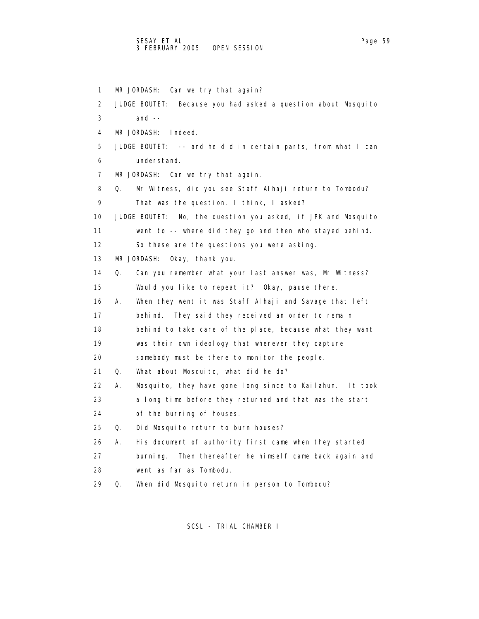## SESAY ET AL Page 59 3 FEBRUARY 2005 OPEN SESSION

 1 MR JORDASH: Can we try that again? 2 JUDGE BOUTET: Because you had asked a question about Mosquito  $3$  and  $-$  4 MR JORDASH: Indeed. 5 JUDGE BOUTET: -- and he did in certain parts, from what I can 6 understand. 7 MR JORDASH: Can we try that again. 8 Q. Mr Witness, did you see Staff Alhaji return to Tombodu? 9 That was the question, I think, I asked? 10 JUDGE BOUTET: No, the question you asked, if JPK and Mosquito 11 went to -- where did they go and then who stayed behind. 12 So these are the questions you were asking. 13 MR JORDASH: Okay, thank you. 14 Q. Can you remember what your last answer was, Mr Witness? 15 Would you like to repeat it? Okay, pause there. 16 A. When they went it was Staff Alhaji and Savage that left 17 behind. They said they received an order to remain 18 behind to take care of the place, because what they want 19 was their own ideology that wherever they capture 20 somebody must be there to monitor the people. 21 Q. What about Mosquito, what did he do? 22 A. Mosquito, they have gone long since to Kailahun. It took 23 a long time before they returned and that was the start 24 of the burning of houses. 25 Q. Did Mosquito return to burn houses? 26 A. His document of authority first came when they started 27 burning. Then thereafter he himself came back again and 28 went as far as Tombodu. 29 Q. When did Mosquito return in person to Tombodu?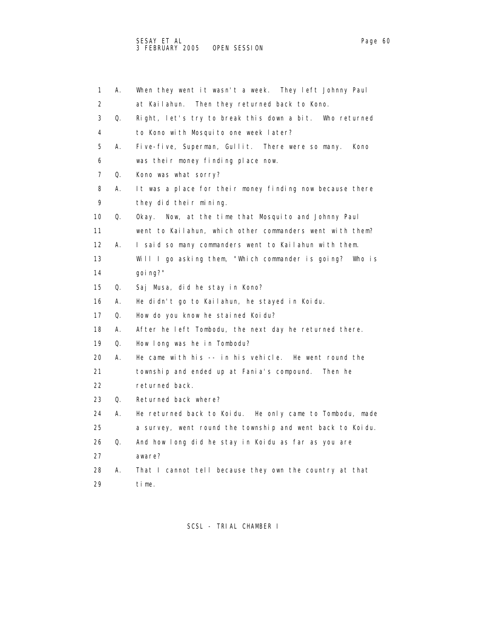| 1                 | А. | When they went it wasn't a week. They left Johnny Paul    |
|-------------------|----|-----------------------------------------------------------|
| 2                 |    | at Kailahun. Then they returned back to Kono.             |
| 3                 | Q. | Right, let's try to break this down a bit. Who returned   |
| 4                 |    | to Kono with Mosquito one week later?                     |
| 5                 | Α. | Five-five, Superman, Gullit. There were so many.<br>Kono  |
| 6                 |    | was their money finding place now.                        |
| 7                 | Q. | Kono was what sorry?                                      |
| 8                 | А. | It was a place for their money finding now because there  |
| 9                 |    | they did their mining.                                    |
| 10                | Q. | Now, at the time that Mosquito and Johnny Paul<br>0kay.   |
| 11                |    | went to Kailahun, which other commanders went with them?  |
| $12 \overline{ }$ | А. | I said so many commanders went to Kailahun with them.     |
| 13                |    | Will I go asking them, "Which commander is going? Who is  |
| 14                |    | qoi ng?"                                                  |
| 15                | Q. | Saj Musa, did he stay in Kono?                            |
| 16                | А. | He didn't go to Kailahun, he stayed in Koidu.             |
| 17                | Q. | How do you know he stained Koidu?                         |
| 18                | А. | After he left Tombodu, the next day he returned there.    |
| 19                | Q. | How long was he in Tombodu?                               |
| 20                | А. | He came with his -- in his vehicle. He went round the     |
| 21                |    | township and ended up at Fania's compound.<br>Then he     |
| 22                |    | returned back.                                            |
| 23                | Q. | Returned back where?                                      |
| 24                | А. | He returned back to Koidu. He only came to Tombodu, made  |
| 25                |    | a survey, went round the township and went back to Koidu. |
| 26                | Q. | And how long did he stay in Koidu as far as you are       |
| 27                |    | aware?                                                    |
| 28                | А. | That I cannot tell because they own the country at that   |
| 29                |    | time.                                                     |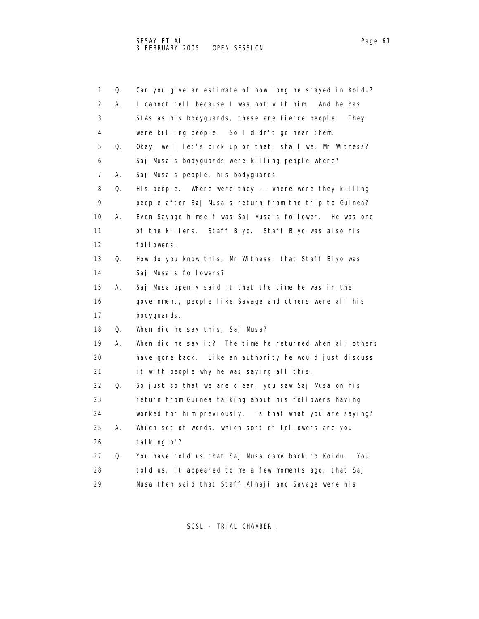| 1                 | Q. | Can you give an estimate of how long he stayed in Koidu?  |
|-------------------|----|-----------------------------------------------------------|
| 2                 | А. | I cannot tell because I was not with him.<br>And he has   |
| 3                 |    | SLAs as his bodyguards, these are fierce people.<br>They  |
| 4                 |    | were killing people. So I didn't go near them.            |
| 5                 | Q. | Okay, well let's pick up on that, shall we, Mr Witness?   |
| 6                 |    | Saj Musa's bodyguards were killing people where?          |
| 7                 | А. | Saj Musa's people, his bodyguards.                        |
| 8                 | Q. | His people. Where were they -- where were they killing    |
| 9                 |    | people after Saj Musa's return from the trip to Guinea?   |
| 10                | Α. | Even Savage himself was Saj Musa's follower. He was one   |
| 11                |    | of the killers. Staff Biyo. Staff Biyo was also his       |
| $12 \overline{ }$ |    | followers.                                                |
| 13                | Q. | How do you know this, Mr Witness, that Staff Biyo was     |
| 14                |    | Saj Musa's followers?                                     |
| 15                | А. | Saj Musa openly said it that the time he was in the       |
| 16                |    | government, people like Savage and others were all his    |
| 17                |    | bodyquards.                                               |
| 18                | Q. | When did he say this, Saj Musa?                           |
| 19                | А. | When did he say it? The time he returned when all others  |
| 20                |    | have gone back. Like an authority he would just discuss   |
| 21                |    | it with people why he was saying all this.                |
| 22                | Q. | So just so that we are clear, you saw Saj Musa on his     |
| 23                |    | return from Guinea talking about his followers having     |
| 24                |    | worked for him previously. Is that what you are saying?   |
| 25                | А. | Which set of words, which sort of followers are you       |
| 26                |    | tal king of?                                              |
| 27                | Q. | You have told us that Saj Musa came back to Koidu.<br>You |
| 28                |    | told us, it appeared to me a few moments ago, that Saj    |
| 29                |    | Musa then said that Staff Alhaji and Savage were his      |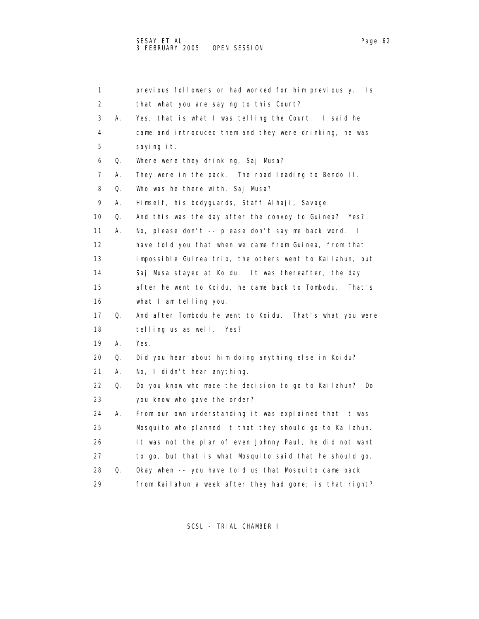| 1                 |    | previous followers or had worked for him previously.<br>Is.     |
|-------------------|----|-----------------------------------------------------------------|
| 2                 |    | that what you are saying to this Court?                         |
| 3                 | А. | Yes, that is what I was telling the Court. I said he            |
| 4                 |    | came and introduced them and they were drinking, he was         |
| 5                 |    | saying it.                                                      |
| 6                 | Q. | Where were they drinking, Saj Musa?                             |
| 7                 | А. | They were in the pack. The road leading to Bendo II.            |
| 8                 | Q. | Who was he there with, Saj Musa?                                |
| 9                 | А. | Himself, his bodyguards, Staff Alhaji, Savage.                  |
| 10                | Q. | And this was the day after the convoy to Guinea? Yes?           |
| 11                | А. | No, please don't -- please don't say me back word.<br>$\sim$ 1. |
| $12 \overline{ }$ |    | have told you that when we came from Guinea, from that          |
| 13                |    | impossible Guinea trip, the others went to Kailahun, but        |
| 14                |    | Saj Musa stayed at Koidu. It was thereafter, the day            |
| 15                |    | after he went to Koidu, he came back to Tombodu.<br>That's      |
| 16                |    | what I am telling you.                                          |
| 17                | Q. | And after Tombodu he went to Koidu.<br>That's what you were     |
| 18                |    | telling us as well. Yes?                                        |
| 19                | А. | Yes.                                                            |
| 20                | Q. | Did you hear about him doing anything else in Koidu?            |
| 21                | А. | No, I didn't hear anything.                                     |
| 22                | Q. | Do you know who made the decision to go to Kailahun?<br>Do      |
| 23                |    | you know who gave the order?                                    |
| 24                | А. | From our own understanding it was explained that it was         |
| 25                |    | Mosquito who planned it that they should go to Kailahun.        |
| 26                |    | It was not the plan of even Johnny Paul, he did not want        |
| 27                |    | to go, but that is what Mosquito said that he should go.        |
| 28                | Q. | Okay when -- you have told us that Mosquito came back           |
| 29                |    | from Kailahun a week after they had gone; is that right?        |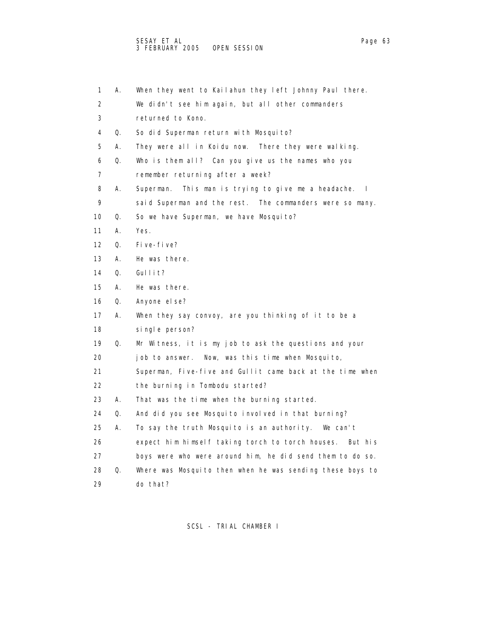1 A. When they went to Kailahun they left Johnny Paul there. 2 We didn't see him again, but all other commanders 3 returned to Kono. 4 Q. So did Superman return with Mosquito? 5 A. They were all in Koidu now. There they were walking. 6 Q. Who is them all? Can you give us the names who you 7 remember returning after a week? 8 A. Superman. This man is trying to give me a headache. I 9 said Superman and the rest. The commanders were so many. 10 Q. So we have Superman, we have Mosquito? 11 A. Yes. 12 Q. Five-five? 13 A. He was there. 14 Q. Gullit? 15 A. He was there. 16 Q. Anyone else? 17 A. When they say convoy, are you thinking of it to be a 18 single person? 19 Q. Mr Witness, it is my job to ask the questions and your 20 job to answer. Now, was this time when Mosquito, 21 Superman, Five-five and Gullit came back at the time when 22 the burning in Tombodu started? 23 A. That was the time when the burning started. 24 Q. And did you see Mosquito involved in that burning? 25 A. To say the truth Mosquito is an authority. We can't 26 expect him himself taking torch to torch houses. But his 27 boys were who were around him, he did send them to do so. 28 Q. Where was Mosquito then when he was sending these boys to 29 do that?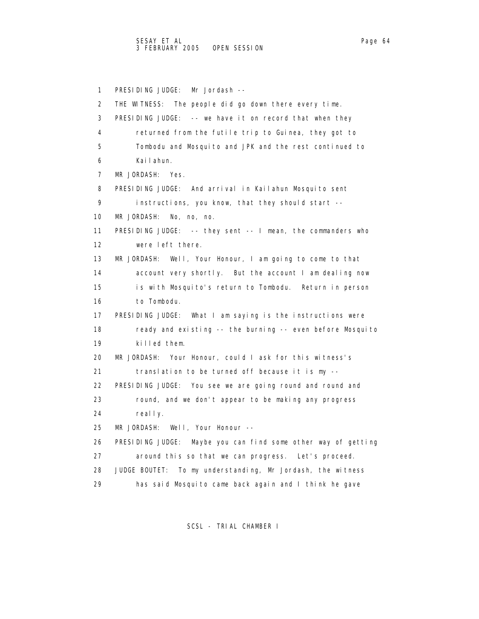1 PRESIDING JUDGE: Mr Jordash -- 2 THE WITNESS: The people did go down there every time. 3 PRESIDING JUDGE: -- we have it on record that when they 4 returned from the futile trip to Guinea, they got to 5 Tombodu and Mosquito and JPK and the rest continued to 6 Kailahun. 7 MR JORDASH: Yes. 8 PRESIDING JUDGE: And arrival in Kailahun Mosquito sent 9 instructions, you know, that they should start -- 10 MR JORDASH: No, no, no. 11 PRESIDING JUDGE: -- they sent -- I mean, the commanders who 12 were left there. 13 MR JORDASH: Well, Your Honour, I am going to come to that 14 account very shortly. But the account I am dealing now 15 is with Mosquito's return to Tombodu. Return in person 16 to Tombodu. 17 PRESIDING JUDGE: What I am saying is the instructions were 18 ready and existing -- the burning -- even before Mosquito 19 killed them. 20 MR JORDASH: Your Honour, could I ask for this witness's 21 translation to be turned off because it is my -- 22 PRESIDING JUDGE: You see we are going round and round and 23 round, and we don't appear to be making any progress 24 really. 25 MR JORDASH: Well, Your Honour -- 26 PRESIDING JUDGE: Maybe you can find some other way of getting 27 around this so that we can progress. Let's proceed. 28 JUDGE BOUTET: To my understanding, Mr Jordash, the witness 29 has said Mosquito came back again and I think he gave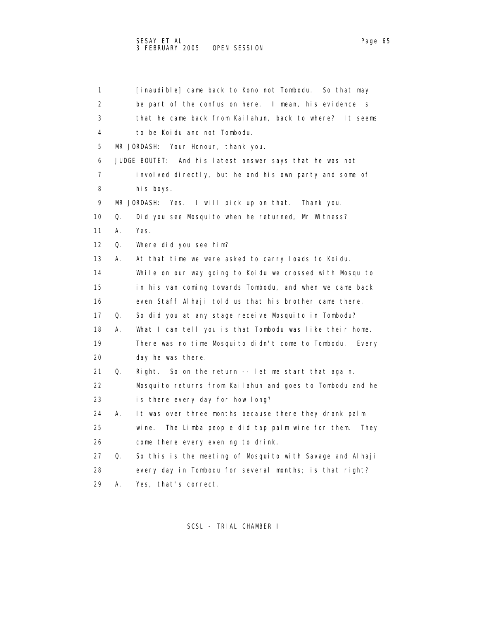| 1               |    | [inaudible] came back to Kono not Tombodu. So that may         |
|-----------------|----|----------------------------------------------------------------|
| 2               |    | be part of the confusion here. I mean, his evidence is         |
| 3               |    | that he came back from Kailahun, back to where? It seems       |
| 4               |    | to be Koidu and not Tombodu.                                   |
| 5               |    | MR JORDASH:<br>Your Honour, thank you.                         |
| 6               |    | JUDGE BOUTET: And his latest answer says that he was not       |
| 7               |    | involved directly, but he and his own party and some of        |
| 8               |    | his boys.                                                      |
| 9               |    | MR JORDASH: Yes. I will pick up on that.<br>Thank you.         |
| 10              | Q. | Did you see Mosquito when he returned, Mr Witness?             |
| 11              | А. | Yes.                                                           |
| 12 <sup>2</sup> | Q. | Where did you see him?                                         |
| 13              | А. | At that time we were asked to carry loads to Koidu.            |
| 14              |    | While on our way going to Koidu we crossed with Mosquito       |
| 15              |    | in his van coming towards Tombodu, and when we came back       |
| 16              |    | even Staff Alhaji told us that his brother came there.         |
| 17              | Q. | So did you at any stage receive Mosquito in Tombodu?           |
| 18              | А. | What I can tell you is that Tombodu was like their home.       |
| 19              |    | There was no time Mosquito didn't come to Tombodu. Every       |
| 20              |    | day he was there.                                              |
| 21              | Q. | So on the return -- let me start that again.<br>Right.         |
| 22              |    | Mosquito returns from Kailahun and goes to Tombodu and he      |
| 23              |    | is there every day for how long?                               |
| 24              | А. | It was over three months because there they drank palm         |
| 25              |    | The Limba people did tap palm wine for them.<br>wi ne.<br>They |
| 26              |    | come there every evening to drink.                             |
| 27              | Q. | So this is the meeting of Mosquito with Savage and Alhaji      |
| 28              |    | every day in Tombodu for several months; is that right?        |
| 29              | А. | Yes, that's correct.                                           |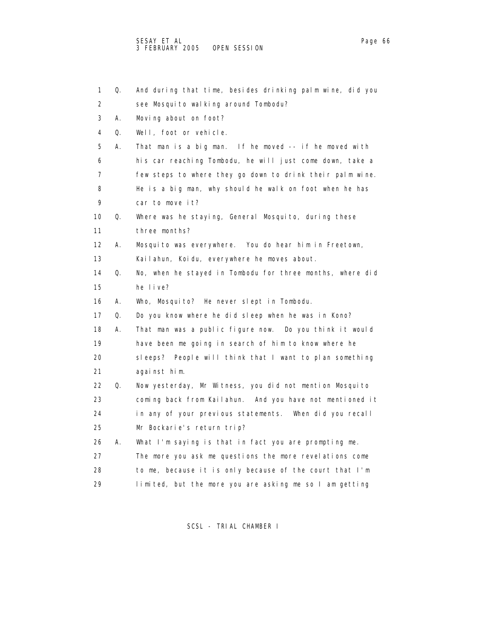1 Q. And during that time, besides drinking palm wine, did you 2 see Mosquito walking around Tombodu? 3 A. Moving about on foot? 4 Q. Well, foot or vehicle. 5 A. That man is a big man. If he moved -- if he moved with 6 his car reaching Tombodu, he will just come down, take a 7 few steps to where they go down to drink their palm wine. 8 He is a big man, why should he walk on foot when he has 9 car to move it? 10 Q. Where was he staying, General Mosquito, during these 11 three months? 12 A. Mosquito was everywhere. You do hear him in Freetown, 13 Kailahun, Koidu, everywhere he moves about. 14 Q. No, when he stayed in Tombodu for three months, where did 15 he live? 16 A. Who, Mosquito? He never slept in Tombodu. 17 Q. Do you know where he did sleep when he was in Kono? 18 A. That man was a public figure now. Do you think it would 19 have been me going in search of him to know where he 20 sleeps? People will think that I want to plan something 21 against him. 22 Q. Now yesterday, Mr Witness, you did not mention Mosquito 23 coming back from Kailahun. And you have not mentioned it 24 in any of your previous statements. When did you recall 25 Mr Bockarie's return trip? 26 A. What I'm saying is that in fact you are prompting me. 27 The more you ask me questions the more revelations come 28 to me, because it is only because of the court that I'm 29 limited, but the more you are asking me so I am getting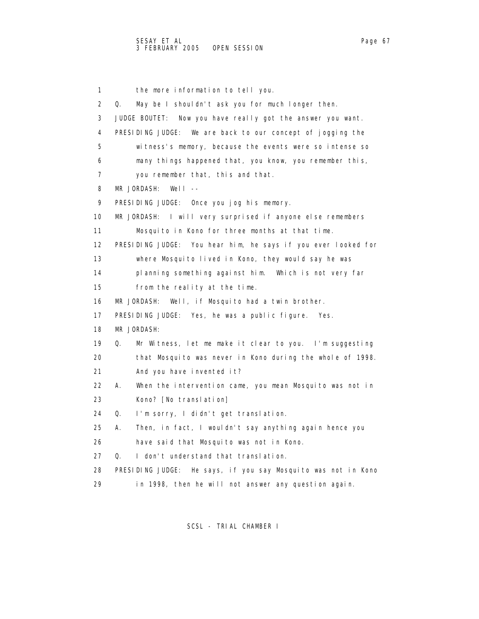1 the more information to tell you. 2 Q. May be I shouldn't ask you for much longer then. 3 JUDGE BOUTET: Now you have really got the answer you want. 4 PRESIDING JUDGE: We are back to our concept of jogging the 5 witness's memory, because the events were so intense so 6 many things happened that, you know, you remember this, 7 you remember that, this and that. 8 MR JORDASH: Well -- 9 PRESIDING JUDGE: Once you jog his memory. 10 MR JORDASH: I will very surprised if anyone else remembers 11 Mosquito in Kono for three months at that time. 12 PRESIDING JUDGE: You hear him, he says if you ever looked for 13 where Mosquito lived in Kono, they would say he was 14 planning something against him. Which is not very far 15 from the reality at the time. 16 MR JORDASH: Well, if Mosquito had a twin brother. 17 PRESIDING JUDGE: Yes, he was a public figure. Yes. 18 MR JORDASH: 19 Q. Mr Witness, let me make it clear to you. I'm suggesting 20 that Mosquito was never in Kono during the whole of 1998. 21 And you have invented it? 22 A. When the intervention came, you mean Mosquito was not in 23 Kono? [No translation] 24 Q. I'm sorry, I didn't get translation. 25 A. Then, in fact, I wouldn't say anything again hence you 26 have said that Mosquito was not in Kono. 27 Q. I don't understand that translation. 28 PRESIDING JUDGE: He says, if you say Mosquito was not in Kono 29 in 1998, then he will not answer any question again.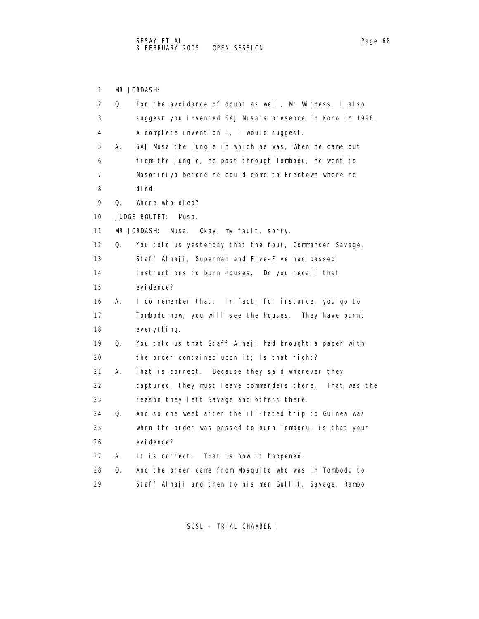1 MR JORDASH:

| 2  | Q. | For the avoidance of doubt as well, Mr Witness, I also      |
|----|----|-------------------------------------------------------------|
| 3  |    | suggest you invented SAJ Musa's presence in Kono in 1998.   |
| 4  |    | A complete invention I, I would suggest.                    |
| 5  | А. | SAJ Musa the jungle in which he was, When he came out       |
| 6  |    | from the jungle, he past through Tombodu, he went to        |
| 7  |    | Masofiniya before he could come to Freetown where he        |
| 8  |    | di ed.                                                      |
| 9  | 0. | Where who died?                                             |
| 10 |    | JUDGE BOUTET:<br>Musa.                                      |
| 11 |    | MR JORDASH:<br>Musa. Okay, my fault, sorry.                 |
| 12 | Q. | You told us yesterday that the four, Commander Savage,      |
| 13 |    | Staff Alhaji, Superman and Five-Five had passed             |
| 14 |    | instructions to burn houses. Do you recall that             |
| 15 |    | evi dence?                                                  |
| 16 | А. | I do remember that. In fact, for instance, you go to        |
| 17 |    | Tombodu now, you will see the houses. They have burnt       |
| 18 |    | everything.                                                 |
| 19 | Q. | You told us that Staff Alhaji had brought a paper with      |
| 20 |    | the order contained upon it; Is that right?                 |
| 21 | А. | That is correct. Because they said wherever they            |
| 22 |    | captured, they must leave commanders there.<br>That was the |
| 23 |    | reason they left Savage and others there.                   |
| 24 | Q. | And so one week after the ill-fated trip to Guinea was      |
| 25 |    | when the order was passed to burn Tombodu; is that your     |
| 26 |    | evi dence?                                                  |
| 27 | А. | It is correct.<br>That is how it happened.                  |
| 28 | Q. | And the order came from Mosquito who was in Tombodu to      |
| 29 |    | Staff Alhaji and then to his men Gullit, Savage, Rambo      |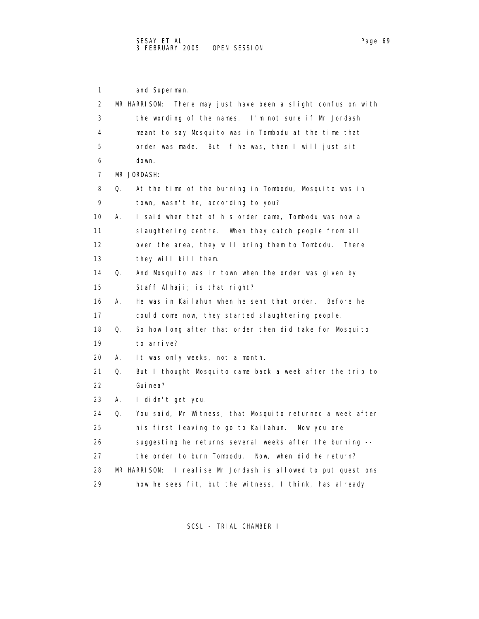1 and Superman. 2 MR HARRISON: There may just have been a slight confusion with 3 the wording of the names. I'm not sure if Mr Jordash 4 meant to say Mosquito was in Tombodu at the time that 5 order was made. But if he was, then I will just sit 6 down. 7 MR JORDASH: 8 Q. At the time of the burning in Tombodu, Mosquito was in 9 town, wasn't he, according to you? 10 A. I said when that of his order came, Tombodu was now a 11 slaughtering centre. When they catch people from all 12 over the area, they will bring them to Tombodu. There 13 they will kill them. 14 Q. And Mosquito was in town when the order was given by 15 Staff Alhaji; is that right? 16 A. He was in Kailahun when he sent that order. Before he 17 could come now, they started slaughtering people. 18 Q. So how long after that order then did take for Mosquito 19 to arrive? 20 A. It was only weeks, not a month. 21 Q. But I thought Mosquito came back a week after the trip to 22 Guinea? 23 A. I didn't get you. 24 Q. You said, Mr Witness, that Mosquito returned a week after 25 his first leaving to go to Kailahun. Now you are 26 suggesting he returns several weeks after the burning -- 27 the order to burn Tombodu. Now, when did he return? 28 MR HARRISON: I realise Mr Jordash is allowed to put questions 29 how he sees fit, but the witness, I think, has already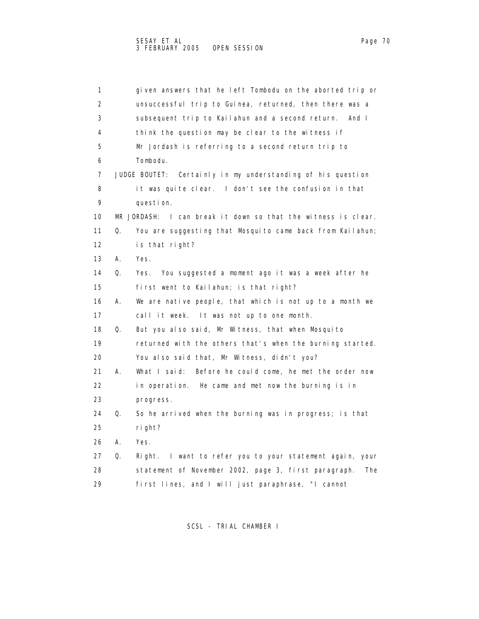| 1                 |    | given answers that he left Tombodu on the aborted trip or        |
|-------------------|----|------------------------------------------------------------------|
| 2                 |    | unsuccessful trip to Guinea, returned, then there was a          |
| 3                 |    | subsequent trip to Kailahun and a second return. And I           |
| 4                 |    | think the question may be clear to the witness if                |
| 5                 |    | Mr Jordash is referring to a second return trip to               |
| 6                 |    | Tombodu.                                                         |
| 7                 |    | JUDGE BOUTET: Certainly in my understanding of his question      |
| 8                 |    | it was quite clear. I don't see the confusion in that            |
| 9                 |    | question.                                                        |
| 10                |    | MR JORDASH:<br>I can break it down so that the witness is clear. |
| 11                | Q. | You are suggesting that Mosquito came back from Kailahun;        |
| $12 \overline{ }$ |    | is that right?                                                   |
| 13                | А. | Yes.                                                             |
| 14                | Q. | Yes.<br>You suggested a moment ago it was a week after he        |
| 15                |    | first went to Kailahun; is that right?                           |
| 16                | А. | We are native people, that which is not up to a month we         |
| 17                |    | call it week. It was not up to one month.                        |
| 18                | Q. | But you also said, Mr Witness, that when Mosquito                |
| 19                |    | returned with the others that's when the burning started.        |
| 20                |    | You also said that, Mr Witness, didn't you?                      |
| 21                | А. | What I said:<br>Before he could come, he met the order now       |
| 22                |    | in operation. He came and met now the burning is in              |
| 23                |    | progress.                                                        |
| 24                | Q. | So he arrived when the burning was in progress; is that          |
| 25                |    | ri ght?                                                          |
| 26                | А. | Yes.                                                             |
| 27                | Q. | I want to refer you to your statement again, your<br>Right.      |
| 28                |    | statement of November 2002, page 3, first paragraph.<br>The      |
| 29                |    | first lines, and I will just paraphrase, "I cannot               |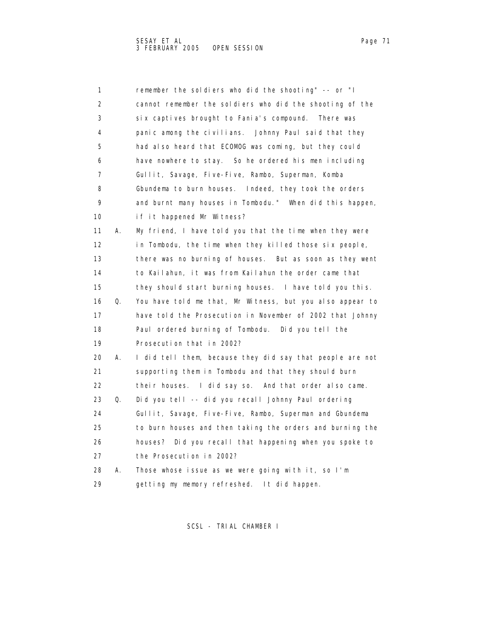| 1                 |    | remember the soldiers who did the shooting" -- or "I      |
|-------------------|----|-----------------------------------------------------------|
| 2                 |    | cannot remember the soldiers who did the shooting of the  |
| 3                 |    | six captives brought to Fania's compound. There was       |
| 4                 |    | panic among the civilians. Johnny Paul said that they     |
| 5                 |    | had also heard that ECOMOG was coming, but they could     |
| 6                 |    | have nowhere to stay. So he ordered his men including     |
| 7                 |    | Gullit, Savage, Five-Five, Rambo, Superman, Komba         |
| 8                 |    | Gbundema to burn houses. Indeed, they took the orders     |
| 9                 |    | and burnt many houses in Tombodu." When did this happen,  |
| 10                |    | if it happened Mr Witness?                                |
| 11                | А. | My friend, I have told you that the time when they were   |
| $12 \overline{ }$ |    | in Tombodu, the time when they killed those six people,   |
| 13                |    | there was no burning of houses. But as soon as they went  |
| 14                |    | to Kailahun, it was from Kailahun the order came that     |
| 15                |    | they should start burning houses. I have told you this.   |
| 16                | Q. | You have told me that, Mr Witness, but you also appear to |
| 17                |    | have told the Prosecution in November of 2002 that Johnny |
| 18                |    | Paul ordered burning of Tombodu. Did you tell the         |
| 19                |    | Prosecution that in 2002?                                 |
| 20                | А. | I did tell them, because they did say that people are not |
| 21                |    | supporting them in Tombodu and that they should burn      |
| 22                |    | their houses. I did say so. And that order also came.     |
| 23                | Q. | Did you tell -- did you recall Johnny Paul ordering       |
| 24                |    | Gullit, Savage, Five-Five, Rambo, Superman and Gbundema   |
| 25                |    | to burn houses and then taking the orders and burning the |
| 26                |    | houses? Did you recall that happening when you spoke to   |
| 27                |    | the Prosecution in 2002?                                  |
| 28                | А. | Those whose issue as we were going with it, so I'm        |
| 29                |    | getting my memory refreshed. It did happen.               |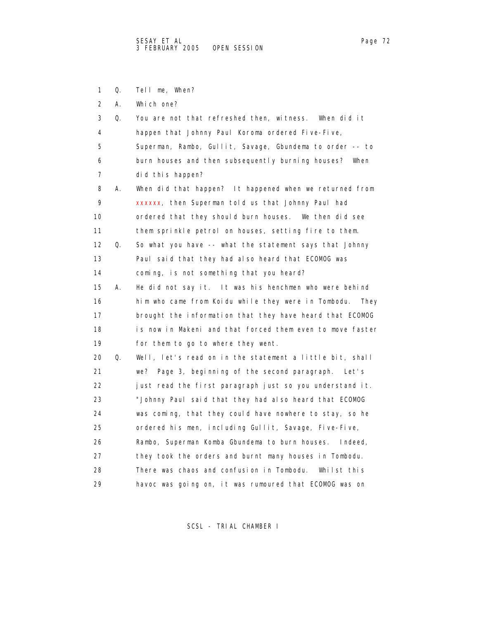- 1 Q. Tell me, When?
- 2 A. Which one?

| 3                 | Q. | You are not that refreshed then, witness. When did it       |
|-------------------|----|-------------------------------------------------------------|
| 4                 |    | happen that Johnny Paul Koroma ordered Five-Five,           |
| 5                 |    | Superman, Rambo, Gullit, Savage, Gbundema to order -- to    |
| 6                 |    | burn houses and then subsequently burning houses? When      |
| 7                 |    | did this happen?                                            |
| 8                 | А. | When did that happen? It happened when we returned from     |
| 9                 |    | xxxxxx, then Superman told us that Johnny Paul had          |
| 10                |    | ordered that they should burn houses. We then did see       |
| 11                |    | them sprinkle petrol on houses, setting fire to them.       |
| $12 \overline{ }$ | Q. | So what you have -- what the statement says that Johnny     |
| 13                |    | Paul said that they had also heard that ECOMOG was          |
| 14                |    | coming, is not something that you heard?                    |
| 15                | А. | He did not say it. It was his henchmen who were behind      |
| 16                |    | him who came from Koidu while they were in Tombodu.<br>They |
| 17                |    | brought the information that they have heard that ECOMOG    |
| 18                |    | is now in Makeni and that forced them even to move faster   |
| 19                |    | for them to go to where they went.                          |
| 20                | Q. | Well, let's read on in the statement a little bit, shall    |
| 21                |    | we? Page 3, beginning of the second paragraph.<br>Let's     |
| 22                |    | just read the first paragraph just so you understand it.    |
| 23                |    | "Johnny Paul said that they had also heard that ECOMOG      |
| 24                |    | was coming, that they could have nowhere to stay, so he     |
| 25                |    | ordered his men, including Gullit, Savage, Five-Five,       |
| 26                |    | Rambo, Superman Komba Gbundema to burn houses. Indeed,      |
| 27                |    | they took the orders and burnt many houses in Tombodu.      |
| 28                |    | There was chaos and confusion in Tombodu.<br>Whilst this    |
| 29                |    | havoc was going on, it was rumoured that ECOMOG was on      |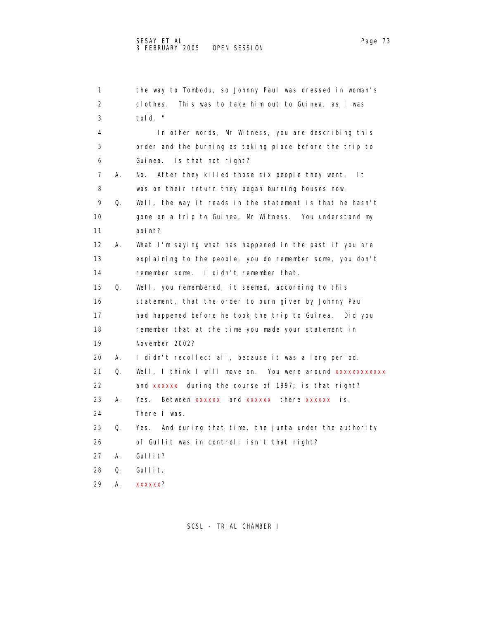|    | 1                       | the way to Tombodu, so Johnny Paul was dressed in woman's  |
|----|-------------------------|------------------------------------------------------------|
|    | 2                       | This was to take him out to Guinea, as I was<br>clothes.   |
|    | 3                       | told. "                                                    |
|    | 4                       | In other words, Mr Witness, you are describing this        |
|    | 5                       | order and the burning as taking place before the trip to   |
|    | 6                       | Is that not right?<br>Gui nea.                             |
|    | $\overline{7}$<br>А.    | After they killed those six people they went. It<br>No.    |
|    | 8                       | was on their return they began burning houses now.         |
|    | 9<br>Q.                 | Well, the way it reads in the statement is that he hasn't  |
|    | 10                      | gone on a trip to Guinea, Mr Witness. You understand my    |
| 11 |                         | poi nt?                                                    |
|    | $12 \overline{ }$<br>А. | What I'm saying what has happened in the past if you are   |
| 13 |                         | explaining to the people, you do remember some, you don't  |
|    | 14                      | remember some. I didn't remember that.                     |
| 15 | Q.                      | Well, you remembered, it seemed, according to this         |
|    | 16                      | statement, that the order to burn given by Johnny Paul     |
|    | 17                      | had happened before he took the trip to Guinea. Did you    |
| 18 |                         | remember that at the time you made your statement in       |
|    | 19                      | November 2002?                                             |
|    | 20<br>А.                | I didn't recollect all, because it was a long period.      |
| 21 | Q.                      | Well, I think I will move on. You were around xxxxxxxxxxxx |
|    | 22                      | and xxxxxx during the course of 1997; is that right?       |
| 23 | А.                      | Between xxxxxx and xxxxxx there xxxxxx is.<br>Yes.         |
| 24 |                         | There I was.                                               |
| 25 | Q.                      | Yes. And during that time, the junta under the authority   |
| 26 |                         | of Gullit was in control; isn't that right?                |
|    | 27<br>А.                | Gullit?                                                    |
| 28 | Q.                      | Gullit.                                                    |
| 29 | А.                      | xxxxxx?                                                    |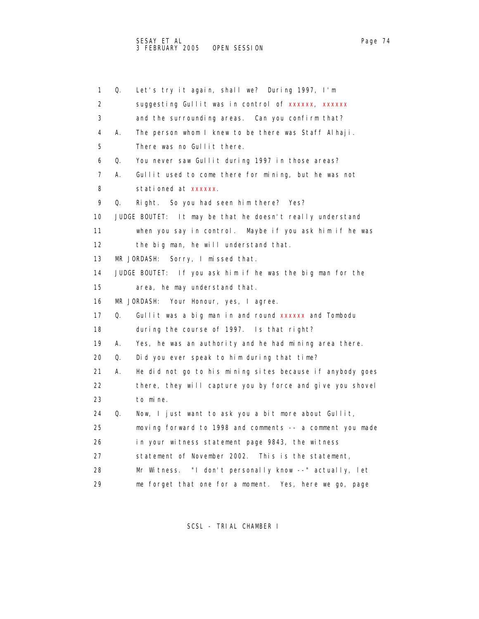1 Q. Let's try it again, shall we? During 1997, I'm 2 suggesting Gullit was in control of xxxxxx, xxxxxx 3 and the surrounding areas. Can you confirm that? 4 A. The person whom I knew to be there was Staff Alhaji. 5 There was no Gullit there. 6 Q. You never saw Gullit during 1997 in those areas? 7 A. Gullit used to come there for mining, but he was not 8 stationed at xxxxxx. 9 Q. Right. So you had seen him there? Yes? 10 JUDGE BOUTET: It may be that he doesn't really understand 11 when you say in control. Maybe if you ask him if he was 12 the big man, he will understand that. 13 MR JORDASH: Sorry, I missed that. 14 JUDGE BOUTET: If you ask him if he was the big man for the 15 area, he may understand that. 16 MR JORDASH: Your Honour, yes, I agree. 17 Q. Gullit was a big man in and round xxxxxx and Tombodu 18 during the course of 1997. Is that right? 19 A. Yes, he was an authority and he had mining area there. 20 Q. Did you ever speak to him during that time? 21 A. He did not go to his mining sites because if anybody goes 22 there, they will capture you by force and give you shovel 23 to mine. 24 Q. Now, I just want to ask you a bit more about Gullit, 25 moving forward to 1998 and comments -- a comment you made 26 in your witness statement page 9843, the witness 27 statement of November 2002. This is the statement, 28 Mr Witness. "I don't personally know --" actually, let 29 me forget that one for a moment. Yes, here we go, page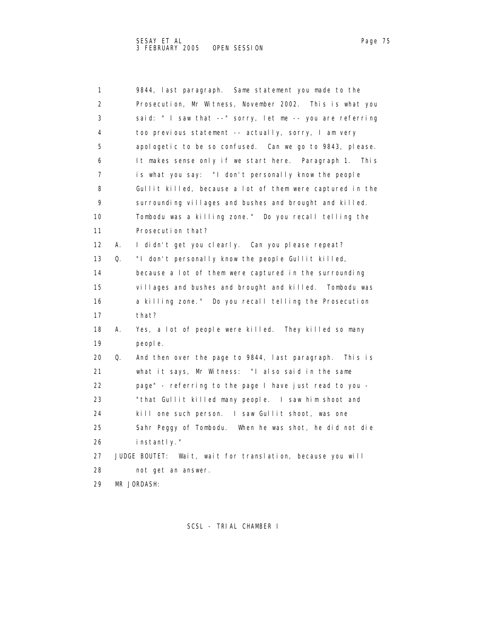| 1              |    | 9844, last paragraph. Same statement you made to the       |
|----------------|----|------------------------------------------------------------|
| $\overline{2}$ |    | Prosecution, Mr Witness, November 2002. This is what you   |
| 3              |    | said: "I saw that --" sorry, let me -- you are referring   |
| 4              |    | too previous statement -- actually, sorry, I am very       |
| 5              |    | apologetic to be so confused. Can we go to 9843, please.   |
| 6              |    | It makes sense only if we start here. Paragraph 1. This    |
| $\overline{7}$ |    | is what you say: "I don't personally know the people       |
| 8              |    | Gullit killed, because a lot of them were captured in the  |
| 9              |    | surrounding villages and bushes and brought and killed.    |
| 10             |    | Tombodu was a killing zone." Do you recall telling the     |
| 11             |    | Prosecution that?                                          |
| 12             | А. | I didn't get you clearly. Can you please repeat?           |
| 13             | Q. | "I don't personally know the people Gullit killed,         |
| 14             |    | because a lot of them were captured in the surrounding     |
| 15             |    | villages and bushes and brought and killed. Tombodu was    |
| 16             |    | a killing zone." Do you recall telling the Prosecution     |
| 17             |    | that?                                                      |
| 18             | А. | Yes, a lot of people were killed. They killed so many      |
| 19             |    | people.                                                    |
| 20             | Q. | And then over the page to 9844, last paragraph.<br>Thisis  |
| 21             |    | what it says, Mr Witness: "I also said in the same         |
| 22             |    | page" - referring to the page I have just read to you -    |
| 23             |    | "that Gullit killed many people. I saw him shoot and       |
| 24             |    | kill one such person. I saw Gullit shoot, was one          |
| 25             |    | Sahr Peggy of Tombodu. When he was shot, he did not die    |
| 26             |    | instantly."                                                |
| 27             |    | JUDGE BOUTET: Wait, wait for translation, because you will |
| 28             |    | not get an answer.                                         |
| 29             |    | MR JORDASH:                                                |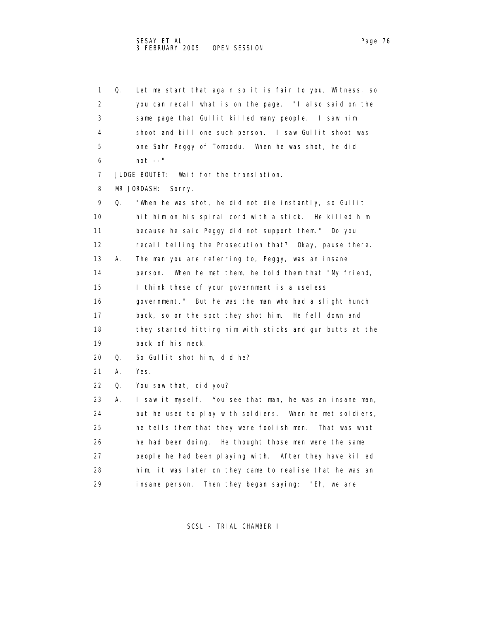1 Q. Let me start that again so it is fair to you, Witness, so 2 you can recall what is on the page. "I also said on the 3 same page that Gullit killed many people. I saw him 4 shoot and kill one such person. I saw Gullit shoot was 5 one Sahr Peggy of Tombodu. When he was shot, he did 6 not --" 7 JUDGE BOUTET: Wait for the translation. 8 MR JORDASH: Sorry. 9 Q. "When he was shot, he did not die instantly, so Gullit 10 hit him on his spinal cord with a stick. He killed him 11 because he said Peggy did not support them." Do you 12 recall telling the Prosecution that? Okay, pause there. 13 A. The man you are referring to, Peggy, was an insane 14 person. When he met them, he told them that "My friend, 15 I think these of your government is a useless 16 government." But he was the man who had a slight hunch 17 back, so on the spot they shot him. He fell down and 18 they started hitting him with sticks and gun butts at the 19 back of his neck. 20 Q. So Gullit shot him, did he? 21 A. Yes. 22 Q. You saw that, did you? 23 A. I saw it myself. You see that man, he was an insane man, 24 but he used to play with soldiers. When he met soldiers, 25 he tells them that they were foolish men. That was what 26 he had been doing. He thought those men were the same 27 people he had been playing with. After they have killed 28 him, it was later on they came to realise that he was an 29 insane person. Then they began saying: "Eh, we are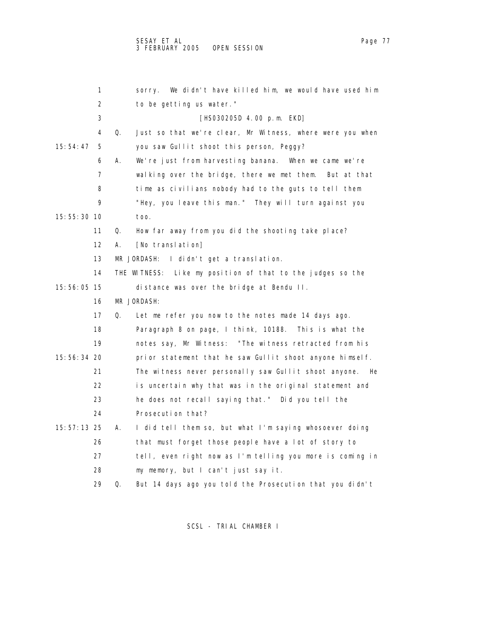1 sorry. We didn't have killed him, we would have used him 2 to be getting us water." 3 [HS030205D 4.00 p.m. EKD] 4 Q. Just so that we're clear, Mr Witness, where were you when 15:54:47 5 you saw Gullit shoot this person, Peggy? 6 A. We're just from harvesting banana. When we came we're 7 walking over the bridge, there we met them. But at that 8 time as civilians nobody had to the guts to tell them

15:55:30 10 too.

11 Q. How far away from you did the shooting take place?

9 "Hey, you leave this man." They will turn against you

12 A. [No translation]

13 MR JORDASH: I didn't get a translation.

|             | THE WITNESS: Like my position of that to the judges so the |  |
|-------------|------------------------------------------------------------|--|
| 15:56:05 15 | distance was over the bridge at Bendu II.                  |  |

## 16 MR JORDASH:

17 Q. Let me refer you now to the notes made 14 days ago.

 18 Paragraph 8 on page, I think, 10188. This is what the 19 notes say, Mr Witness: "The witness retracted from his 15:56:34 20 prior statement that he saw Gullit shoot anyone himself. 21 The witness never personally saw Gullit shoot anyone. He 22 is uncertain why that was in the original statement and 23 he does not recall saying that." Did you tell the 24 Prosecution that?

 15:57:13 25 A. I did tell them so, but what I'm saying whosoever doing 26 that must forget those people have a lot of story to 27 tell, even right now as I'm telling you more is coming in 28 my memory, but I can't just say it.

29 Q. But 14 days ago you told the Prosecution that you didn't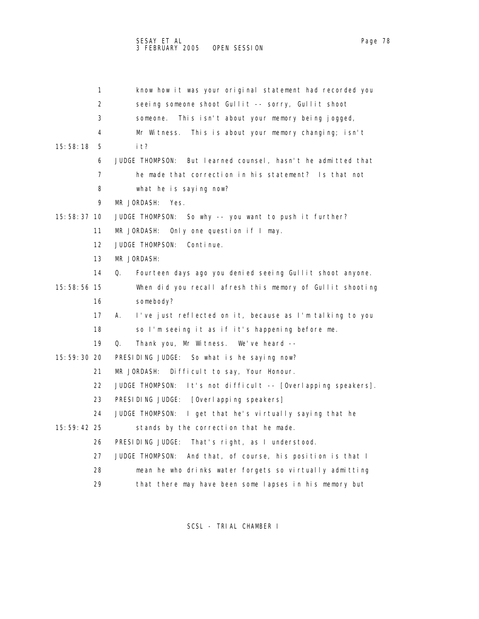|               | 1  | know how it was your original statement had recorded you                |
|---------------|----|-------------------------------------------------------------------------|
|               | 2  | seeing someone shoot Gullit -- sorry, Gullit shoot                      |
|               | 3  | This isn't about your memory being jogged,<br>someone.                  |
|               | 4  | Mr Witness.<br>This is about your memory changing; isn't                |
| 15:58:18      | 5  | i t?                                                                    |
|               | 6  | But learned counsel, hasn't he admitted that<br>JUDGE THOMPSON:         |
|               | 7  | he made that correction in his statement? Is that not                   |
|               | 8  | what he is saying now?                                                  |
|               | 9  | MR JORDASH:<br>Yes.                                                     |
| 15:58:37 10   |    | JUDGE THOMPSON:<br>So why -- you want to push it further?               |
|               | 11 | MR JORDASH:<br>Only one question if I may.                              |
|               | 12 | JUDGE THOMPSON:<br>Continue.                                            |
|               | 13 | MR JORDASH:                                                             |
|               | 14 | Q.<br>Fourteen days ago you denied seeing Gullit shoot anyone.          |
| 15:58:56 15   |    | When did you recall afresh this memory of Gullit shooting               |
|               | 16 | somebody?                                                               |
|               | 17 | I've just reflected on it, because as I'm talking to you<br>А.          |
|               | 18 | so I'm seeing it as if it's happening before me.                        |
|               | 19 | Q.<br>Thank you, Mr Witness. We've heard --                             |
| 15: 59: 30 20 |    | PRESIDING JUDGE: So what is he saying now?                              |
|               | 21 | MR JORDASH:<br>Difficult to say, Your Honour.                           |
|               | 22 | <b>JUDGE THOMPSON:</b><br>It's not difficult -- [Overlapping speakers]. |
|               | 23 | PRESIDING JUDGE: [Overlapping speakers]                                 |
|               | 24 | JUDGE THOMPSON:<br>I get that he's virtually saying that he             |
| 15:59:42 25   |    | stands by the correction that he made.                                  |
|               | 26 | PRESIDING JUDGE:<br>That's right, as I understood.                      |
|               | 27 | JUDGE THOMPSON:<br>And that, of course, his position is that I          |
|               | 28 | mean he who drinks water forgets so virtually admitting                 |
|               | 29 | that there may have been some lapses in his memory but                  |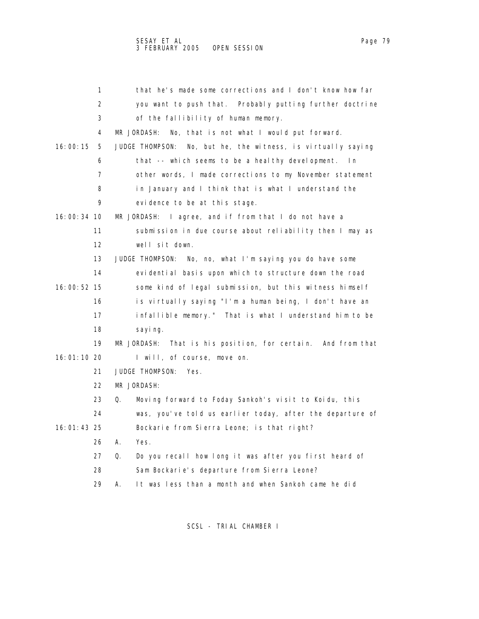|             | 1  | that he's made some corrections and I don't know how far        |
|-------------|----|-----------------------------------------------------------------|
|             | 2  | you want to push that. Probably putting further doctrine        |
|             | 3  | of the fallibility of human memory.                             |
|             | 4  | MR JORDASH:<br>No, that is not what I would put forward.        |
| 16:00:15    | 5  | JUDGE THOMPSON:<br>No, but he, the witness, is virtually saying |
|             | 6  | that -- which seems to be a healthy development.<br>ln.         |
|             | 7  | other words, I made corrections to my November statement        |
|             | 8  | in January and I think that is what I understand the            |
|             | 9  | evidence to be at this stage.                                   |
| 16:00:34 10 |    | MR JORDASH: I agree, and if from that I do not have a           |
|             | 11 | submission in due course about reliability then I may as        |
|             | 12 | well sit down.                                                  |
|             | 13 | JUDGE THOMPSON: No, no, what I'm saying you do have some        |
|             | 14 | evidential basis upon which to structure down the road          |
| 16:00:52 15 |    | some kind of legal submission, but this witness himself         |
|             | 16 | is virtually saying "I'm a human being, I don't have an         |
|             | 17 | infallible memory." That is what I understand him to be         |
|             | 18 | sayi ng.                                                        |
|             | 19 | MR JORDASH:<br>That is his position, for certain. And from that |
| 16:01:10 20 |    | I will, of course, move on.                                     |
|             | 21 | <b>JUDGE THOMPSON:</b><br>Yes.                                  |
|             | 22 | MR JORDASH:                                                     |
|             | 23 | Moving forward to Foday Sankoh's visit to Koidu, this<br>Q.     |
|             | 24 | was, you've told us earlier today, after the departure of       |
| 16:01:43 25 |    | Bockarie from Sierra Leone; is that right?                      |
|             | 26 | А.<br>Yes.                                                      |
|             | 27 | Do you recall how long it was after you first heard of<br>Q.    |
|             | 28 | Sam Bockarie's departure from Sierra Leone?                     |
|             | 29 | It was less than a month and when Sankoh came he did<br>А.      |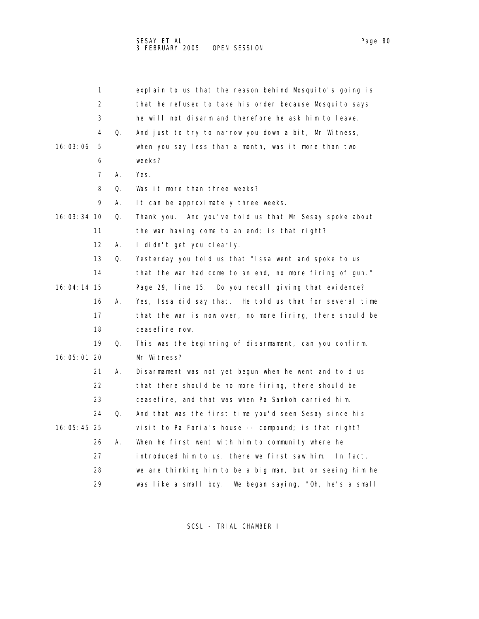| 1                 |    | explain to us that the reason behind Mosquito's going is  |
|-------------------|----|-----------------------------------------------------------|
| 2                 |    | that he refused to take his order because Mosquito says   |
| 3                 |    | he will not disarm and therefore he ask him to leave.     |
| 4                 | Q. | And just to try to narrow you down a bit, Mr Witness,     |
| 16:03:06<br>5     |    | when you say less than a month, was it more than two      |
| 6                 |    | weeks?                                                    |
| 7                 | А. | Yes.                                                      |
| 8                 | Q. | Was it more than three weeks?                             |
| 9                 | А. | It can be approximately three weeks.                      |
| 16:03:34 10       | Q. | Thank you. And you've told us that Mr Sesay spoke about   |
| 11                |    | the war having come to an end; is that right?             |
| $12 \overline{ }$ | А. | I didn't get you clearly.                                 |
| 13                | Q. | Yesterday you told us that "Issa went and spoke to us     |
| 14                |    | that the war had come to an end, no more firing of gun."  |
| 16:04:14 15       |    | Page 29, line 15. Do you recall giving that evidence?     |
| 16                | А. | Yes, Issa did say that. He told us that for several time  |
| 17                |    | that the war is now over, no more firing, there should be |
| 18                |    | ceasefire now.                                            |
| 19                | Q. | This was the beginning of disarmament, can you confirm,   |
| 16:05:01 20       |    | Mr Witness?                                               |
| 21                | А. | Disarmament was not yet begun when he went and told us    |
| 22                |    | that there should be no more firing, there should be      |
| 23                |    | ceasefire, and that was when Pa Sankoh carried him.       |
| 24                | Q. | And that was the first time you'd seen Sesay since his    |
| 16:05:45 25       |    | visit to Pa Fania's house -- compound; is that right?     |
| 26                | А. | When he first went with him to community where he         |
| 27                |    | introduced him to us, there we first saw him. In fact,    |
| 28                |    | we are thinking him to be a big man, but on seeing him he |
| 29                |    | was like a small boy. We began saying, "Oh, he's a small  |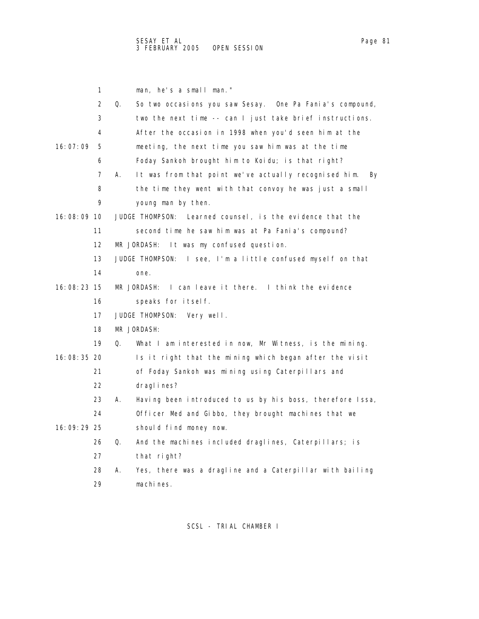|               | 1                 | man, he's a small man."                                           |
|---------------|-------------------|-------------------------------------------------------------------|
|               | 2                 | Q.<br>So two occasions you saw Sesay. One Pa Fania's compound,    |
|               | 3                 | two the next time -- can I just take brief instructions.          |
|               | 4                 | After the occasion in 1998 when you'd seen him at the             |
| 16:07:09      | 5                 | meeting, the next time you saw him was at the time                |
|               | 6                 | Foday Sankoh brought him to Koidu; is that right?                 |
|               | 7                 | It was from that point we've actually recognised him.<br>А.<br>By |
|               | 8                 | the time they went with that convoy he was just a small           |
|               | 9                 | young man by then.                                                |
| $16:08:09$ 10 |                   | Learned counsel, is the evidence that the<br>JUDGE THOMPSON:      |
|               | 11                | second time he saw him was at Pa Fania's compound?                |
|               | $12 \overline{ }$ | MR JORDASH:<br>It was my confused question.                       |
|               | 13                | JUDGE THOMPSON:<br>I see, I'm a little confused myself on that    |
|               | 14                | one.                                                              |
| 16:08:23 15   |                   | I can leave it there. I think the evidence<br>MR JORDASH:         |
|               | 16                | speaks for itself.                                                |
|               | 17                | JUDGE THOMPSON:<br>Very well.                                     |
|               | 18                | MR JORDASH:                                                       |
|               | 19                | Q.<br>What I am interested in now, Mr Witness, is the mining.     |
| 16:08:35 20   |                   | Is it right that the mining which began after the visit           |
|               | 21                | of Foday Sankoh was mining using Caterpillars and                 |
|               | 22                | dragl i nes?                                                      |
|               | 23                | Having been introduced to us by his boss, therefore Issa,<br>А.   |
|               | 24                | Officer Med and Gibbo, they brought machines that we              |
| 16:09:29 25   |                   | should find money now.                                            |
|               | 26                | Q.<br>And the machines included draglines, Caterpillars; is       |
|               | 27                | that right?                                                       |
|               | 28                | Yes, there was a dragline and a Caterpillar with bailing<br>А.    |
|               | 29                | machines.                                                         |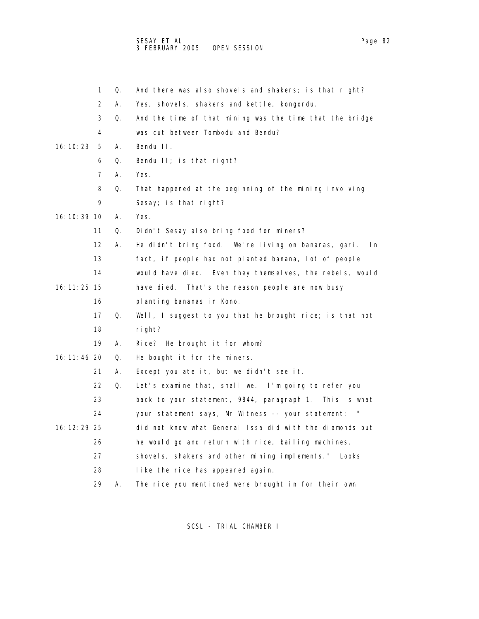|               | 1                 | Q. | And there was also shovels and shakers; is that right?      |
|---------------|-------------------|----|-------------------------------------------------------------|
|               | 2                 | А. | Yes, shovels, shakers and kettle, kongordu.                 |
|               | 3                 | Q. | And the time of that mining was the time that the bridge    |
|               | 4                 |    | was cut between Tombodu and Bendu?                          |
| 16: 10: 23    | 5                 | А. | Bendu II.                                                   |
|               | 6                 | Q. | Bendu II; is that right?                                    |
|               | 7                 | А. | Yes.                                                        |
|               | 8                 | 0. | That happened at the beginning of the mining involving      |
|               | 9                 |    | Sesay; is that right?                                       |
| 16: 10: 39 10 |                   | А. | Yes.                                                        |
|               | 11                | Q. | Didn't Sesay also bring food for miners?                    |
|               | $12 \overline{ }$ | А. | He didn't bring food. We're living on bananas, gari.<br>l n |
|               | 13                |    | fact, if people had not planted banana, lot of people       |
|               | 14                |    | would have died. Even they themselves, the rebels, would    |
| 16: 11: 25 15 |                   |    | have died.<br>That's the reason people are now busy         |
|               | 16                |    | planting bananas in Kono.                                   |
|               | 17                | Q. | Well, I suggest to you that he brought rice; is that not    |
|               | 18                |    | right?                                                      |
|               | 19                | А. | Rice? He brought it for whom?                               |
| 16: 11: 46 20 |                   | Q. | He bought it for the miners.                                |
|               | 21                | А. | Except you ate it, but we didn't see it.                    |
|               | 22                | Q. | Let's examine that, shall we. I'm going to refer you        |
|               | 23                |    | back to your statement, 9844, paragraph 1. This is what     |
|               | 24                |    | your statement says, Mr Witness -- your statement:<br>" L   |
| 16: 12: 29 25 |                   |    | did not know what General Issa did with the diamonds but    |
|               | 26                |    | he would go and return with rice, bailing machines,         |
|               | 27                |    | shovels, shakers and other mining implements." Looks        |
|               | 28                |    | like the rice has appeared again.                           |
|               | 29                | А. | The rice you mentioned were brought in for their own        |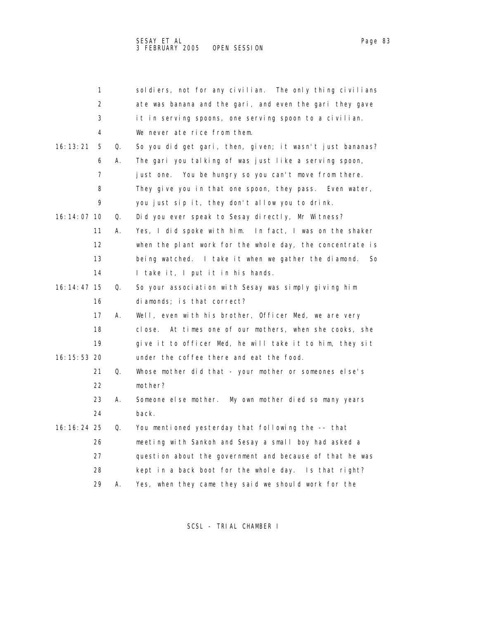|               | 1  |    | soldiers, not for any civilian. The only thing civilians    |
|---------------|----|----|-------------------------------------------------------------|
|               | 2  |    | ate was banana and the gari, and even the gari they gave    |
|               | 3  |    | it in serving spoons, one serving spoon to a civilian.      |
|               | 4  |    | We never ate rice from them.                                |
| 16: 13: 21    | 5  | Q. | So you did get gari, then, given; it wasn't just bananas?   |
|               | 6  | А. | The gari you talking of was just like a serving spoon,      |
|               | 7  |    | just one. You be hungry so you can't move from there.       |
|               | 8  |    | They give you in that one spoon, they pass. Even water,     |
|               | 9  |    | you just sip it, they don't allow you to drink.             |
| 16: 14: 07 10 |    | Q. | Did you ever speak to Sesay directly, Mr Witness?           |
|               | 11 | А. | Yes, I did spoke with him. In fact, I was on the shaker     |
|               | 12 |    | when the plant work for the whole day, the concentrate is   |
|               | 13 |    | being watched. I take it when we gather the diamond.<br>So  |
|               | 14 |    | I take it, I put it in his hands.                           |
| 16: 14: 47 15 |    | Q. | So your association with Sesay was simply giving him        |
|               | 16 |    | diamonds; is that correct?                                  |
|               | 17 | А. | Well, even with his brother, Officer Med, we are very       |
|               | 18 |    | At times one of our mothers, when she cooks, she<br>cl ose. |
|               | 19 |    | give it to officer Med, he will take it to him, they sit    |
| 16: 15: 53 20 |    |    | under the coffee there and eat the food.                    |
|               | 21 | Q. | Whose mother did that - your mother or someones else's      |
|               | 22 |    | mother?                                                     |
|               | 23 | Α. | Someone else mother. My own mother died so many years       |
|               | 24 |    | back.                                                       |
| 16: 16: 24 25 |    | Q. | You mentioned yesterday that following the -- that          |
|               | 26 |    | meeting with Sankoh and Sesay a small boy had asked a       |
|               | 27 |    | question about the government and because of that he was    |
|               | 28 |    | kept in a back boot for the whole day. Is that right?       |
|               | 29 | А. | Yes, when they came they said we should work for the        |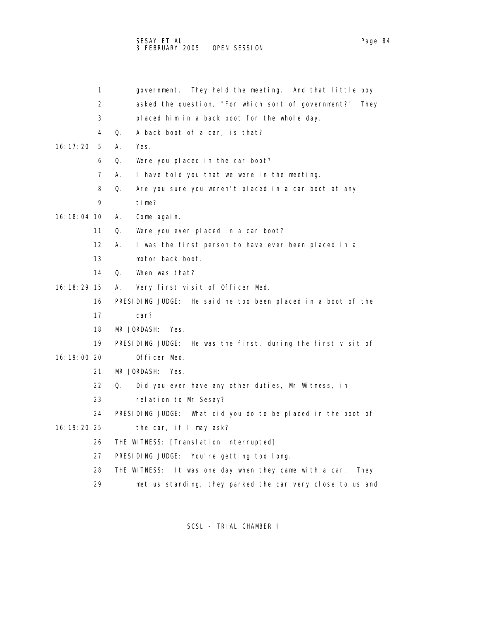|               | 1  | government. They held the meeting. And that little boy            |
|---------------|----|-------------------------------------------------------------------|
|               | 2  | asked the question, "For which sort of government?"<br>They       |
|               | 3  | placed him in a back boot for the whole day.                      |
|               | 4  | Q.<br>A back boot of a car, is that?                              |
| 16: 17: 20    | 5  | А.<br>Yes.                                                        |
|               | 6  | Q.<br>Were you placed in the car boot?                            |
|               | 7  | I have told you that we were in the meeting.<br>А.                |
|               | 8  | Q.<br>Are you sure you weren't placed in a car boot at any        |
|               | 9  | time?                                                             |
| 16: 18: 04 10 |    | А.<br>Come again.                                                 |
|               | 11 | Q.<br>Were you ever placed in a car boot?                         |
|               | 12 | Α.<br>I was the first person to have ever been placed in a        |
|               | 13 | motor back boot.                                                  |
|               | 14 | When was that?<br>Q.                                              |
| 16: 18: 29 15 |    | А.<br>Very first visit of Officer Med.                            |
|               | 16 | PRESIDING JUDGE: He said he too been placed in a boot of the      |
|               | 17 | car?                                                              |
|               | 18 | MR JORDASH:<br>Yes.                                               |
|               | 19 | PRESIDING JUDGE: He was the first, during the first visit of      |
| 16:19:00 20   |    | Officer Med.                                                      |
|               | 21 | MR JORDASH:<br>Yes.                                               |
|               | 22 | Q.<br>Did you ever have any other duties, Mr Witness, in          |
|               | 23 | relation to Mr Sesay?                                             |
|               | 24 | PRESIDING JUDGE: What did you do to be placed in the boot of      |
| 16: 19: 20 25 |    | the car, if I may ask?                                            |
|               | 26 | THE WITNESS: [Translation interrupted]                            |
|               | 27 | PRESIDING JUDGE: You're getting too long.                         |
|               | 28 | It was one day when they came with a car.<br>THE WITNESS:<br>They |
|               | 29 | met us standing, they parked the car very close to us and         |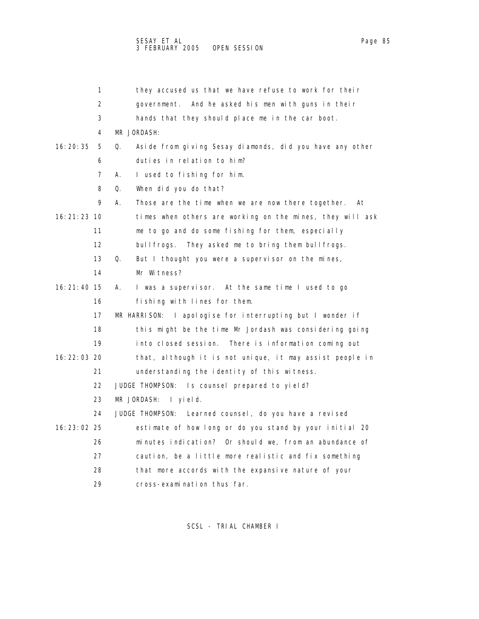|               | 1  | they accused us that we have refuse to work for their          |
|---------------|----|----------------------------------------------------------------|
|               | 2  | And he asked his men with guns in their<br>government.         |
|               | 3  | hands that they should place me in the car boot.               |
|               | 4  | MR JORDASH:                                                    |
| 16: 20: 35    | 5  | Aside from giving Sesay diamonds, did you have any other<br>Q. |
|               | 6  | duties in relation to him?                                     |
|               | 7  | А.<br>I used to fishing for him.                               |
|               | 8  | Q.<br>When did you do that?                                    |
|               | 9  | А.<br>Those are the time when we are now there together.<br>At |
| 16: 21: 23 10 |    | times when others are working on the mines, they will ask      |
|               | 11 | me to go and do some fishing for them, especially              |
|               | 12 | bullfrogs.<br>They asked me to bring them bullfrogs.           |
|               | 13 | Q.<br>But I thought you were a supervisor on the mines,        |
|               | 14 | Mr Witness?                                                    |
| 16: 21: 40 15 |    | I was a supervisor. At the same time I used to go<br>А.        |
|               | 16 | fishing with lines for them.                                   |
|               | 17 | I apologise for interrupting but I wonder if<br>MR HARRISON:   |
|               | 18 | this might be the time Mr Jordash was considering going        |
|               | 19 | into closed session.<br>There is information coming out        |
| 16: 22: 03 20 |    | that, although it is not unique, it may assist people in       |
|               | 21 | understanding the identity of this witness.                    |
|               | 22 | JUDGE THOMPSON: Is counsel prepared to yield?                  |
|               | 23 | MR JORDASH:<br>I yield.                                        |
|               | 24 | JUDGE THOMPSON: Learned counsel, do you have a revised         |
| 16: 23: 02 25 |    | estimate of how long or do you stand by your initial 20        |
|               | 26 | minutes indication? Or should we, from an abundance of         |
|               | 27 | caution, be a little more realistic and fix something          |
|               | 28 | that more accords with the expansive nature of your            |
|               | 29 | cross-examination thus far.                                    |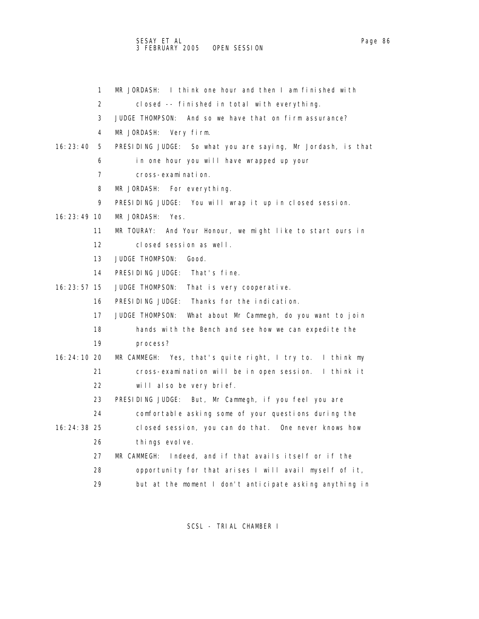## SESAY ET AL Page 86 and the set of the set of the set of the set of the set of the set of the set of the set o 3 FEBRUARY 2005 OPEN SESSION

| 1             | MR JORDASH: I think one hour and then I am finished with             |
|---------------|----------------------------------------------------------------------|
| 2             | closed -- finished in total with everything.                         |
| 3             | JUDGE THOMPSON:<br>And so we have that on firm assurance?            |
| 4             | MR JORDASH: Very firm.                                               |
| 16:23:40<br>5 | PRESIDING JUDGE: So what you are saying, Mr Jordash, is that         |
| 6             | in one hour you will have wrapped up your                            |
| 7             | cross-examination.                                                   |
| 8             | MR JORDASH:<br>For everything.                                       |
| 9             | PRESIDING JUDGE: You will wrap it up in closed session.              |
| $16:23:49$ 10 | MR JORDASH:<br>Yes.                                                  |
| 11            | MR TOURAY:<br>And Your Honour, we might like to start ours in        |
| 12            | closed session as well.                                              |
| 13            | <b>JUDGE THOMPSON:</b><br>Good.                                      |
| 14            | PRESIDING JUDGE: That's fine.                                        |
| $16:23:57$ 15 | JUDGE THOMPSON:<br>That is very cooperative.                         |
| 16            | PRESIDING JUDGE: Thanks for the indication.                          |
| 17            | <b>JUDGE THOMPSON:</b><br>What about Mr Cammegh, do you want to join |
| 18            | hands with the Bench and see how we can expedite the                 |
| 19            | process?                                                             |
| 16:24:10 20   | Yes, that's quite right, I try to. I think my<br>MR CAMMEGH:         |
| 21            | cross-examination will be in open session. I think it                |
| 22            | will also be very brief.                                             |
| 23            | PRESIDING JUDGE: But, Mr Cammegh, if you feel you are                |
| 24            | comfortable asking some of your questions during the                 |
| $16:24:38$ 25 | closed session, you can do that. One never knows how                 |
| 26            | things evolve.                                                       |
| 27            | Indeed, and if that avails itself or if the<br>MR CAMMEGH:           |
| 28            | opportunity for that arises I will avail myself of it,               |
| 29            | but at the moment I don't anticipate asking anything in              |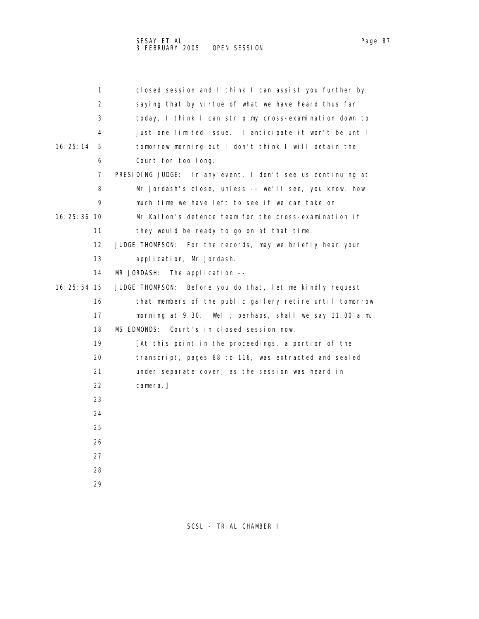|               | 1                 | closed session and I think I can assist you further by      |
|---------------|-------------------|-------------------------------------------------------------|
|               | 2                 | saying that by virtue of what we have heard thus far        |
|               | 3                 | today, I think I can strip my cross-examination down to     |
|               | 4                 | just one limited issue. I anticipate it won't be until      |
| 16:25:14      | 5                 | tomorrow morning but I don't think I will detain the        |
|               | 6                 | Court for too long.                                         |
|               | 7                 | PRESIDING JUDGE: In any event, I don't see us continuing at |
|               | 8                 | Mr Jordash's close, unless -- we'll see, you know, how      |
|               | 9                 | much time we have left to see if we can take on             |
| 16:25:36 10   |                   | Mr Kallon's defence team for the cross-examination if       |
|               | 11                | they would be ready to go on at that time.                  |
|               | $12 \overline{ }$ | JUDGE THOMPSON: For the records, may we briefly hear your   |
|               | 13                | application, Mr Jordash.                                    |
|               | 14                | MR JORDASH: The application --                              |
| $16:25:54$ 15 |                   | JUDGE THOMPSON: Before you do that, let me kindly request   |
|               | 16                | that members of the public gallery retire until tomorrow    |
|               | 17                | morning at 9.30. Well, perhaps, shall we say 11.00 a.m.     |
|               | 18                | MS EDMONDS:<br>Court's in closed session now.               |
|               | 19                | [At this point in the proceedings, a portion of the         |
|               | 20                | transcript, pages 88 to 116, was extracted and sealed       |
|               | 21                | under separate cover, as the session was heard in           |
|               | 22                | camera.]                                                    |
|               |                   |                                                             |

- 23 24
- 25
- 26
- 27
- 28
- 29